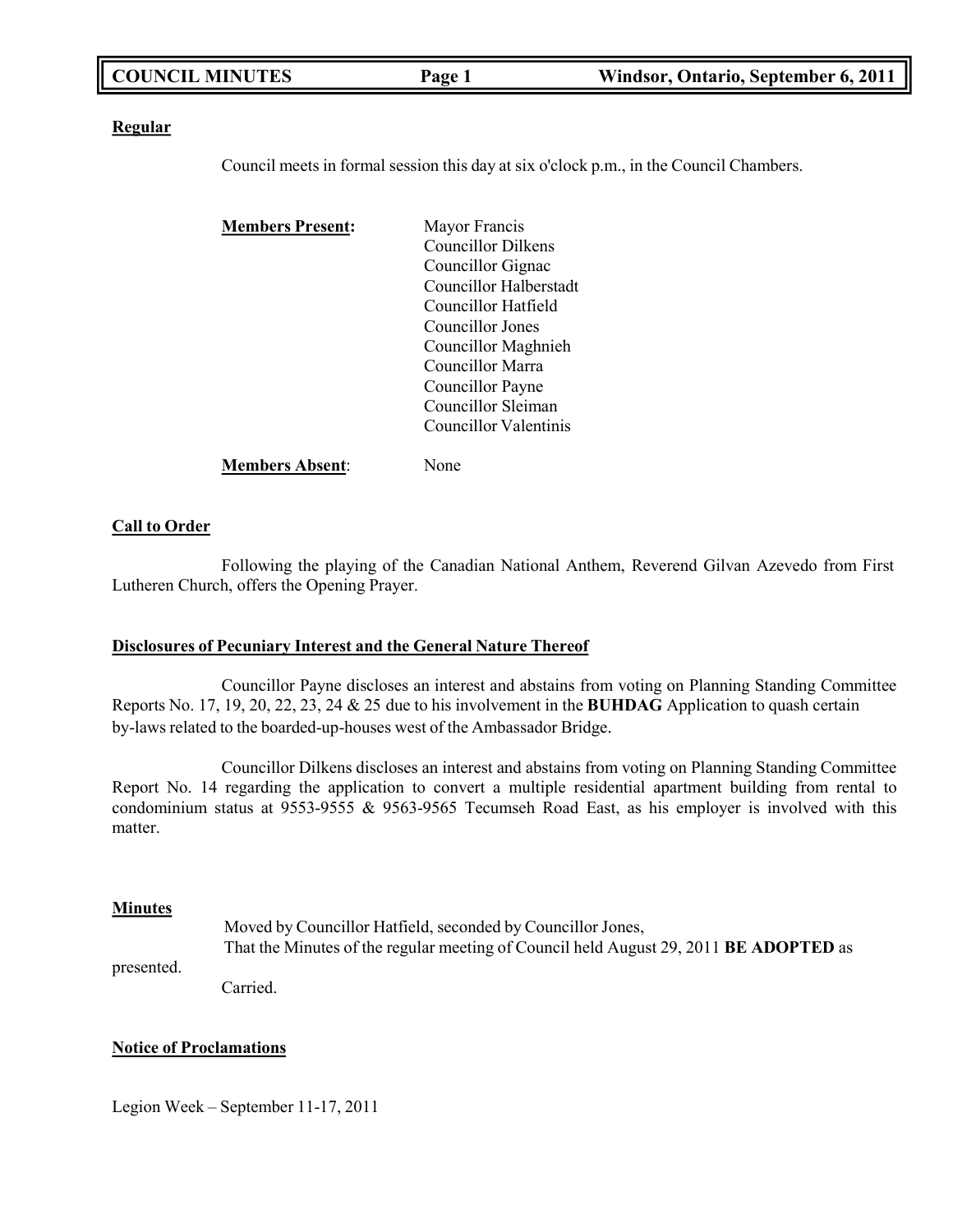| <b>COUNCIL MINUTES</b> | Page 1 | Windsor, Ontario, September 6, 2011 |
|------------------------|--------|-------------------------------------|
|                        |        |                                     |

### **Regular**

Council meets in formal session this day at six o'clock p.m., in the Council Chambers.

| <b>Members Present:</b> | Mayor Francis             |
|-------------------------|---------------------------|
|                         | <b>Councillor Dilkens</b> |
|                         | Councillor Gignac         |
|                         | Councillor Halberstadt    |
|                         | Councillor Hatfield       |
|                         | Councillor Jones          |
|                         | Councillor Maghnieh       |
|                         | Councillor Marra          |
|                         | Councillor Payne          |
|                         | Councillor Sleiman        |
|                         | Councillor Valentinis     |
| <b>Members Absent:</b>  | None                      |

### **Call to Order**

Following the playing of the Canadian National Anthem, Reverend Gilvan Azevedo from First Lutheren Church, offers the Opening Prayer.

### **Disclosures of Pecuniary Interest and the General Nature Thereof**

Councillor Payne discloses an interest and abstains from voting on Planning Standing Committee Reports No. 17, 19, 20, 22, 23, 24 & 25 due to his involvement in the **BUHDAG** Application to quash certain by-laws related to the boarded-up-houses west of the Ambassador Bridge.

Councillor Dilkens discloses an interest and abstains from voting on Planning Standing Committee Report No. 14 regarding the application to convert a multiple residential apartment building from rental to condominium status at 9553-9555 & 9563-9565 Tecumseh Road East, as his employer is involved with this matter.

### **Minutes**

Moved by Councillor Hatfield, seconded by Councillor Jones, That the Minutes of the regular meeting of Council held August 29, 2011 **BE ADOPTED** as

presented.

Carried.

### **Notice of Proclamations**

Legion Week – September 11-17, 2011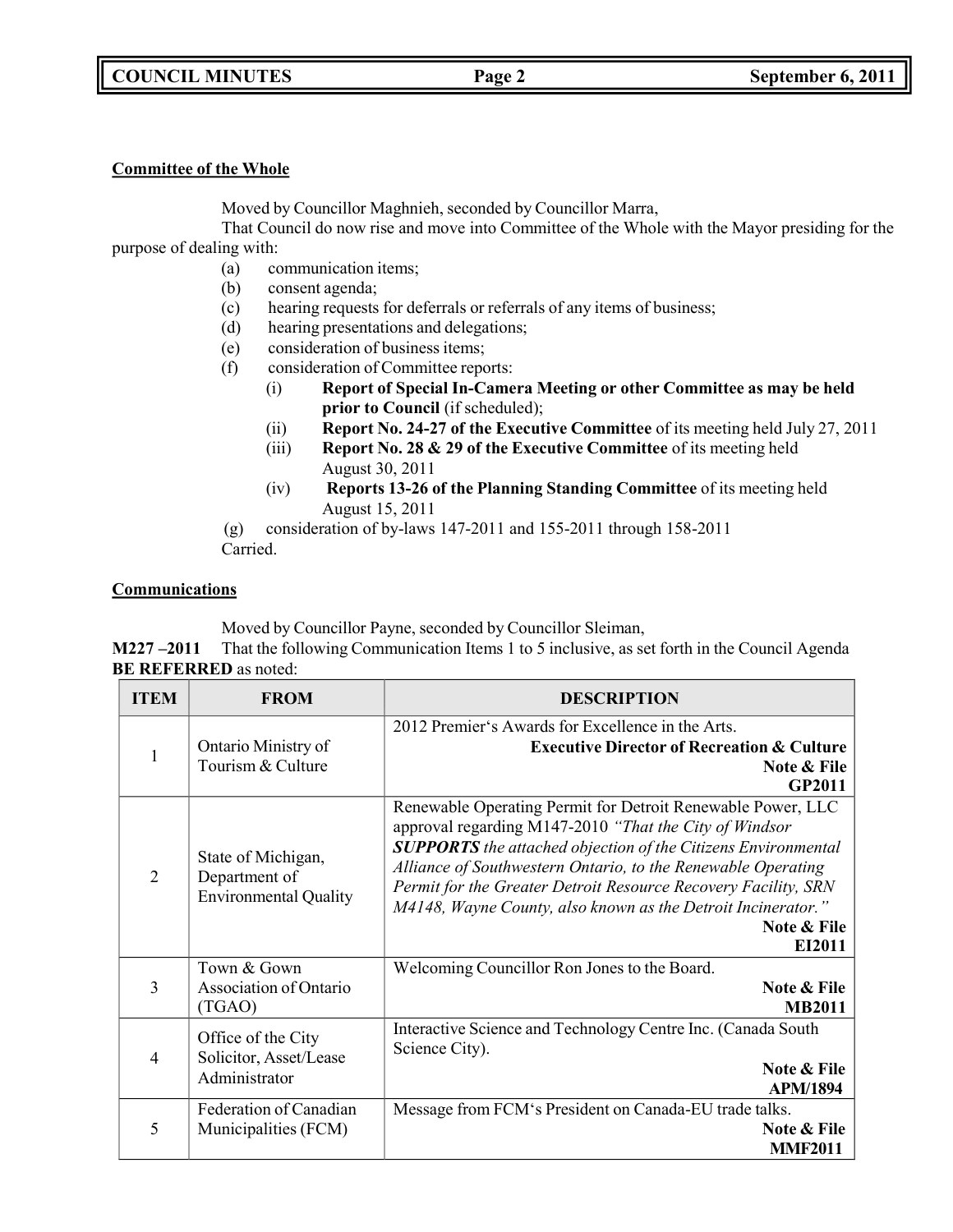### **COUNCIL MINUTES Page 2 September 6, 2011**

### **Committee of the Whole**

Moved by Councillor Maghnieh, seconded by Councillor Marra,

That Council do now rise and move into Committee of the Whole with the Mayor presiding for the purpose of dealing with:

- (a) communication items;
- (b) consent agenda;
- (c) hearing requests for deferrals or referrals of any items of business;
- (d) hearing presentations and delegations;
- (e) consideration of business items;
- (f) consideration of Committee reports:
	- (i) **Report of Special In-Camera Meeting or other Committee as may be held prior to Council** (if scheduled);
	- (ii) **Report No. 24-27 of the Executive Committee** of its meeting held July 27, 2011
	- (iii) **Report No. 28 & 29 of the Executive Committee** of its meeting held August 30, 2011
	- (iv) **Reports 13-26 of the Planning Standing Committee** of its meeting held August 15, 2011

(g) consideration of by-laws 147-2011 and 155-2011 through 158-2011 Carried.

### **Communications**

Moved by Councillor Payne, seconded by Councillor Sleiman,

**M227 –2011** That the following Communication Items 1 to 5 inclusive, as set forth in the Council Agenda **BE REFERRED** as noted:

| <b>ITEM</b>    | <b>FROM</b>                                                         | <b>DESCRIPTION</b>                                                                                                                                                                                                                                                                                                                                                                                                       |
|----------------|---------------------------------------------------------------------|--------------------------------------------------------------------------------------------------------------------------------------------------------------------------------------------------------------------------------------------------------------------------------------------------------------------------------------------------------------------------------------------------------------------------|
| 1              | Ontario Ministry of<br>Tourism & Culture                            | 2012 Premier's Awards for Excellence in the Arts.<br><b>Executive Director of Recreation &amp; Culture</b><br>Note & File<br><b>GP2011</b>                                                                                                                                                                                                                                                                               |
| $\overline{2}$ | State of Michigan,<br>Department of<br><b>Environmental Quality</b> | Renewable Operating Permit for Detroit Renewable Power, LLC<br>approval regarding M147-2010 "That the City of Windsor<br><b>SUPPORTS</b> the attached objection of the Citizens Environmental<br>Alliance of Southwestern Ontario, to the Renewable Operating<br>Permit for the Greater Detroit Resource Recovery Facility, SRN<br>M4148, Wayne County, also known as the Detroit Incinerator."<br>Note & File<br>EI2011 |
| 3              | Town & Gown<br>Association of Ontario<br>(TGAO)                     | Welcoming Councillor Ron Jones to the Board.<br>Note & File<br><b>MB2011</b>                                                                                                                                                                                                                                                                                                                                             |
| 4              | Office of the City<br>Solicitor, Asset/Lease<br>Administrator       | Interactive Science and Technology Centre Inc. (Canada South<br>Science City).<br>Note & File<br><b>APM/1894</b>                                                                                                                                                                                                                                                                                                         |
| 5              | Federation of Canadian<br>Municipalities (FCM)                      | Message from FCM's President on Canada-EU trade talks.<br><b>Note &amp; File</b><br><b>MMF2011</b>                                                                                                                                                                                                                                                                                                                       |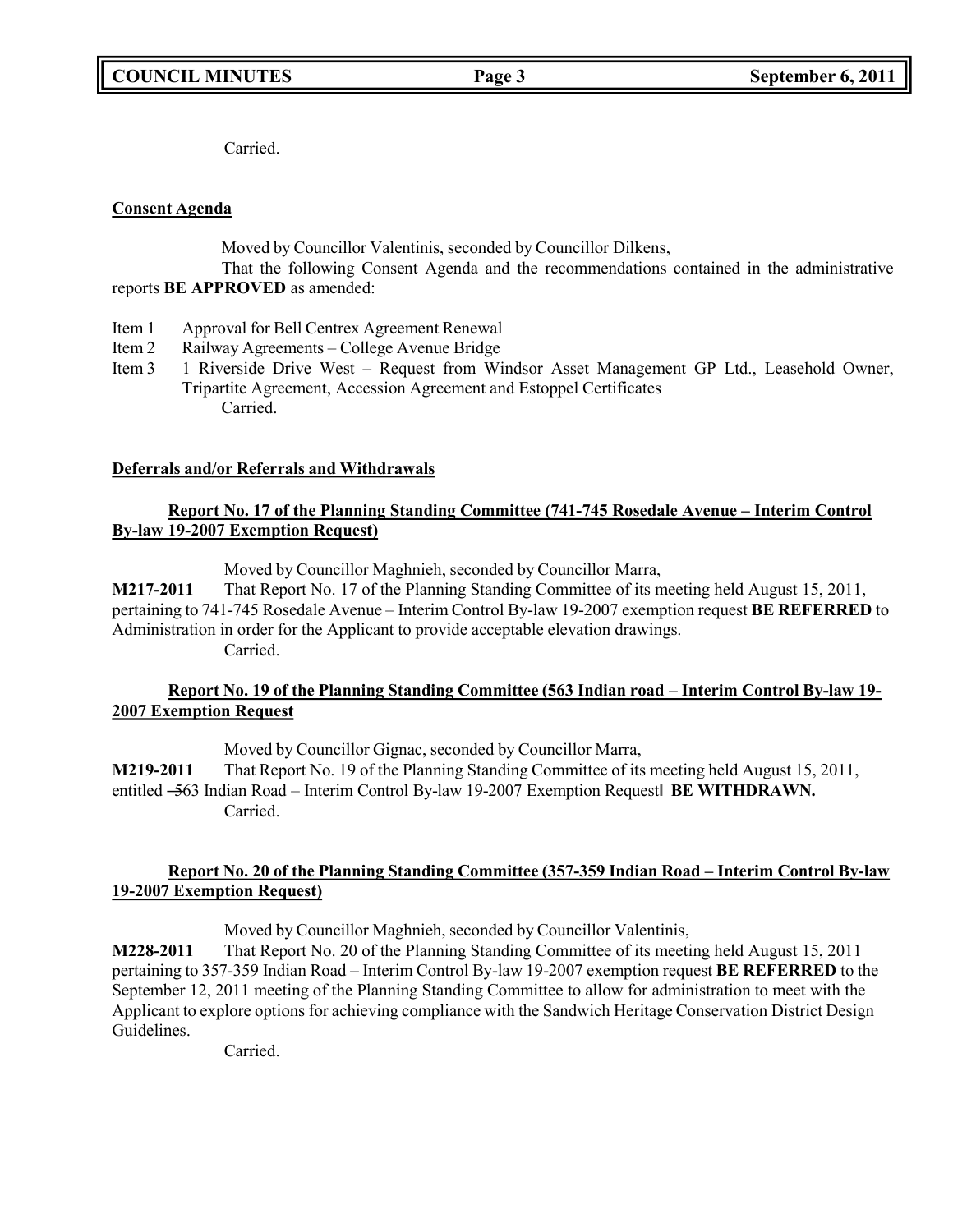Carried.

### **Consent Agenda**

Moved by Councillor Valentinis, seconded by Councillor Dilkens,

That the following Consent Agenda and the recommendations contained in the administrative reports **BE APPROVED** as amended:

- Item 1 Approval for Bell Centrex Agreement Renewal
- Item 2 Railway Agreements College Avenue Bridge
- Item 3 1 Riverside Drive West Request from Windsor Asset Management GP Ltd., Leasehold Owner, Tripartite Agreement, Accession Agreement and Estoppel Certificates Carried.

### **Deferrals and/or Referrals and Withdrawals**

### **Report No. 17 of the Planning Standing Committee (741-745 Rosedale Avenue – Interim Control By-law 19-2007 Exemption Request)**

Moved by Councillor Maghnieh, seconded by Councillor Marra,

**M217-2011** That Report No. 17 of the Planning Standing Committee of its meeting held August 15, 2011, pertaining to 741-745 Rosedale Avenue – Interim Control By-law 19-2007 exemption request **BE REFERRED** to Administration in order for the Applicant to provide acceptable elevation drawings. Carried.

### **Report No. 19 of the Planning Standing Committee (563 Indian road – Interim Control By-law 19- 2007 Exemption Request**

Moved by Councillor Gignac, seconded by Councillor Marra, **M219-2011** That Report No. 19 of the Planning Standing Committee of its meeting held August 15, 2011, entitled ―563 Indian Road – Interim Control By-law 19-2007 Exemption Request‖ **BE WITHDRAWN.** Carried.

### **Report No. 20 of the Planning Standing Committee (357-359 Indian Road – Interim Control By-law 19-2007 Exemption Request)**

Moved by Councillor Maghnieh, seconded by Councillor Valentinis,

**M228-2011** That Report No. 20 of the Planning Standing Committee of its meeting held August 15, 2011 pertaining to 357-359 Indian Road – Interim Control By-law 19-2007 exemption request **BE REFERRED** to the September 12, 2011 meeting of the Planning Standing Committee to allow for administration to meet with the Applicant to explore options for achieving compliance with the Sandwich Heritage Conservation District Design Guidelines.

Carried.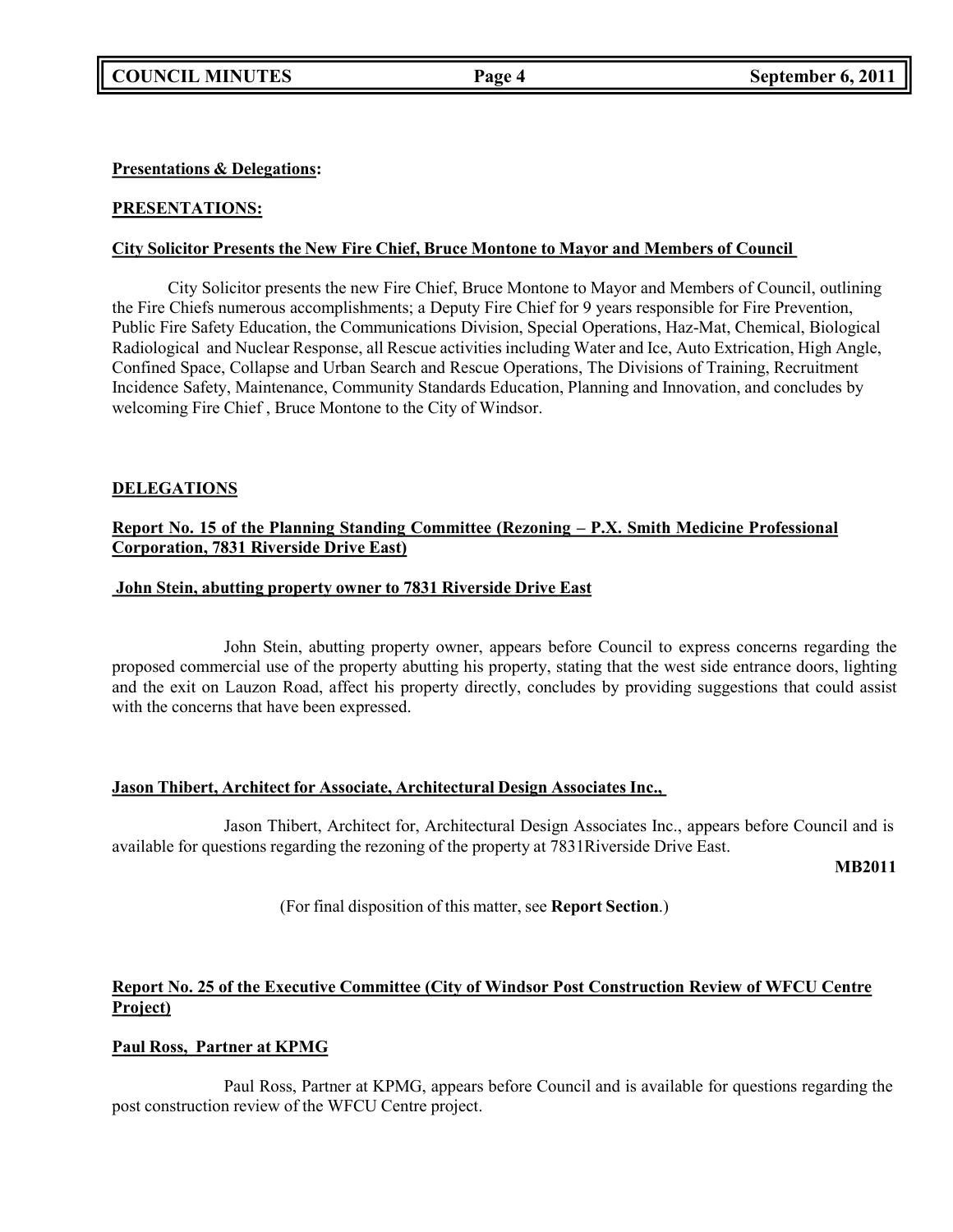### **Presentations & Delegations:**

### **PRESENTATIONS:**

### **City Solicitor Presents the New Fire Chief, Bruce Montone to Mayor and Members of Council**

City Solicitor presents the new Fire Chief, Bruce Montone to Mayor and Members of Council, outlining the Fire Chiefs numerous accomplishments; a Deputy Fire Chief for 9 years responsible for Fire Prevention, Public Fire Safety Education, the Communications Division, Special Operations, Haz-Mat, Chemical, Biological Radiological and Nuclear Response, all Rescue activities including Water and Ice, Auto Extrication, High Angle, Confined Space, Collapse and Urban Search and Rescue Operations, The Divisions of Training, Recruitment Incidence Safety, Maintenance, Community Standards Education, Planning and Innovation, and concludes by welcoming Fire Chief , Bruce Montone to the City of Windsor.

### **DELEGATIONS**

### **Report No. 15 of the Planning Standing Committee (Rezoning – P.X. Smith Medicine Professional Corporation, 7831 Riverside Drive East)**

### **John Stein, abutting property owner to 7831 Riverside Drive East**

John Stein, abutting property owner, appears before Council to express concerns regarding the proposed commercial use of the property abutting his property, stating that the west side entrance doors, lighting and the exit on Lauzon Road, affect his property directly, concludes by providing suggestions that could assist with the concerns that have been expressed.

### **Jason Thibert, Architect for Associate, Architectural Design Associates Inc.,**

Jason Thibert, Architect for, Architectural Design Associates Inc., appears before Council and is available for questions regarding the rezoning of the property at 7831Riverside Drive East.

**MB2011**

(For final disposition of this matter, see **Report Section**.)

### **Report No. 25 of the Executive Committee (City of Windsor Post Construction Review of WFCU Centre Project)**

### **Paul Ross, Partner at KPMG**

Paul Ross, Partner at KPMG, appears before Council and is available for questions regarding the post construction review of the WFCU Centre project.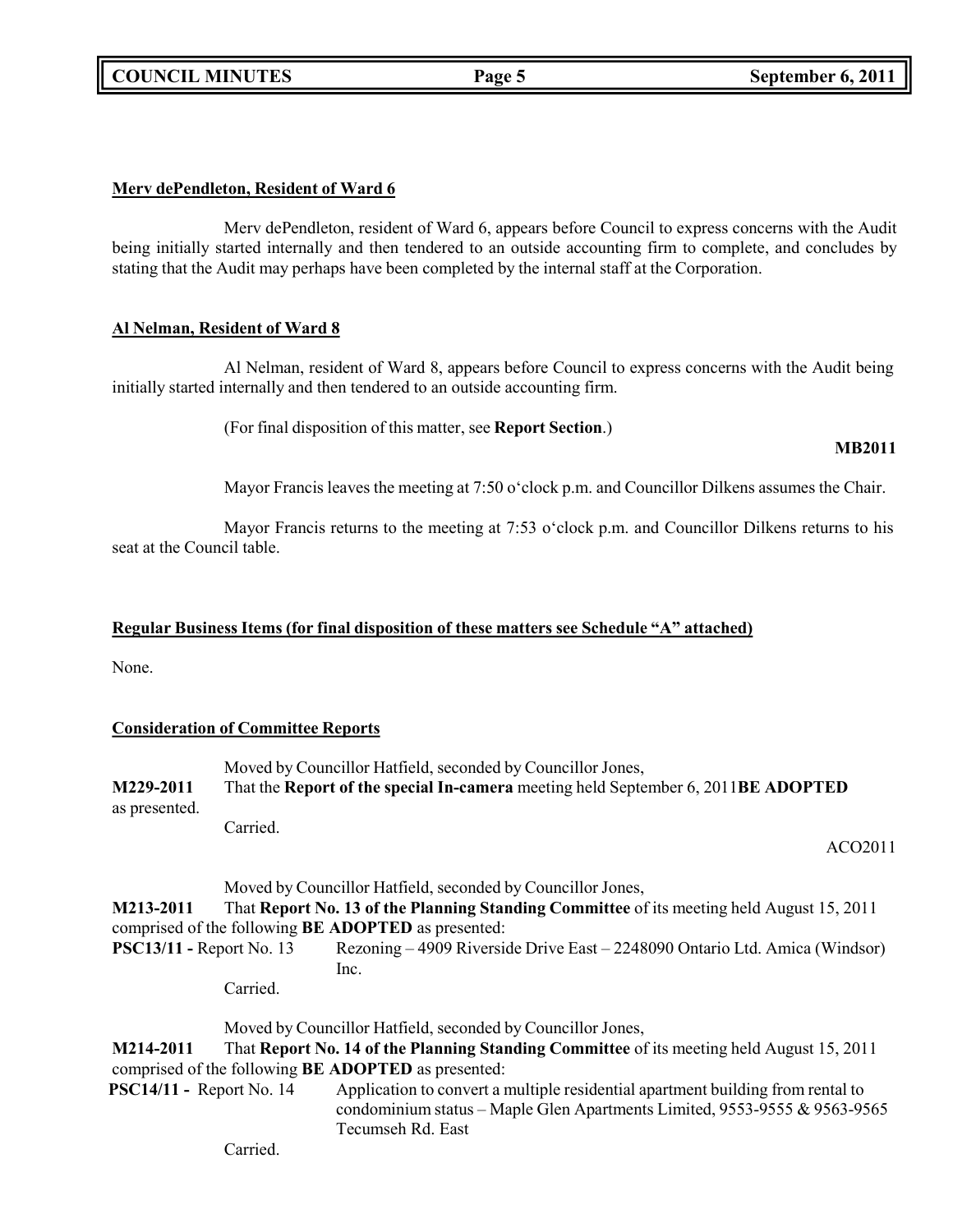**COUNCIL MINUTES Page 5 September 6, 2011**

### **Merv dePendleton, Resident of Ward 6**

Merv dePendleton, resident of Ward 6, appears before Council to express concerns with the Audit being initially started internally and then tendered to an outside accounting firm to complete, and concludes by stating that the Audit may perhaps have been completed by the internal staff at the Corporation.

### **Al Nelman, Resident of Ward 8**

Al Nelman, resident of Ward 8, appears before Council to express concerns with the Audit being initially started internally and then tendered to an outside accounting firm.

(For final disposition of this matter, see **Report Section**.)

### **MB2011**

Mayor Francis leaves the meeting at 7:50 o'clock p.m. and Councillor Dilkens assumes the Chair.

Mayor Francis returns to the meeting at 7:53 o'clock p.m. and Councillor Dilkens returns to his seat at the Council table.

### **Regular Business Items (for final disposition of these matters see Schedule "A" attached)**

None.

### **Consideration of Committee Reports**

|               | Moved by Councillor Hatfield, seconded by Councillor Jones,                       |  |
|---------------|-----------------------------------------------------------------------------------|--|
| M229-2011     | That the Report of the special In-camera meeting held September 6, 2011BE ADOPTED |  |
| as presented. |                                                                                   |  |
|               | $C$ arried                                                                        |  |

Carried.

### ACO2011

Moved by Councillor Hatfield, seconded by Councillor Jones,

**M213-2011** That **Report No. 13 of the Planning Standing Committee** of its meeting held August 15, 2011 comprised of the following **BE ADOPTED** as presented:

**PSC13/11 -** Report No. 13 Rezoning – 4909 Riverside Drive East – 2248090 Ontario Ltd. Amica (Windsor) Inc.

Carried.

Moved by Councillor Hatfield, seconded by Councillor Jones,

**M214-2011** That **Report No. 14 of the Planning Standing Committee** of its meeting held August 15, 2011 comprised of the following **BE ADOPTED** as presented:

**PSC14/11 -** Report No. 14 Application to convert a multiple residential apartment building from rental to condominium status – Maple Glen Apartments Limited, 9553-9555 & 9563-9565 Tecumseh Rd. East

Carried.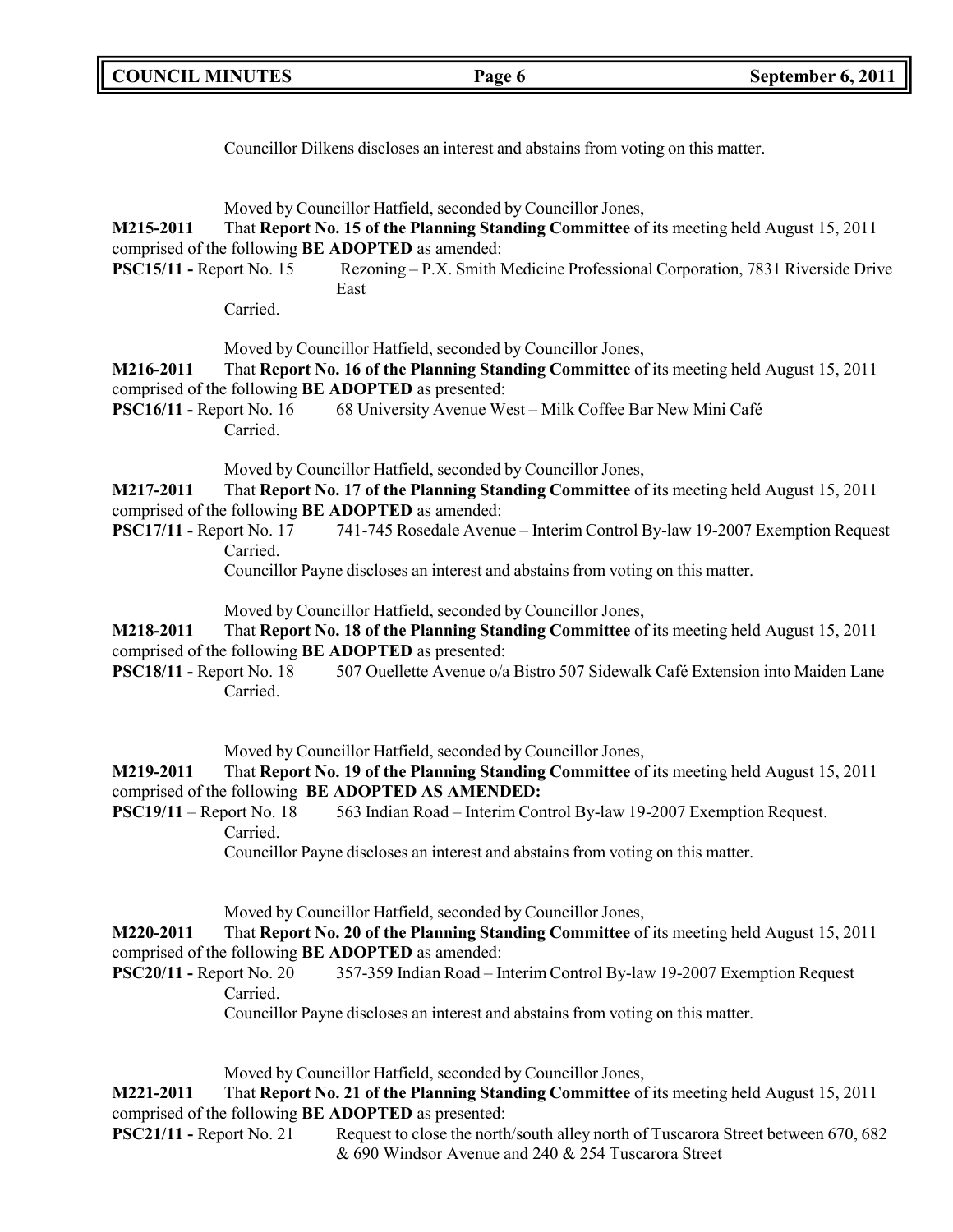| <b>COUNCIL MINUTES</b>                       |                                                                       | Page 6                                                                                                                                                                                                                                                                                                                    | September 6, 2011 |
|----------------------------------------------|-----------------------------------------------------------------------|---------------------------------------------------------------------------------------------------------------------------------------------------------------------------------------------------------------------------------------------------------------------------------------------------------------------------|-------------------|
|                                              |                                                                       | Councillor Dilkens discloses an interest and abstains from voting on this matter.                                                                                                                                                                                                                                         |                   |
| M215-2011<br><b>PSC15/11 - Report No. 15</b> | comprised of the following BE ADOPTED as amended:<br>East<br>Carried. | Moved by Councillor Hatfield, seconded by Councillor Jones,<br>That Report No. 15 of the Planning Standing Committee of its meeting held August 15, 2011<br>Rezoning - P.X. Smith Medicine Professional Corporation, 7831 Riverside Drive                                                                                 |                   |
| M216-2011<br><b>PSC16/11 - Report No. 16</b> | comprised of the following BE ADOPTED as presented:<br>Carried.       | Moved by Councillor Hatfield, seconded by Councillor Jones,<br>That Report No. 16 of the Planning Standing Committee of its meeting held August 15, 2011<br>68 University Avenue West - Milk Coffee Bar New Mini Café                                                                                                     |                   |
| M217-2011<br><b>PSC17/11 - Report No. 17</b> | comprised of the following BE ADOPTED as amended:<br>Carried.         | Moved by Councillor Hatfield, seconded by Councillor Jones,<br>That Report No. 17 of the Planning Standing Committee of its meeting held August 15, 2011<br>741-745 Rosedale Avenue - Interim Control By-law 19-2007 Exemption Request<br>Councillor Payne discloses an interest and abstains from voting on this matter. |                   |
| M218-2011<br><b>PSC18/11 - Report No. 18</b> | comprised of the following BE ADOPTED as presented:<br>Carried.       | Moved by Councillor Hatfield, seconded by Councillor Jones,<br>That Report No. 18 of the Planning Standing Committee of its meeting held August 15, 2011<br>507 Ouellette Avenue o/a Bistro 507 Sidewalk Café Extension into Maiden Lane                                                                                  |                   |
| M219-2011<br>$PSC19/11 - Report No. 18$      | comprised of the following BE ADOPTED AS AMENDED:<br>Carried.         | Moved by Councillor Hatfield, seconded by Councillor Jones,<br>That Report No. 19 of the Planning Standing Committee of its meeting held August 15, 2011<br>563 Indian Road - Interim Control By-law 19-2007 Exemption Request.<br>Councillor Payne discloses an interest and abstains from voting on this matter.        |                   |
| M220-2011<br>$PSC20/11$ - Report No. 20      | comprised of the following BE ADOPTED as amended:<br>Carried.         | Moved by Councillor Hatfield, seconded by Councillor Jones,<br>That Report No. 20 of the Planning Standing Committee of its meeting held August 15, 2011<br>357-359 Indian Road - Interim Control By-law 19-2007 Exemption Request<br>Councillor Payne discloses an interest and abstains from voting on this matter.     |                   |
|                                              |                                                                       | Moved by Councillor Hatfield, seconded by Councillor Jones,                                                                                                                                                                                                                                                               |                   |

**M221-2011** That **Report No. 21 of the Planning Standing Committee** of its meeting held August 15, 2011 comprised of the following **BE ADOPTED** as presented:<br>**PSC21/11 -** Report No. 21 Request to close the north

Request to close the north/south alley north of Tuscarora Street between 670, 682 & 690 Windsor Avenue and 240 & 254 Tuscarora Street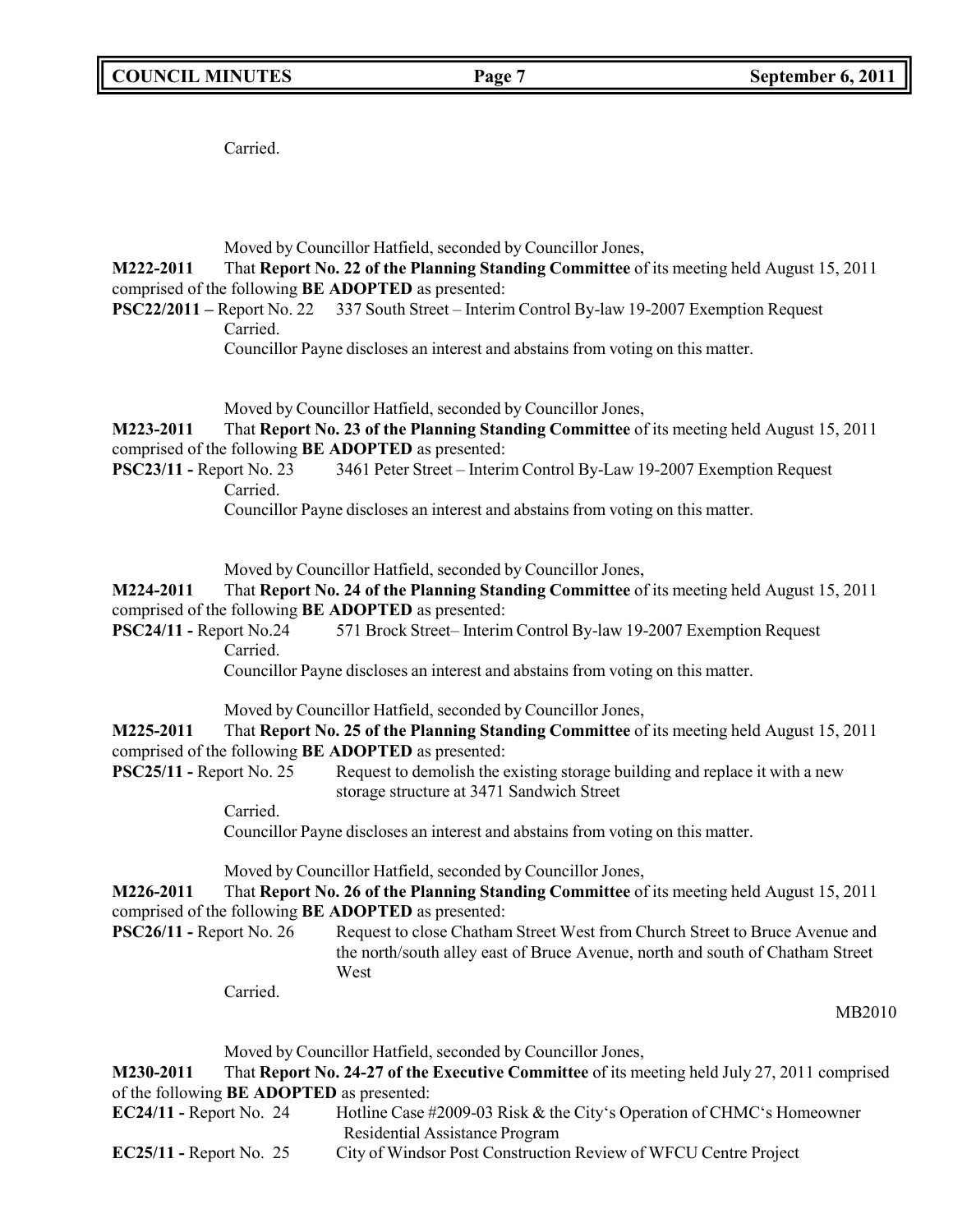Carried.

Moved by Councillor Hatfield, seconded by Councillor Jones,

**M222-2011** That **Report No. 22 of the Planning Standing Committee** of its meeting held August 15, 2011 comprised of the following **BE ADOPTED** as presented:

**PSC22/2011 –** Report No. 22 337 South Street – Interim Control By-law 19-2007 Exemption Request Carried.

Councillor Payne discloses an interest and abstains from voting on this matter.

Moved by Councillor Hatfield, seconded by Councillor Jones,

**M223-2011** That **Report No. 23 of the Planning Standing Committee** of its meeting held August 15, 2011 comprised of the following **BE ADOPTED** as presented:

**PSC23/11 -** Report No. 23 3461 Peter Street – Interim Control By-Law 19-2007 Exemption Request Carried.

Councillor Payne discloses an interest and abstains from voting on this matter.

Moved by Councillor Hatfield, seconded by Councillor Jones,

**M224-2011** That **Report No. 24 of the Planning Standing Committee** of its meeting held August 15, 2011 comprised of the following **BE ADOPTED** as presented:

**PSC24/11 -** Report No.24 571 Brock Street– Interim Control By-law 19-2007 Exemption Request Carried.

Councillor Payne discloses an interest and abstains from voting on this matter.

Moved by Councillor Hatfield, seconded by Councillor Jones,

**M225-2011** That **Report No. 25 of the Planning Standing Committee** of its meeting held August 15, 2011 comprised of the following **BE ADOPTED** as presented:

**PSC25/11 -** Report No. 25 Request to demolish the existing storage building and replace it with a new storage structure at 3471 Sandwich Street

Carried.

Councillor Payne discloses an interest and abstains from voting on this matter.

Moved by Councillor Hatfield, seconded by Councillor Jones,

**M226-2011** That **Report No. 26 of the Planning Standing Committee** of its meeting held August 15, 2011 comprised of the following **BE ADOPTED** as presented:

**PSC26/11 -** Report No. 26 Request to close Chatham Street West from Church Street to Bruce Avenue and the north/south alley east of Bruce Avenue, north and south of Chatham Street West

Carried.

MB2010

Moved by Councillor Hatfield, seconded by Councillor Jones,

**M230-2011** That **Report No. 24-27 of the Executive Committee** of its meeting held July 27, 2011 comprised of the following **BE ADOPTED** as presented:

- **EC24/11 -** Report No. 24 Hotline Case #2009-03 Risk & the City's Operation of CHMC's Homeowner Residential Assistance Program
- **EC25/11 -** Report No. 25 City of Windsor Post Construction Review of WFCU Centre Project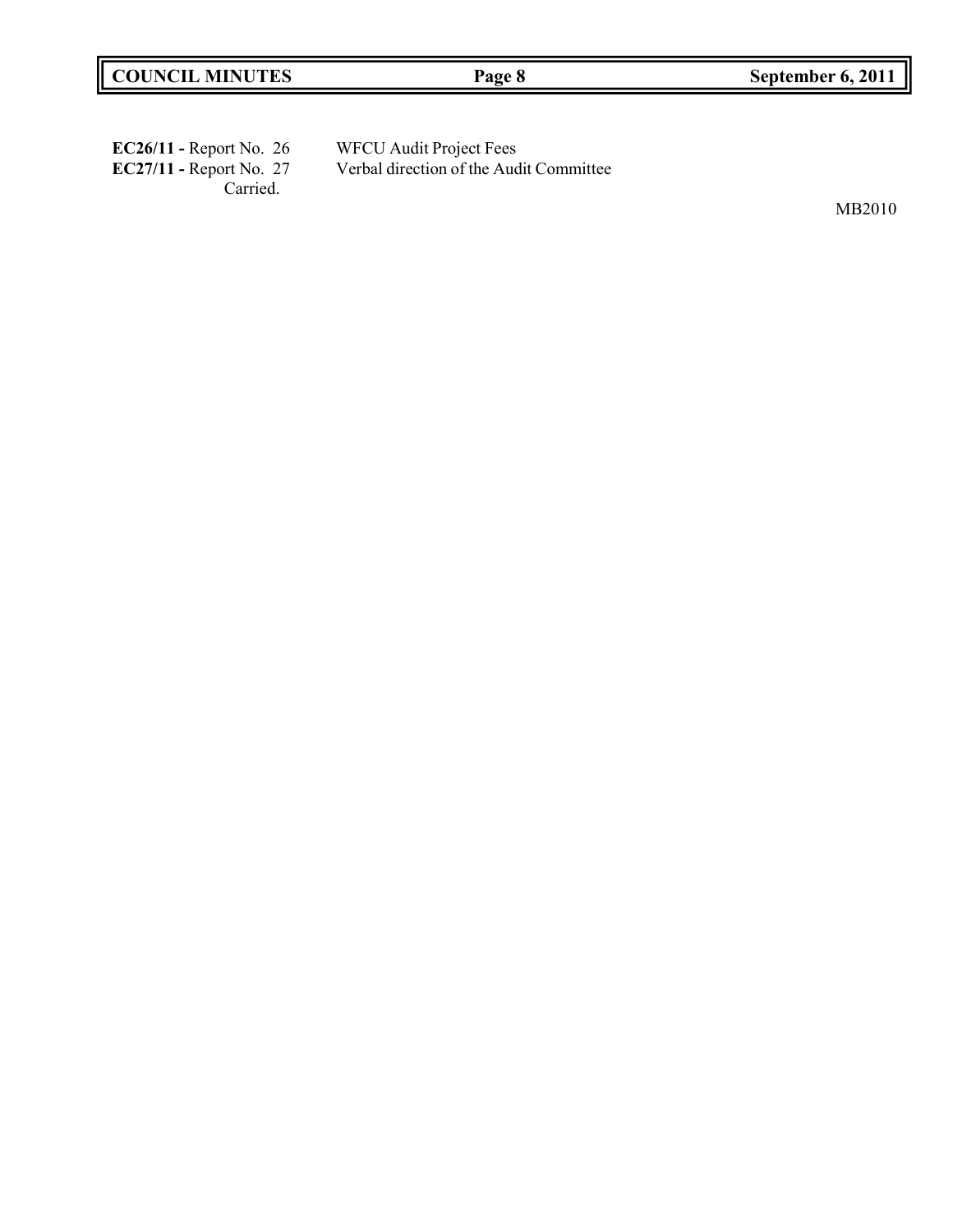| EC26/11 - Report No. 26   | <b>WFCU Audit Project Fees</b>          |
|---------------------------|-----------------------------------------|
| $EC27/11$ - Report No. 27 | Verbal direction of the Audit Committee |
| Carried.                  |                                         |

MB2010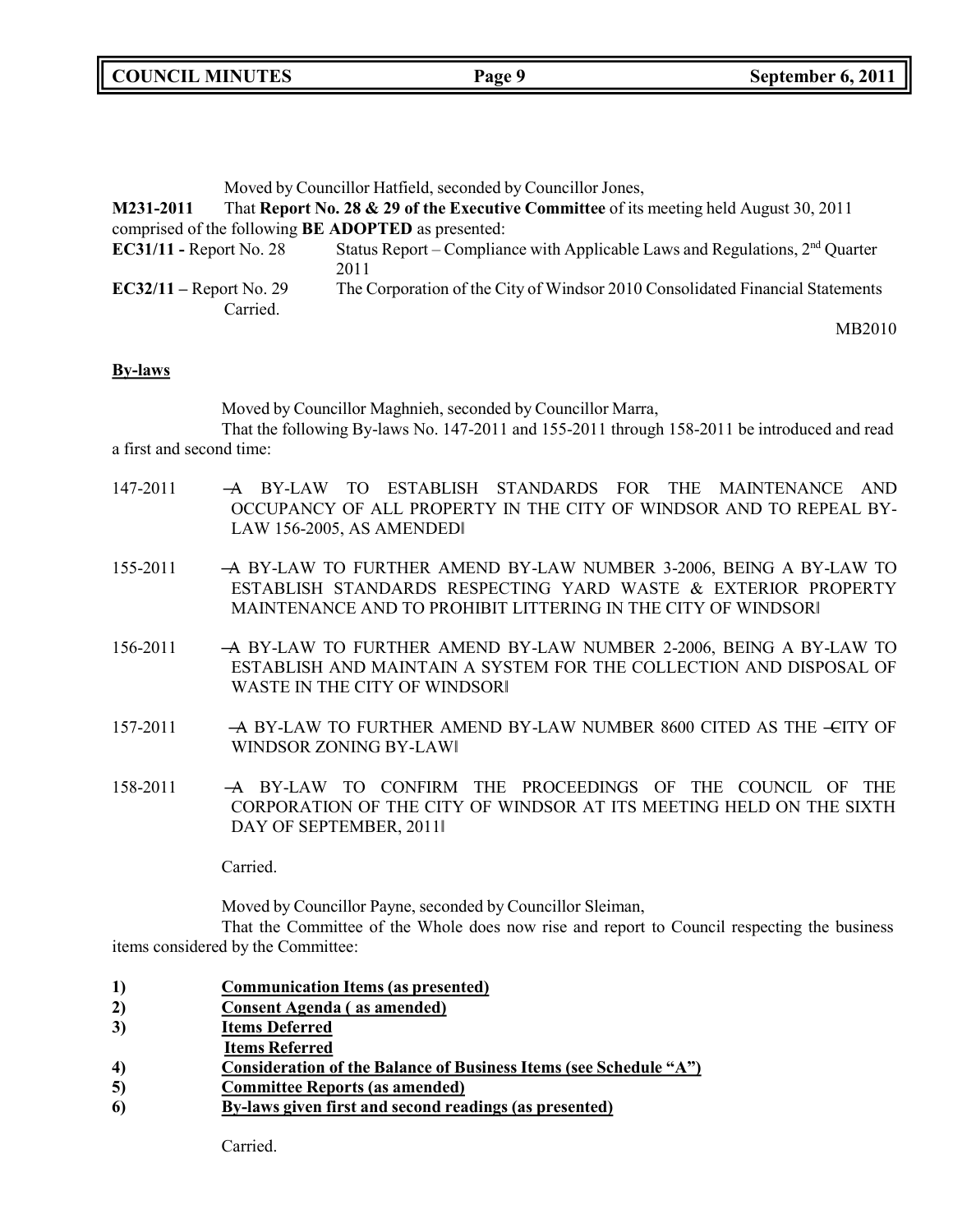**COUNCIL MINUTES Page 9 September 6, 2011**

|                           |          | Moved by Councillor Hatfield, seconded by Councillor Jones,                            |
|---------------------------|----------|----------------------------------------------------------------------------------------|
| M231-2011                 |          | That Report No. 28 & 29 of the Executive Committee of its meeting held August 30, 2011 |
|                           |          | comprised of the following <b>BE ADOPTED</b> as presented:                             |
| $EC31/11$ - Report No. 28 |          | Status Report – Compliance with Applicable Laws and Regulations, $2nd$ Quarter<br>2011 |
| $EC32/11 - Report No. 29$ | Carried. | The Corporation of the City of Windsor 2010 Consolidated Financial Statements          |
|                           |          | MB2010                                                                                 |

**By-laws**

Moved by Councillor Maghnieh, seconded by Councillor Marra,

That the following By-laws No. 147-2011 and 155-2011 through 158-2011 be introduced and read a first and second time:

- 147-2011 ―A BY-LAW TO ESTABLISH STANDARDS FOR THE MAINTENANCE AND OCCUPANCY OF ALL PROPERTY IN THE CITY OF WINDSOR AND TO REPEAL BY-LAW 156-2005, AS AMENDED‖
- 155-2011 ―A BY-LAW TO FURTHER AMEND BY-LAW NUMBER 3-2006, BEING A BY-LAW TO ESTABLISH STANDARDS RESPECTING YARD WASTE & EXTERIOR PROPERTY MAINTENANCE AND TO PROHIBIT LITTERING IN THE CITY OF WINDSOR‖
- 156-2011 ―A BY-LAW TO FURTHER AMEND BY-LAW NUMBER 2-2006, BEING A BY-LAW TO ESTABLISH AND MAINTAIN A SYSTEM FOR THE COLLECTION AND DISPOSAL OF WASTE IN THE CITY OF WINDSOR‖
- 157-2011 A BY-LAW TO FURTHER AMEND BY-LAW NUMBER 8600 CITED AS THE -CITY OF WINDSOR ZONING BY-LAW‖
- 158-2011 ―A BY-LAW TO CONFIRM THE PROCEEDINGS OF THE COUNCIL OF THE CORPORATION OF THE CITY OF WINDSOR AT ITS MEETING HELD ON THE SIXTH DAY OF SEPTEMBER, 2011‖

Carried.

Moved by Councillor Payne, seconded by Councillor Sleiman,

That the Committee of the Whole does now rise and report to Council respecting the business items considered by the Committee:

- **1) Communication Items (as presented)**
- **2) Consent Agenda ( as amended)**
- **3) Items Deferred**
- **Items Referred**
- **4) Consideration of the Balance of Business Items (see Schedule "A")**
- **5) Committee Reports (as amended)**
- **6) By-laws given first and second readings (as presented)**

Carried.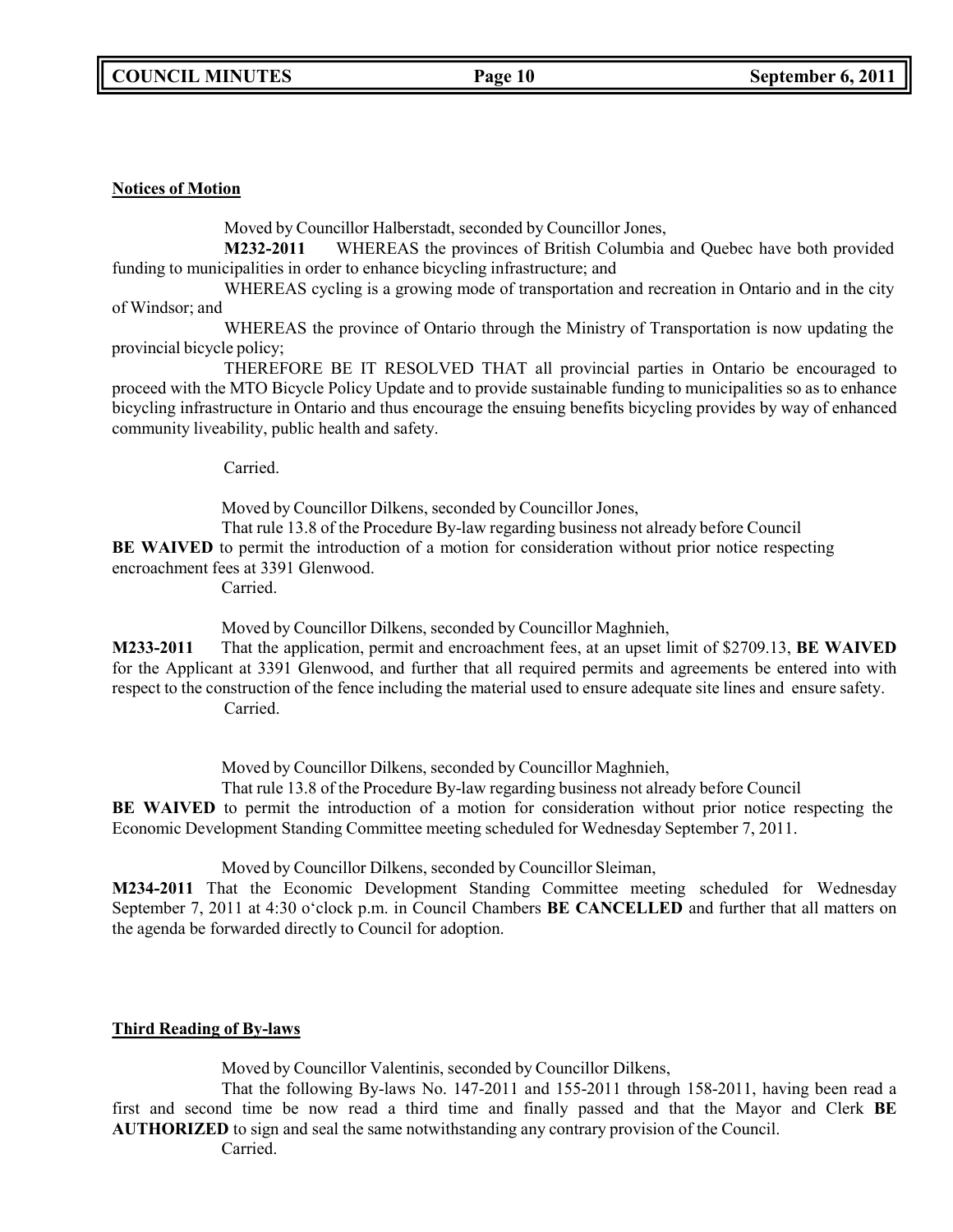### **Notices of Motion**

Moved by Councillor Halberstadt, seconded by Councillor Jones,

**M232-2011** WHEREAS the provinces of British Columbia and Quebec have both provided funding to municipalities in order to enhance bicycling infrastructure; and

WHEREAS cycling is a growing mode of transportation and recreation in Ontario and in the city of Windsor; and

WHEREAS the province of Ontario through the Ministry of Transportation is now updating the provincial bicycle policy;

THEREFORE BE IT RESOLVED THAT all provincial parties in Ontario be encouraged to proceed with the MTO Bicycle Policy Update and to provide sustainable funding to municipalities so as to enhance bicycling infrastructure in Ontario and thus encourage the ensuing benefits bicycling provides by way of enhanced community liveability, public health and safety.

Carried.

Moved by Councillor Dilkens, seconded by Councillor Jones,

That rule 13.8 of the Procedure By-law regarding business not already before Council

**BE WAIVED** to permit the introduction of a motion for consideration without prior notice respecting

encroachment fees at 3391 Glenwood.

Carried.

Moved by Councillor Dilkens, seconded by Councillor Maghnieh,

**M233-2011** That the application, permit and encroachment fees, at an upset limit of \$2709.13, **BE WAIVED** for the Applicant at 3391 Glenwood, and further that all required permits and agreements be entered into with respect to the construction of the fence including the material used to ensure adequate site lines and ensure safety. Carried.

Moved by Councillor Dilkens, seconded by Councillor Maghnieh,

That rule 13.8 of the Procedure By-law regarding business not already before Council

**BE WAIVED** to permit the introduction of a motion for consideration without prior notice respecting the Economic Development Standing Committee meeting scheduled for Wednesday September 7, 2011.

Moved by Councillor Dilkens, seconded by Councillor Sleiman,

**M234-2011** That the Economic Development Standing Committee meeting scheduled for Wednesday September 7, 2011 at 4:30 o'clock p.m. in Council Chambers **BE CANCELLED** and further that all matters on the agenda be forwarded directly to Council for adoption.

### **Third Reading of By-laws**

Moved by Councillor Valentinis, seconded by Councillor Dilkens,

That the following By-laws No. 147-2011 and 155-2011 through 158-2011, having been read a first and second time be now read a third time and finally passed and that the Mayor and Clerk **BE AUTHORIZED** to sign and seal the same notwithstanding any contrary provision of the Council.

Carried.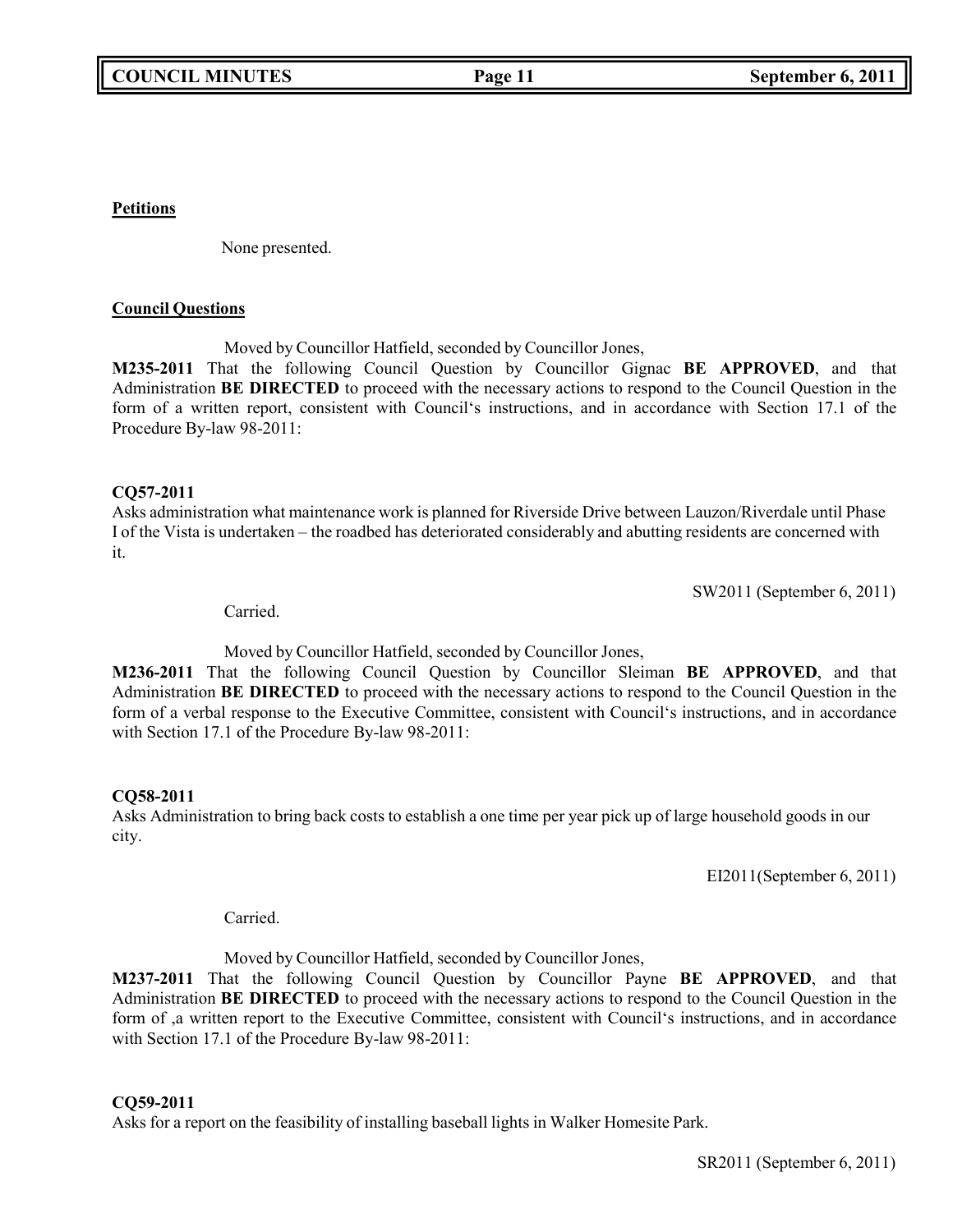**Petitions**

None presented.

### **Council Questions**

Moved by Councillor Hatfield, seconded by Councillor Jones,

**M235-2011** That the following Council Question by Councillor Gignac **BE APPROVED**, and that Administration **BE DIRECTED** to proceed with the necessary actions to respond to the Council Question in the form of a written report, consistent with Council's instructions, and in accordance with Section 17.1 of the Procedure By-law 98-2011:

### **CQ57-2011**

Asks administration what maintenance work is planned for Riverside Drive between Lauzon/Riverdale until Phase I of the Vista is undertaken – the roadbed has deteriorated considerably and abutting residents are concerned with it.

SW2011 (September 6, 2011)

Carried.

Moved by Councillor Hatfield, seconded by Councillor Jones,

**M236-2011** That the following Council Question by Councillor Sleiman **BE APPROVED**, and that Administration **BE DIRECTED** to proceed with the necessary actions to respond to the Council Question in the form of a verbal response to the Executive Committee, consistent with Council's instructions, and in accordance with Section 17.1 of the Procedure By-law 98-2011:

### **CQ58-2011**

Asks Administration to bring back costs to establish a one time per year pick up of large household goods in our city.

EI2011(September 6, 2011)

Carried.

Moved by Councillor Hatfield, seconded by Councillor Jones,

**M237-2011** That the following Council Question by Councillor Payne **BE APPROVED**, and that Administration **BE DIRECTED** to proceed with the necessary actions to respond to the Council Question in the form of ,a written report to the Executive Committee, consistent with Council's instructions, and in accordance with Section 17.1 of the Procedure By-law 98-2011:

### **CQ59-2011**

Asks for a report on the feasibility of installing baseball lights in Walker Homesite Park.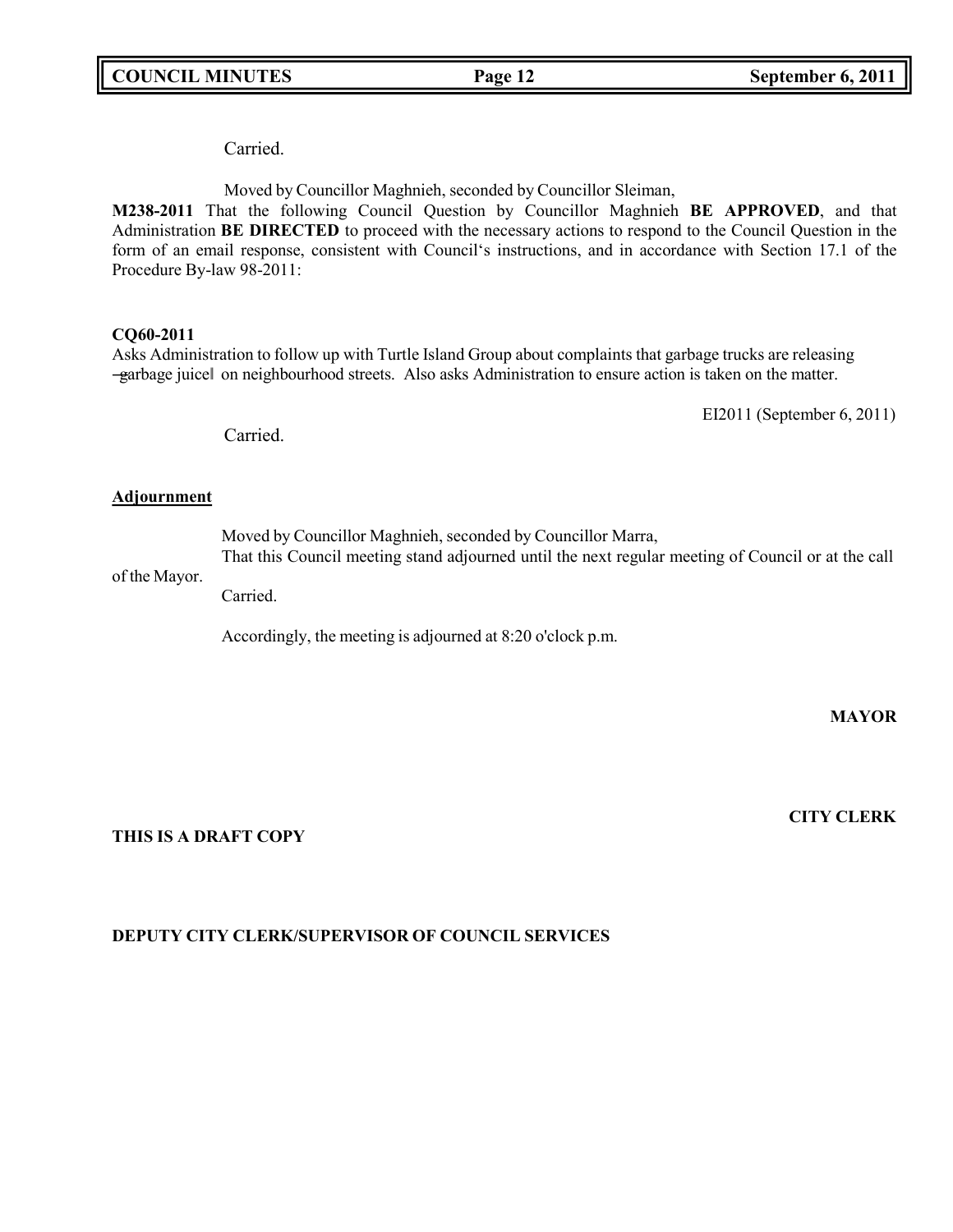Carried.

Moved by Councillor Maghnieh, seconded by Councillor Sleiman,

**M238-2011** That the following Council Question by Councillor Maghnieh **BE APPROVED**, and that Administration **BE DIRECTED** to proceed with the necessary actions to respond to the Council Question in the form of an email response, consistent with Council's instructions, and in accordance with Section 17.1 of the Procedure By-law 98-2011:

### **CQ60-2011**

Asks Administration to follow up with Turtle Island Group about complaints that garbage trucks are releasing ―garbage juice‖ on neighbourhood streets. Also asks Administration to ensure action is taken on the matter.

EI2011 (September 6, 2011)

Carried.

### **Adjournment**

Moved by Councillor Maghnieh, seconded by Councillor Marra,

of the Mayor. That this Council meeting stand adjourned until the next regular meeting of Council or at the call

Carried.

Accordingly, the meeting is adjourned at 8:20 o'clock p.m.

**MAYOR**

**THIS IS A DRAFT COPY**

### **CITY CLERK**

### **DEPUTY CITY CLERK/SUPERVISOR OF COUNCIL SERVICES**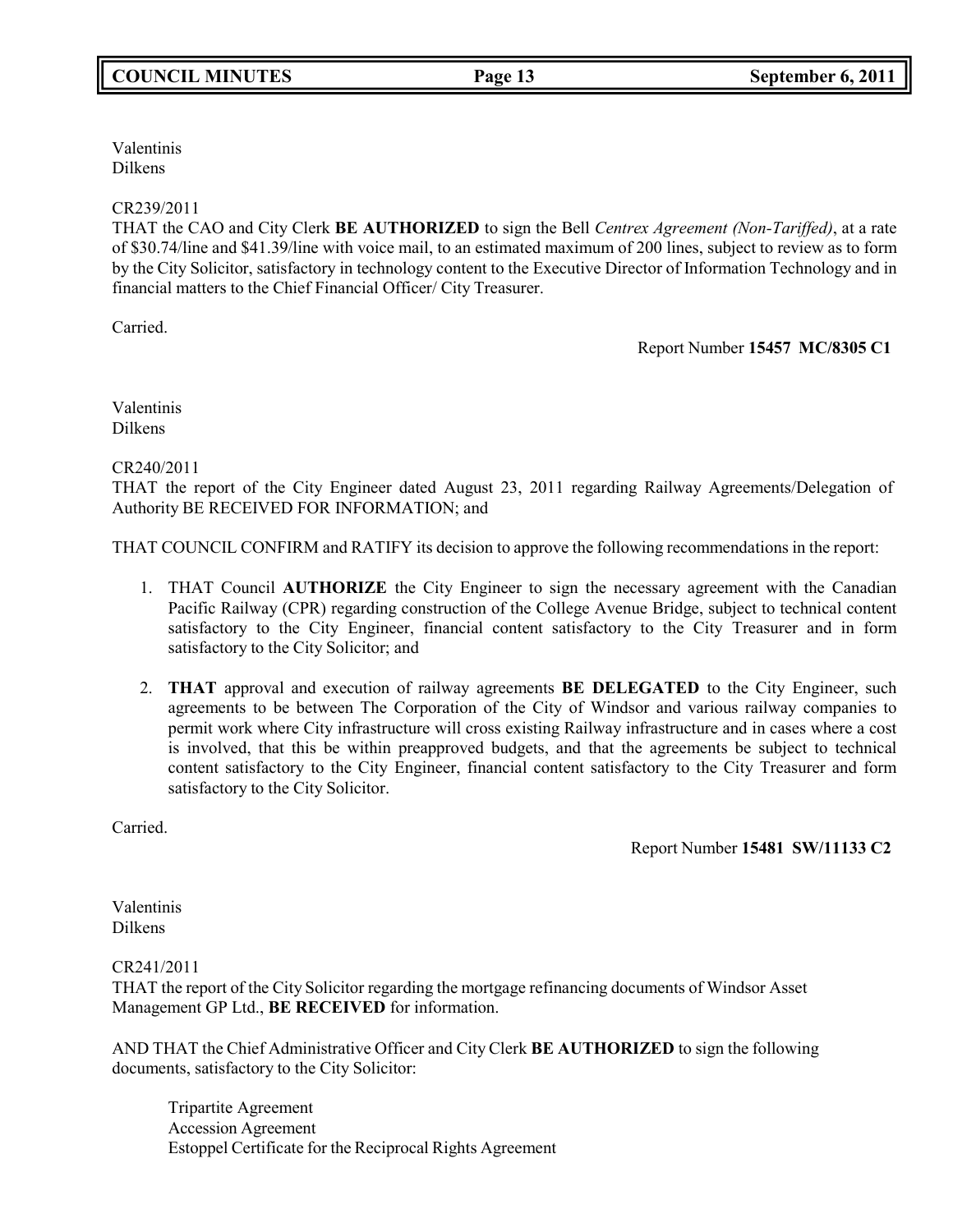Valentinis Dilkens

### CR239/2011

THAT the CAO and City Clerk **BE AUTHORIZED** to sign the Bell *Centrex Agreement (Non-Tariffed)*, at a rate of \$30.74/line and \$41.39/line with voice mail, to an estimated maximum of 200 lines, subject to review as to form by the City Solicitor, satisfactory in technology content to the Executive Director of Information Technology and in financial matters to the Chief Financial Officer/ City Treasurer.

Carried.

Report Number **15457 MC/8305 C1**

Valentinis Dilkens

### CR240/2011

THAT the report of the City Engineer dated August 23, 2011 regarding Railway Agreements/Delegation of Authority BE RECEIVED FOR INFORMATION; and

THAT COUNCIL CONFIRM and RATIFY its decision to approve the following recommendations in the report:

- 1. THAT Council **AUTHORIZE** the City Engineer to sign the necessary agreement with the Canadian Pacific Railway (CPR) regarding construction of the College Avenue Bridge, subject to technical content satisfactory to the City Engineer, financial content satisfactory to the City Treasurer and in form satisfactory to the City Solicitor; and
- 2. **THAT** approval and execution of railway agreements **BE DELEGATED** to the City Engineer, such agreements to be between The Corporation of the City of Windsor and various railway companies to permit work where City infrastructure will cross existing Railway infrastructure and in cases where a cost is involved, that this be within preapproved budgets, and that the agreements be subject to technical content satisfactory to the City Engineer, financial content satisfactory to the City Treasurer and form satisfactory to the City Solicitor.

Carried.

Report Number **15481 SW/11133 C2**

Valentinis Dilkens

CR241/2011

THAT the report of the City Solicitor regarding the mortgage refinancing documents of Windsor Asset Management GP Ltd., **BE RECEIVED** for information.

AND THAT the Chief Administrative Officer and City Clerk **BE AUTHORIZED** to sign the following documents, satisfactory to the City Solicitor:

Tripartite Agreement Accession Agreement Estoppel Certificate for the Reciprocal Rights Agreement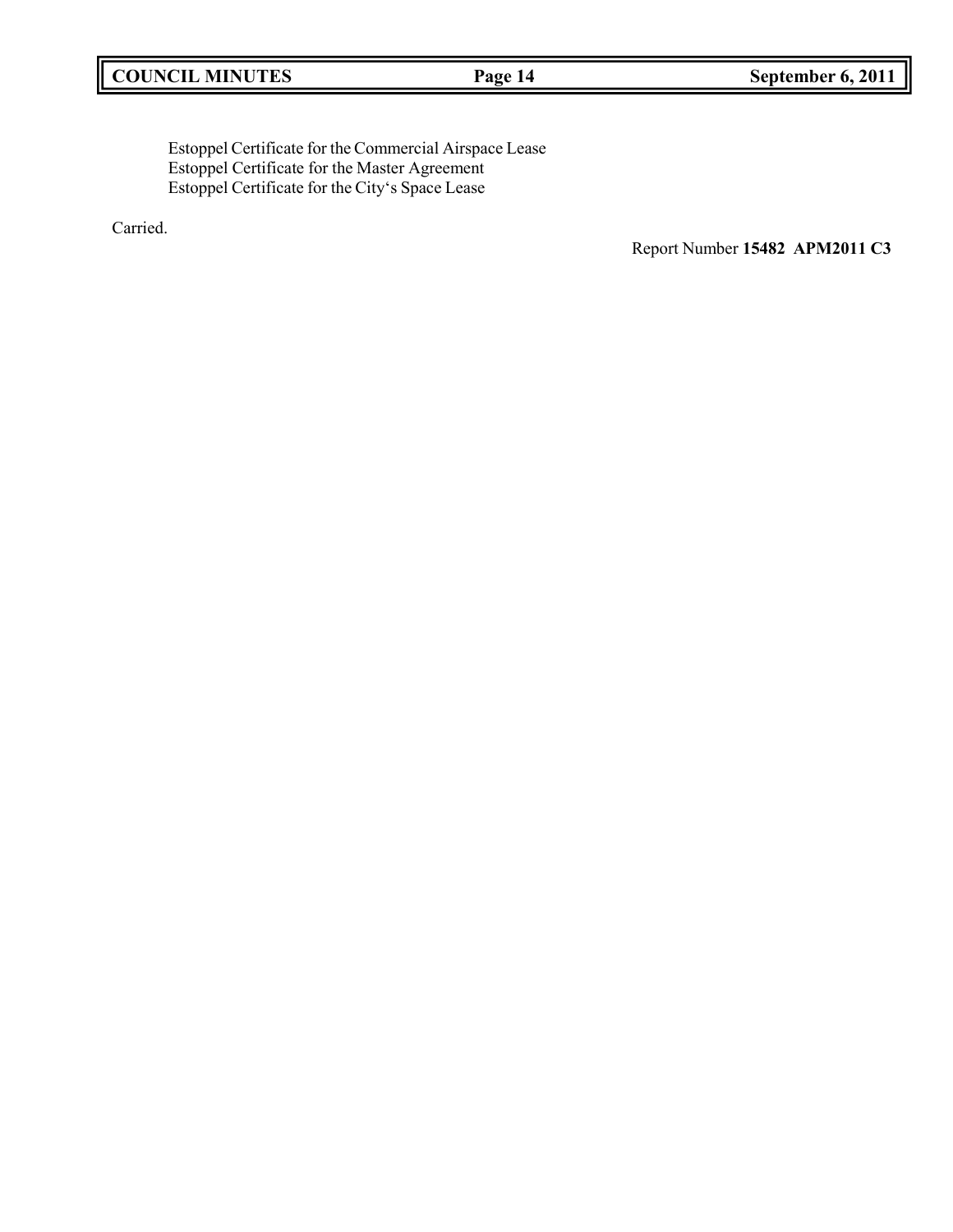Estoppel Certificate for the Commercial Airspace Lease Estoppel Certificate for the Master Agreement Estoppel Certificate for the City's Space Lease

Carried.

Report Number **15482 APM2011 C3**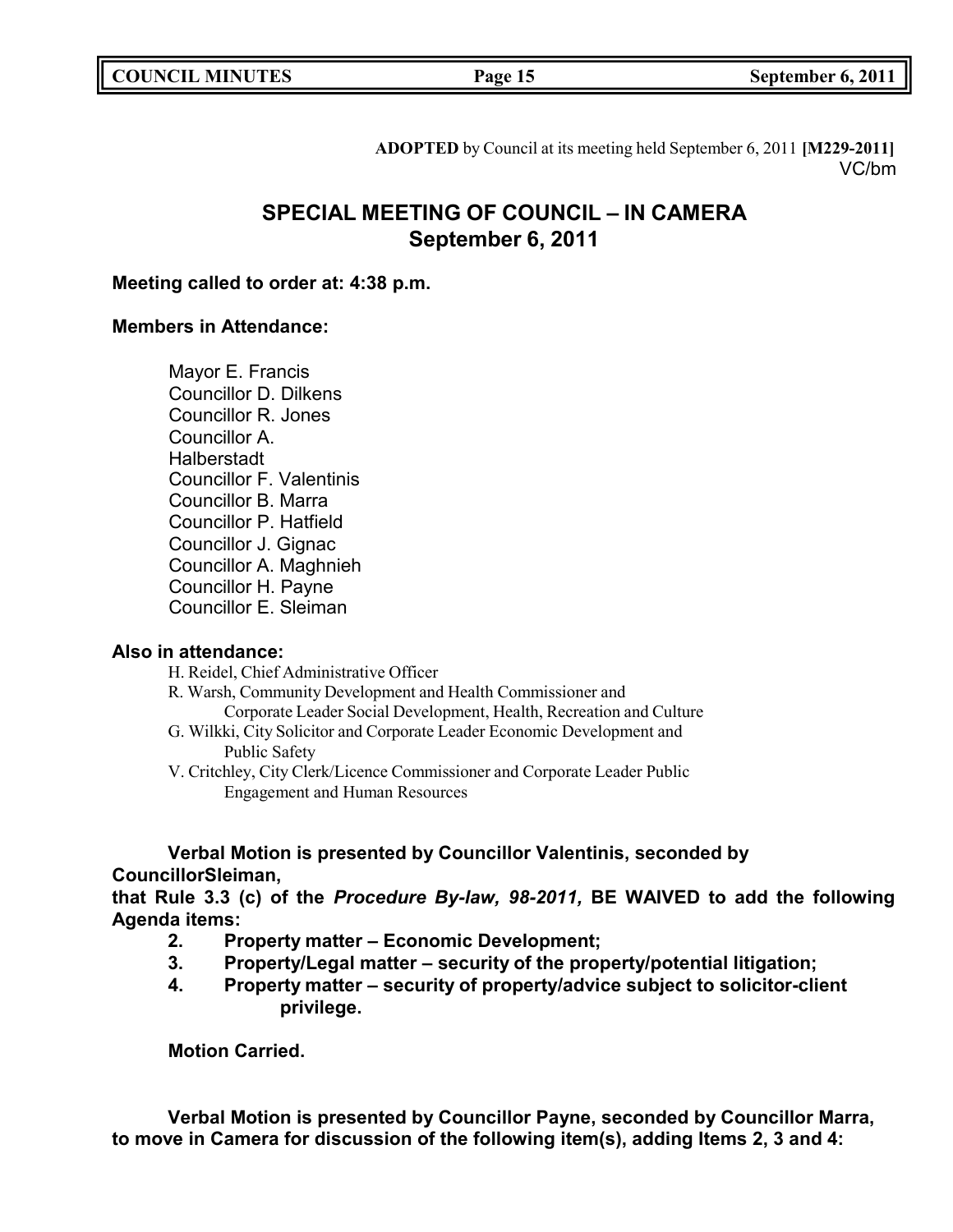|  | <b>COUNCIL MINUTES</b> |
|--|------------------------|
|--|------------------------|

**COUNCIL EXECUTE: COUNCIL EXECUTE: COUNCIL EXECUTE: COUNCIL EXECUTE: COUNCIL EXECUTE: COUNCIL EXECUTE: COUNCIL** 

**ADOPTED** by Council at its meeting held September 6, 2011 **[M229-2011]** VC/bm

### **SPECIAL MEETING OF COUNCIL – IN CAMERA September 6, 2011**

### **Meeting called to order at: 4:38 p.m.**

### **Members in Attendance:**

Mayor E. Francis Councillor D. Dilkens Councillor R. Jones Councillor A. **Halberstadt** Councillor F. Valentinis Councillor B. Marra Councillor P. Hatfield Councillor J. Gignac Councillor A. Maghnieh Councillor H. Payne Councillor E. Sleiman

### **Also in attendance:**

H. Reidel, Chief Administrative Officer

- R. Warsh, Community Development and Health Commissioner and Corporate Leader Social Development, Health, Recreation and Culture
- G. Wilkki, City Solicitor and Corporate Leader Economic Development and Public Safety
- V. Critchley, City Clerk/Licence Commissioner and Corporate Leader Public Engagement and Human Resources

### **Verbal Motion is presented by Councillor Valentinis, seconded by CouncillorSleiman,**

**that Rule 3.3 (c) of the** *Procedure By-law, 98-2011,* **BE WAIVED to add the following Agenda items:**

- **2. Property matter – Economic Development;**
- **3. Property/Legal matter – security of the property/potential litigation;**
- **4. Property matter – security of property/advice subject to solicitor-client privilege.**

**Motion Carried.**

**Verbal Motion is presented by Councillor Payne, seconded by Councillor Marra, to move in Camera for discussion of the following item(s), adding Items 2, 3 and 4:**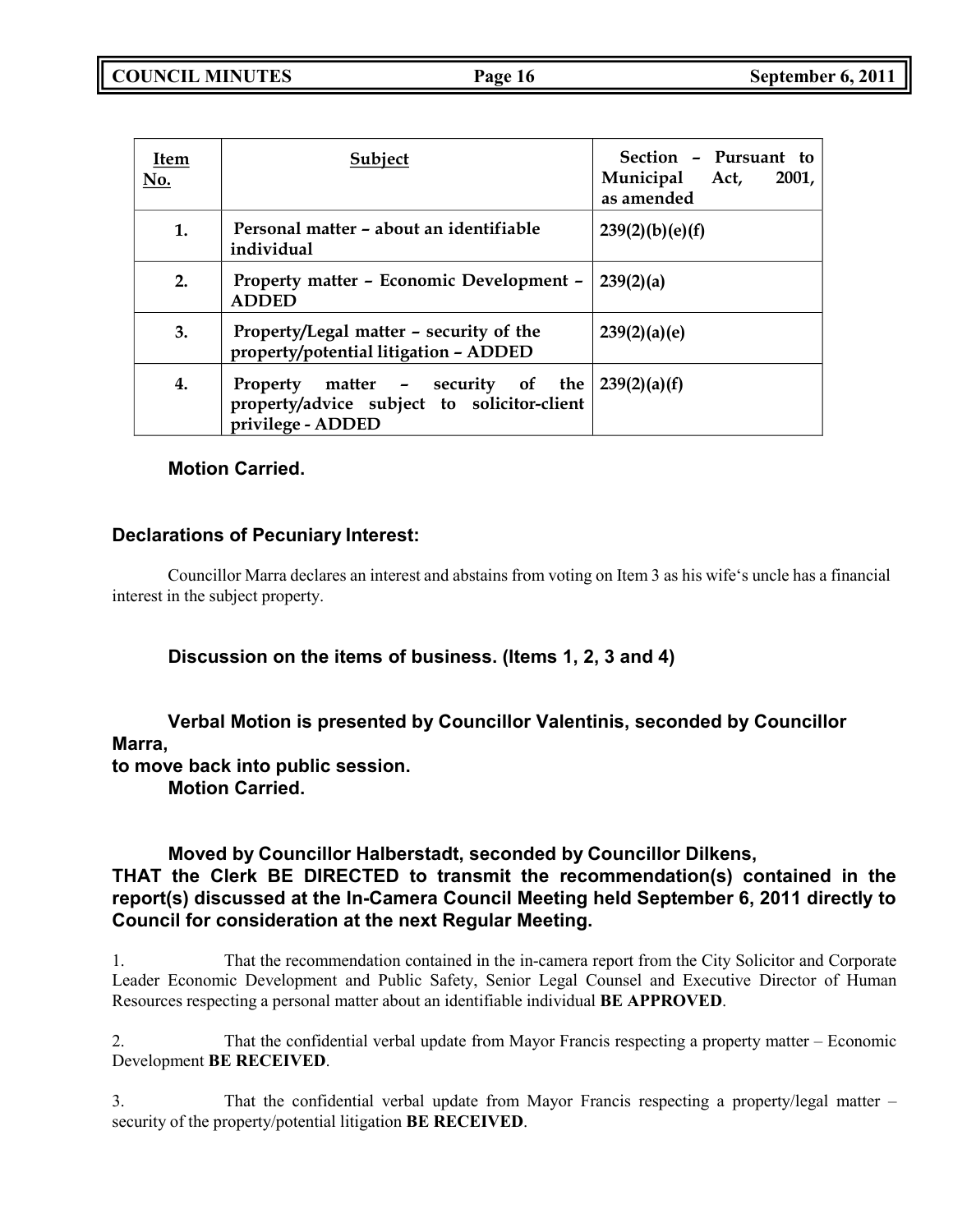| Item<br>No. | Subject                                                                                               | Section - Pursuant to<br>Municipal Act,<br>2001,<br>as amended |
|-------------|-------------------------------------------------------------------------------------------------------|----------------------------------------------------------------|
| 1.          | Personal matter – about an identifiable<br>individual                                                 | 239(2)(b)(e)(f)                                                |
| 2.          | Property matter - Economic Development -<br><b>ADDED</b>                                              | 239(2)(a)                                                      |
| 3.          | Property/Legal matter - security of the<br>property/potential litigation - ADDED                      | 239(2)(a)(e)                                                   |
| 4.          | Property matter - security of the<br>property/advice subject to solicitor-client<br>privilege - ADDED | 239(2)(a)(f)                                                   |

### **Motion Carried.**

### **Declarations of Pecuniary Interest:**

Councillor Marra declares an interest and abstains from voting on Item 3 as his wife's uncle has a financial interest in the subject property.

### **Discussion on the items of business. (Items 1, 2, 3 and 4)**

### **Verbal Motion is presented by Councillor Valentinis, seconded by Councillor Marra,**

**to move back into public session. Motion Carried.**

### **Moved by Councillor Halberstadt, seconded by Councillor Dilkens, THAT the Clerk BE DIRECTED to transmit the recommendation(s) contained in the report(s) discussed at the In-Camera Council Meeting held September 6, 2011 directly to Council for consideration at the next Regular Meeting.**

1. That the recommendation contained in the in-camera report from the City Solicitor and Corporate Leader Economic Development and Public Safety, Senior Legal Counsel and Executive Director of Human Resources respecting a personal matter about an identifiable individual **BE APPROVED**.

2. That the confidential verbal update from Mayor Francis respecting a property matter – Economic Development **BE RECEIVED**.

3. That the confidential verbal update from Mayor Francis respecting a property/legal matter – security of the property/potential litigation **BE RECEIVED**.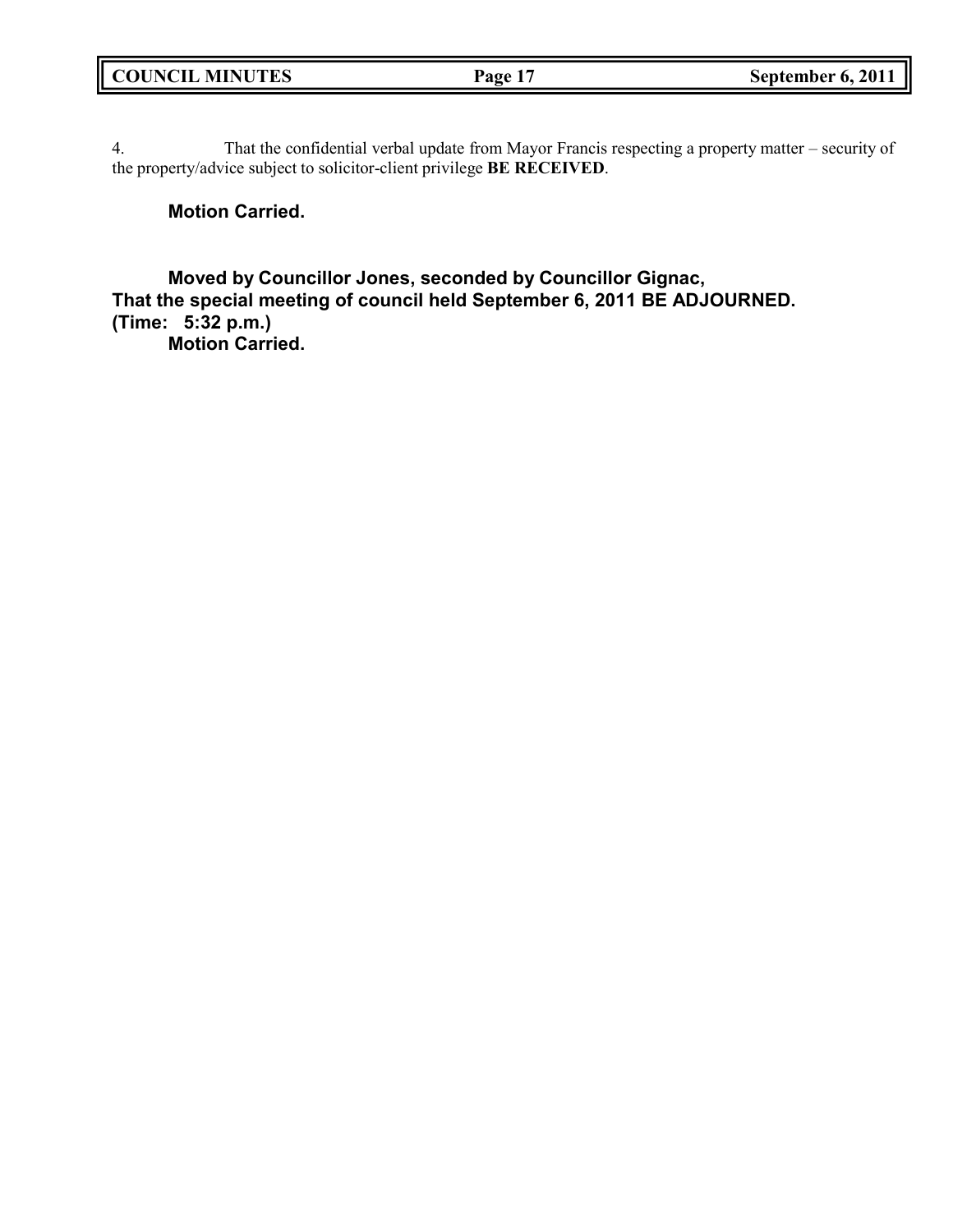4. That the confidential verbal update from Mayor Francis respecting a property matter – security of the property/advice subject to solicitor-client privilege **BE RECEIVED**.

### **Motion Carried.**

**Moved by Councillor Jones, seconded by Councillor Gignac, That the special meeting of council held September 6, 2011 BE ADJOURNED. (Time: 5:32 p.m.) Motion Carried.**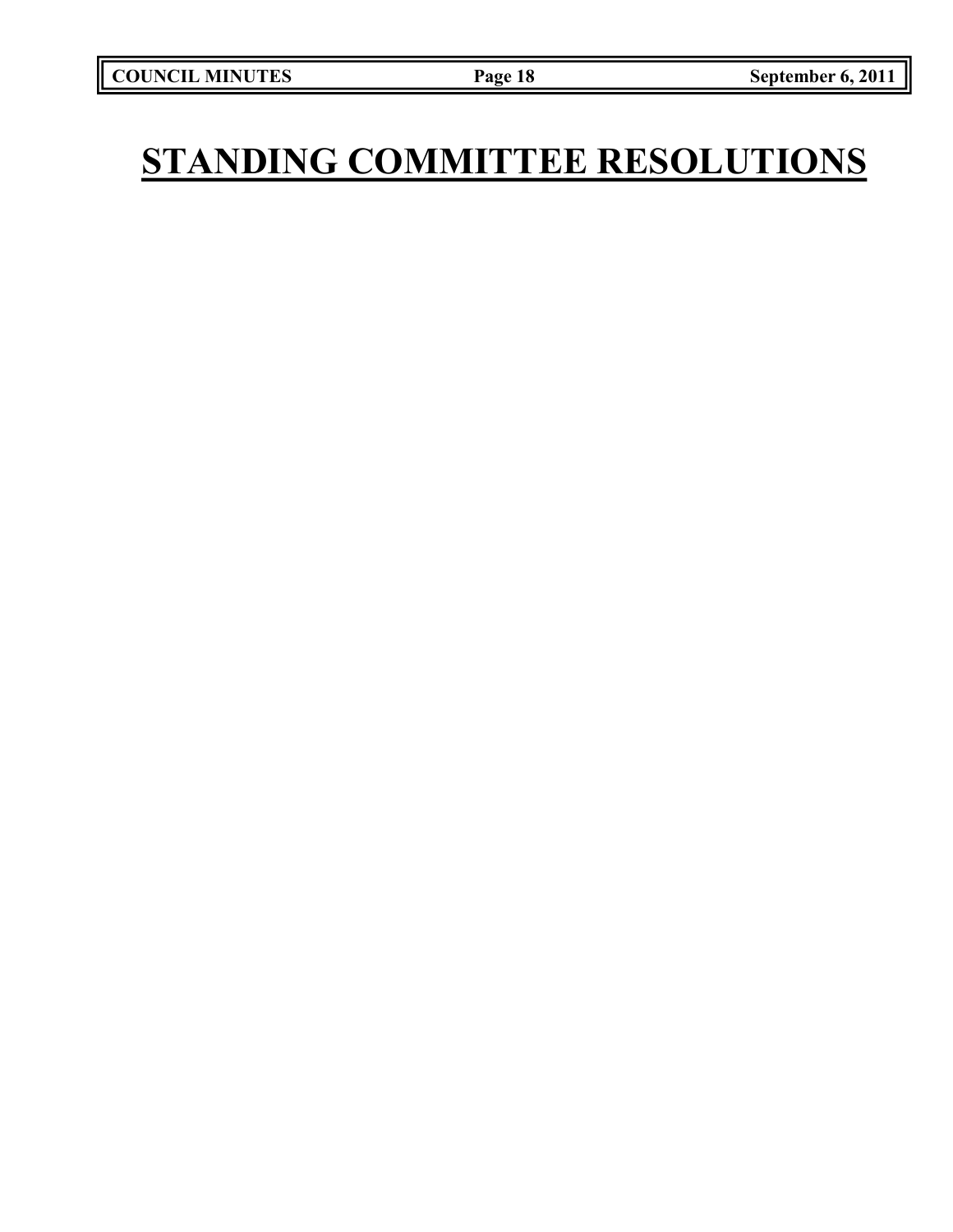# **STANDING COMMITTEE RESOLUTIONS**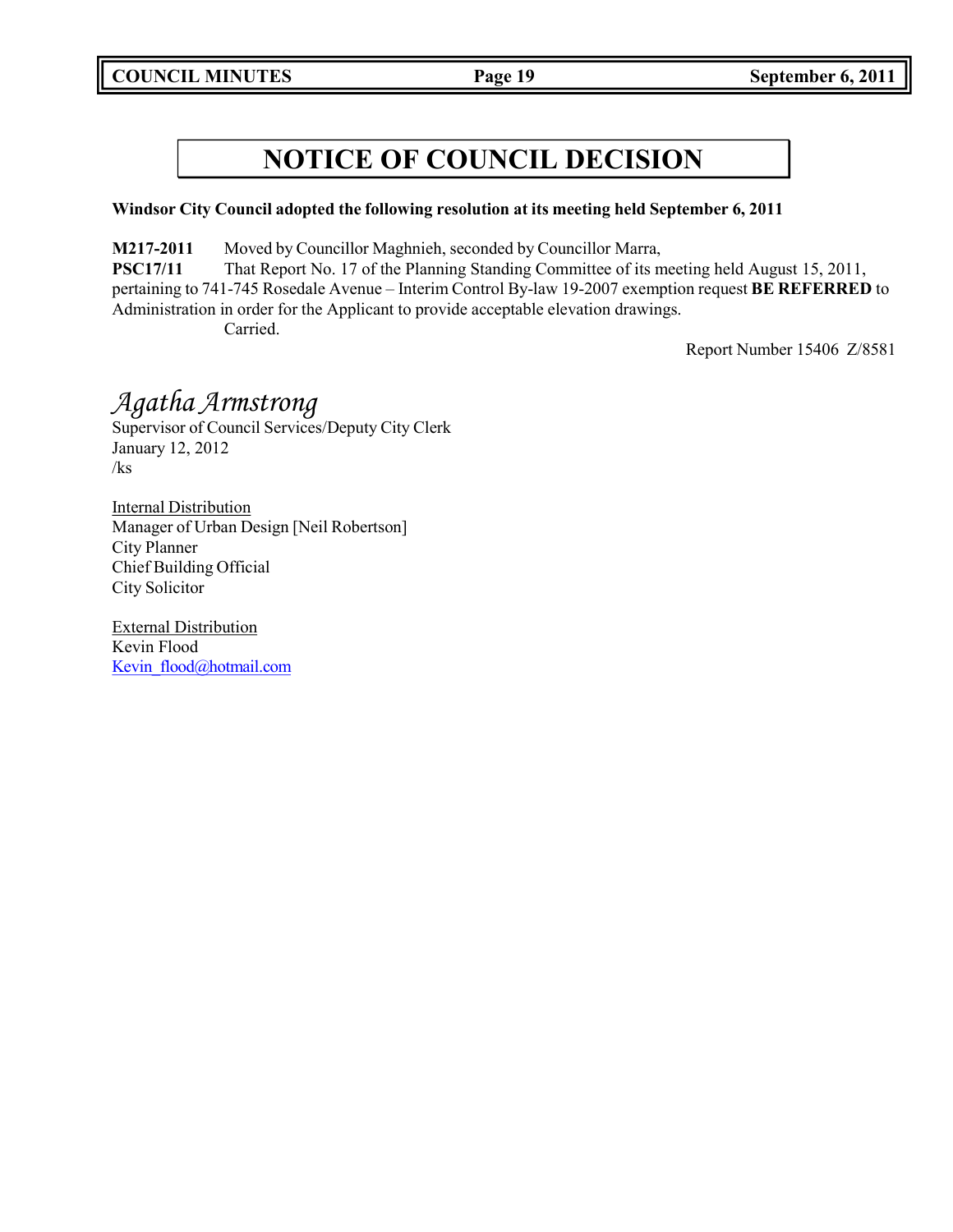### **Windsor City Council adopted the following resolution at its meeting held September 6, 2011**

**M217-2011** Moved by Councillor Maghnieh, seconded by Councillor Marra,

**PSC17/11** That Report No. 17 of the Planning Standing Committee of its meeting held August 15, 2011, pertaining to 741-745 Rosedale Avenue – Interim Control By-law 19-2007 exemption request **BE REFERRED** to Administration in order for the Applicant to provide acceptable elevation drawings. Carried.

Report Number 15406 Z/8581

## *Agatha Armstrong*

Supervisor of Council Services/Deputy City Clerk January 12, 2012 /ks

Internal Distribution Manager of Urban Design [Neil Robertson] City Planner Chief Building Official City Solicitor

External Distribution Kevin Flood Kevin flood@hotmail.com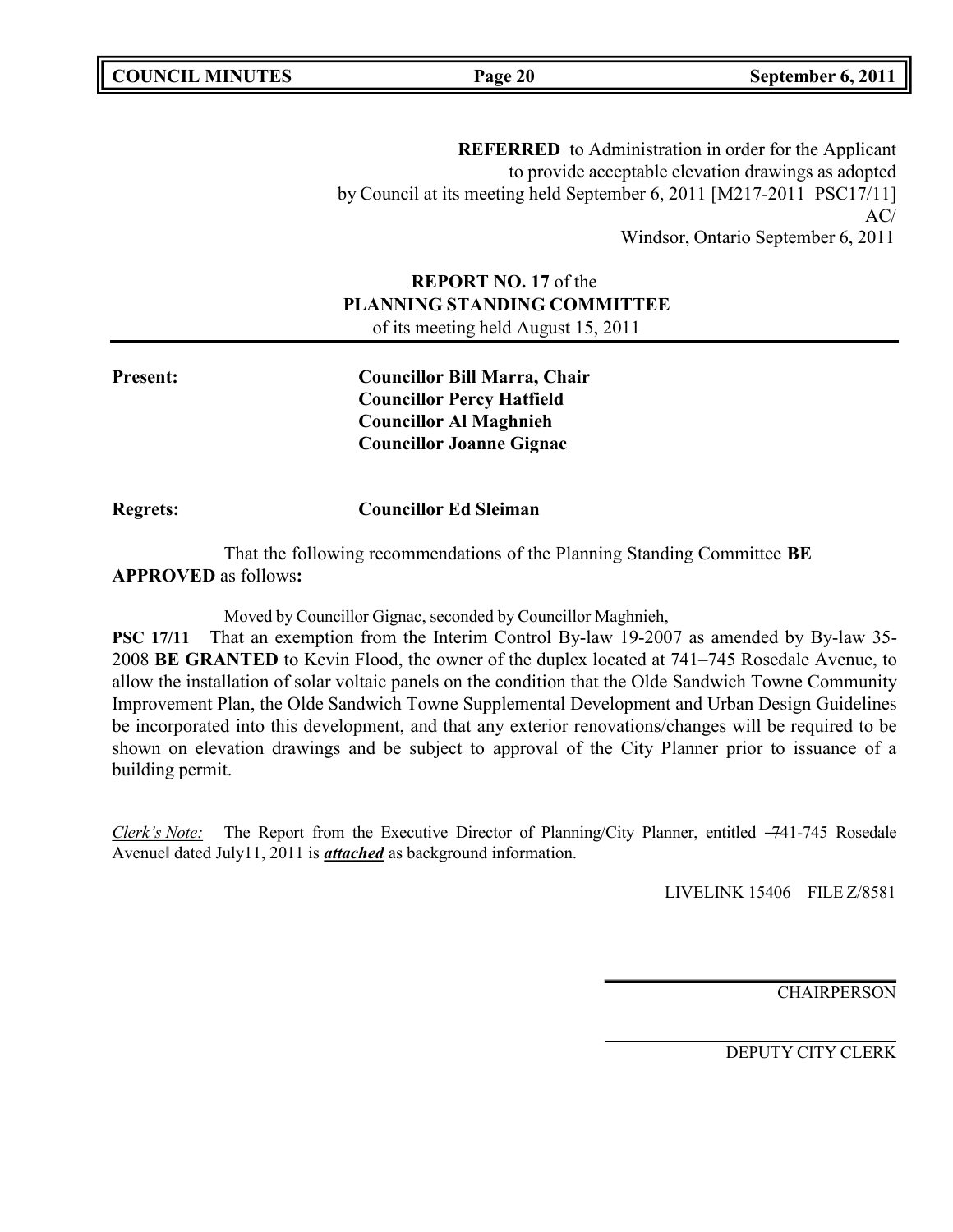**COUNCIL MINUTES Page 20 September 6, 2011**

**REFERRED** to Administration in order for the Applicant to provide acceptable elevation drawings as adopted by Council at its meeting held September 6, 2011 [M217-2011 PSC17/11] AC/ Windsor, Ontario September 6, 2011

### **REPORT NO. 17** of the **PLANNING STANDING COMMITTEE** of its meeting held August 15, 2011

**Present: Councillor Bill Marra, Chair Councillor Percy Hatfield Councillor Al Maghnieh Councillor Joanne Gignac**

**Regrets: Councillor Ed Sleiman**

That the following recommendations of the Planning Standing Committee **BE APPROVED** as follows**:**

Moved by Councillor Gignac, seconded by Councillor Maghnieh,

**PSC 17/11** That an exemption from the Interim Control By-law 19-2007 as amended by By-law 35- 2008 **BE GRANTED** to Kevin Flood, the owner of the duplex located at 741–745 Rosedale Avenue, to allow the installation of solar voltaic panels on the condition that the Olde Sandwich Towne Community Improvement Plan, the Olde Sandwich Towne Supplemental Development and Urban Design Guidelines be incorporated into this development, and that any exterior renovations/changes will be required to be shown on elevation drawings and be subject to approval of the City Planner prior to issuance of a building permit.

*Clerk's Note:* The Report from the Executive Director of Planning/City Planner, entitled –741-745 Rosedale Avenue‖ dated July11, 2011 is *attached* as background information.

LIVELINK 15406 FILE Z/8581

**CHAIRPERSON**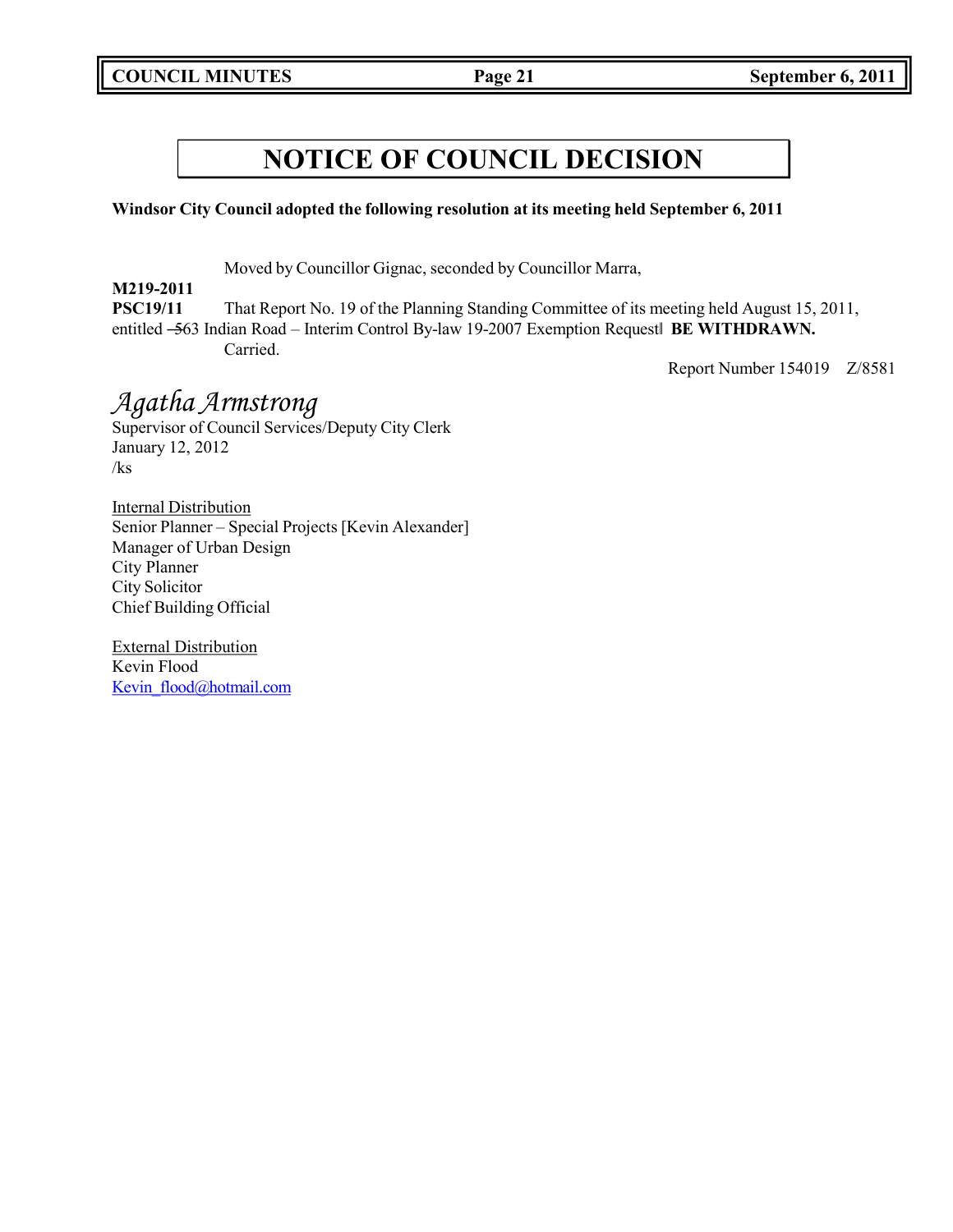**Windsor City Council adopted the following resolution at its meeting held September 6, 2011**

Moved by Councillor Gignac, seconded by Councillor Marra,

**M219-2011 PSC19/11** That Report No. 19 of the Planning Standing Committee of its meeting held August 15, 2011, entitled ―563 Indian Road – Interim Control By-law 19-2007 Exemption Request‖ **BE WITHDRAWN.** Carried.

Report Number 154019 Z/8581

## *Agatha Armstrong*

Supervisor of Council Services/Deputy City Clerk January 12, 2012 /ks

Internal Distribution Senior Planner – Special Projects [Kevin Alexander] Manager of Urban Design City Planner City Solicitor Chief Building Official

External Distribution Kevin Flood Kevin flood@hotmail.com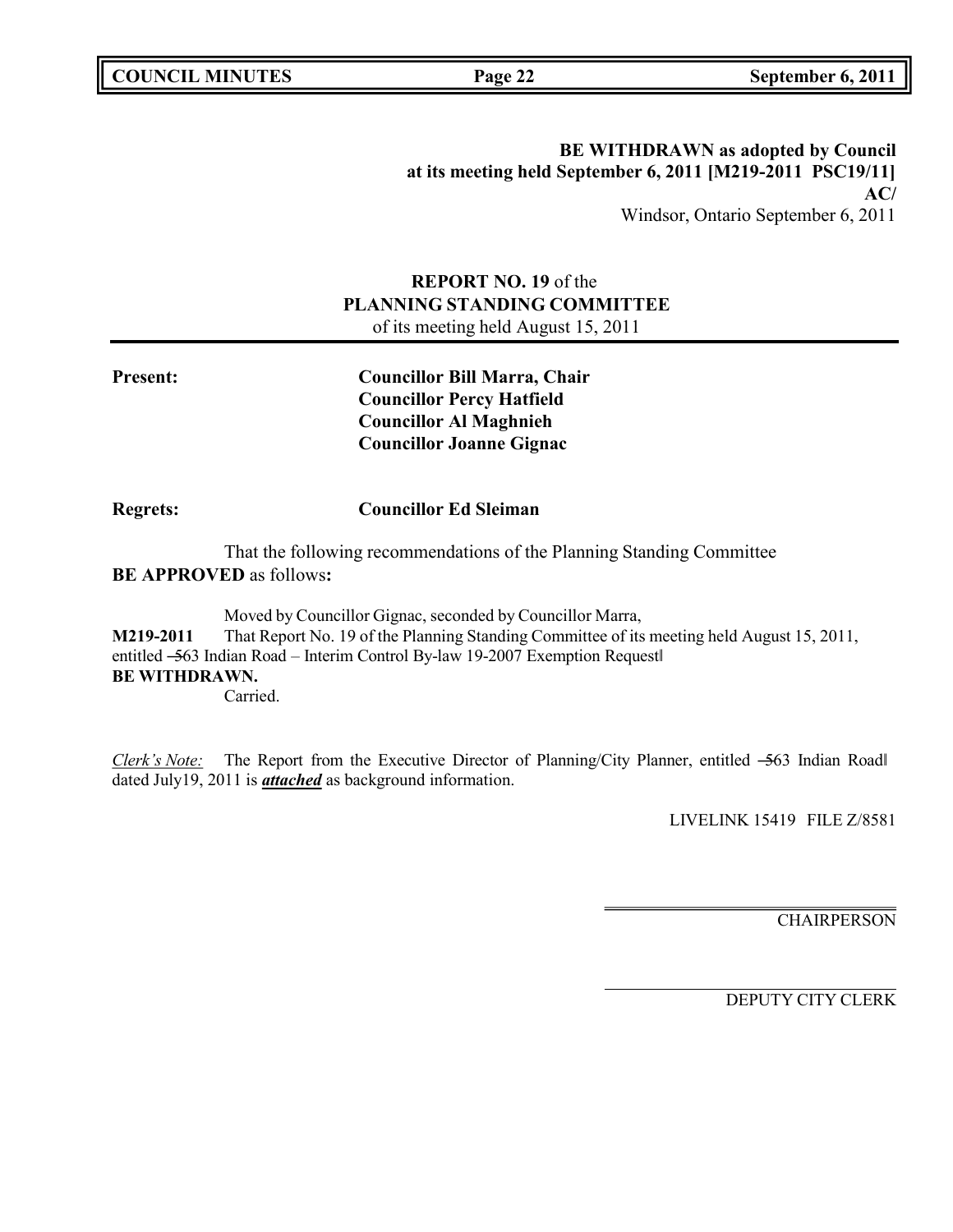### **BE WITHDRAWN as adopted by Council at its meeting held September 6, 2011 [M219-2011 PSC19/11] AC/** Windsor, Ontario September 6, 2011

### **REPORT NO. 19** of the **PLANNING STANDING COMMITTEE** of its meeting held August 15, 2011

**Present: Councillor Bill Marra, Chair Councillor Percy Hatfield Councillor Al Maghnieh Councillor Joanne Gignac**

### **Regrets: Councillor Ed Sleiman**

That the following recommendations of the Planning Standing Committee **BE APPROVED** as follows**:**

Moved by Councillor Gignac, seconded by Councillor Marra, **M219-2011** That Report No. 19 of the Planning Standing Committee of its meeting held August 15, 2011, entitled -563 Indian Road – Interim Control By-law 19-2007 Exemption Request **BE WITHDRAWN.** Carried.

*Clerk's Note:* The Report from the Executive Director of Planning/City Planner, entitled –563 Indian Road dated July19, 2011 is *attached* as background information.

LIVELINK 15419 FILE Z/8581

**CHAIRPERSON**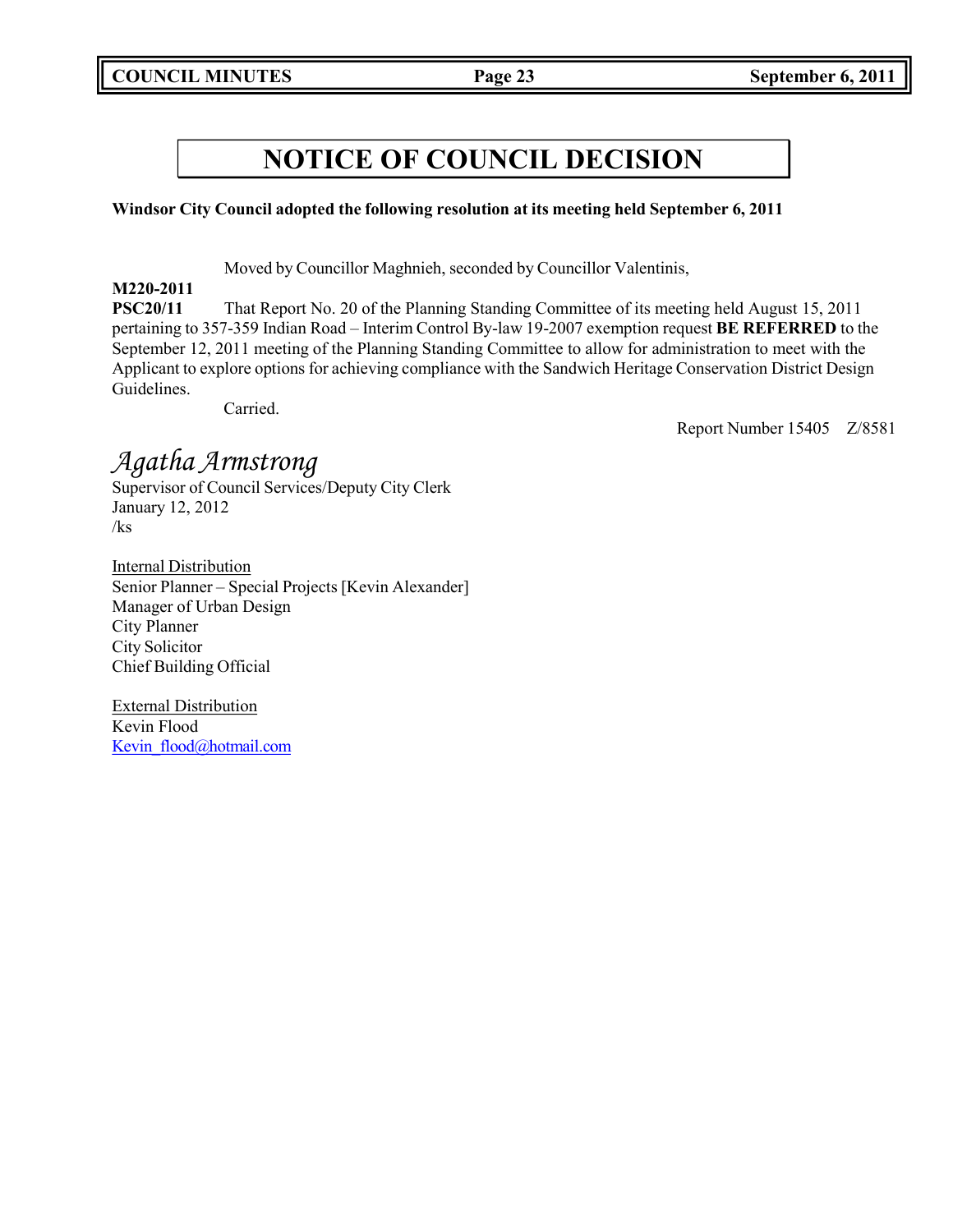### **Windsor City Council adopted the following resolution at its meeting held September 6, 2011**

Moved by Councillor Maghnieh, seconded by Councillor Valentinis,

### **M220-2011**

**PSC20/11** That Report No. 20 of the Planning Standing Committee of its meeting held August 15, 2011 pertaining to 357-359 Indian Road – Interim Control By-law 19-2007 exemption request **BE REFERRED** to the September 12, 2011 meeting of the Planning Standing Committee to allow for administration to meet with the Applicant to explore options for achieving compliance with the Sandwich Heritage Conservation District Design Guidelines.

Carried.

Report Number 15405 Z/8581

## *Agatha Armstrong*

Supervisor of Council Services/Deputy City Clerk January 12, 2012 /ks

Internal Distribution Senior Planner – Special Projects [Kevin Alexander] Manager of Urban Design City Planner City Solicitor Chief Building Official

External Distribution Kevin Flood Kevin flood@hotmail.com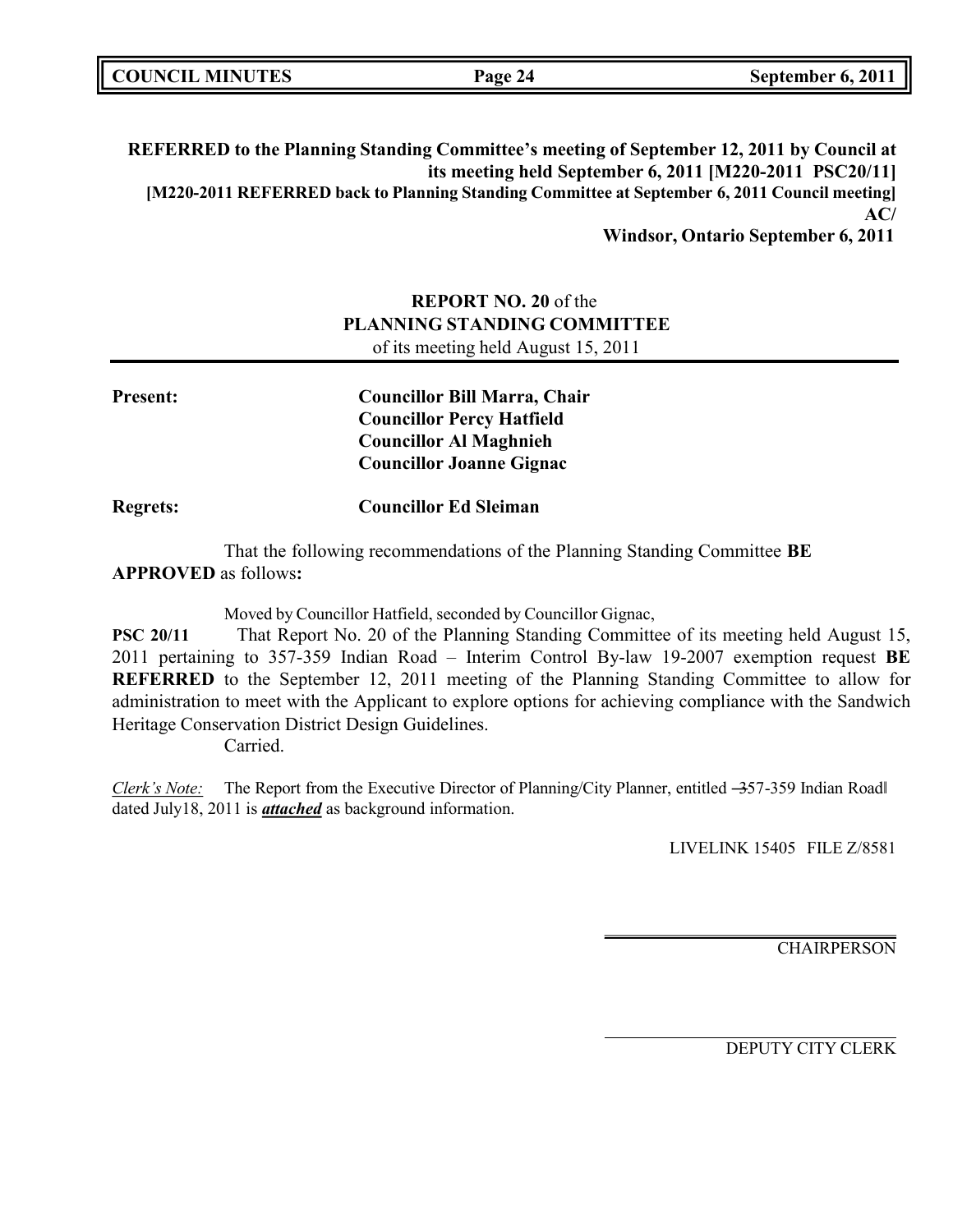|  | <b>COUNCIL MINUTES</b> |
|--|------------------------|
|--|------------------------|

**REFERRED to the Planning Standing Committee's meeting of September 12, 2011 by Council at its meeting held September 6, 2011 [M220-2011 PSC20/11] [M220-2011 REFERRED back to Planning Standing Committee at September 6, 2011 Council meeting] AC/** 

**Windsor, Ontario September 6, 2011**

## **REPORT NO. 20** of the **PLANNING STANDING COMMITTEE**

of its meeting held August 15, 2011

| <b>Present:</b> | <b>Councillor Bill Marra, Chair</b> |
|-----------------|-------------------------------------|
|                 | <b>Councillor Percy Hatfield</b>    |
|                 | <b>Councillor Al Maghnieh</b>       |
|                 | <b>Councillor Joanne Gignac</b>     |
| <b>Regrets:</b> | <b>Councillor Ed Sleiman</b>        |

That the following recommendations of the Planning Standing Committee **BE APPROVED** as follows**:**

Moved by Councillor Hatfield, seconded by Councillor Gignac,

PSC 20/11 That Report No. 20 of the Planning Standing Committee of its meeting held August 15, 2011 pertaining to 357-359 Indian Road – Interim Control By-law 19-2007 exemption request **BE REFERRED** to the September 12, 2011 meeting of the Planning Standing Committee to allow for administration to meet with the Applicant to explore options for achieving compliance with the Sandwich Heritage Conservation District Design Guidelines.

Carried.

*Clerk's Note:* The Report from the Executive Director of Planning/City Planner, entitled –357-359 Indian Road dated July18, 2011 is *attached* as background information.

LIVELINK 15405 FILE Z/8581

**CHAIRPERSON**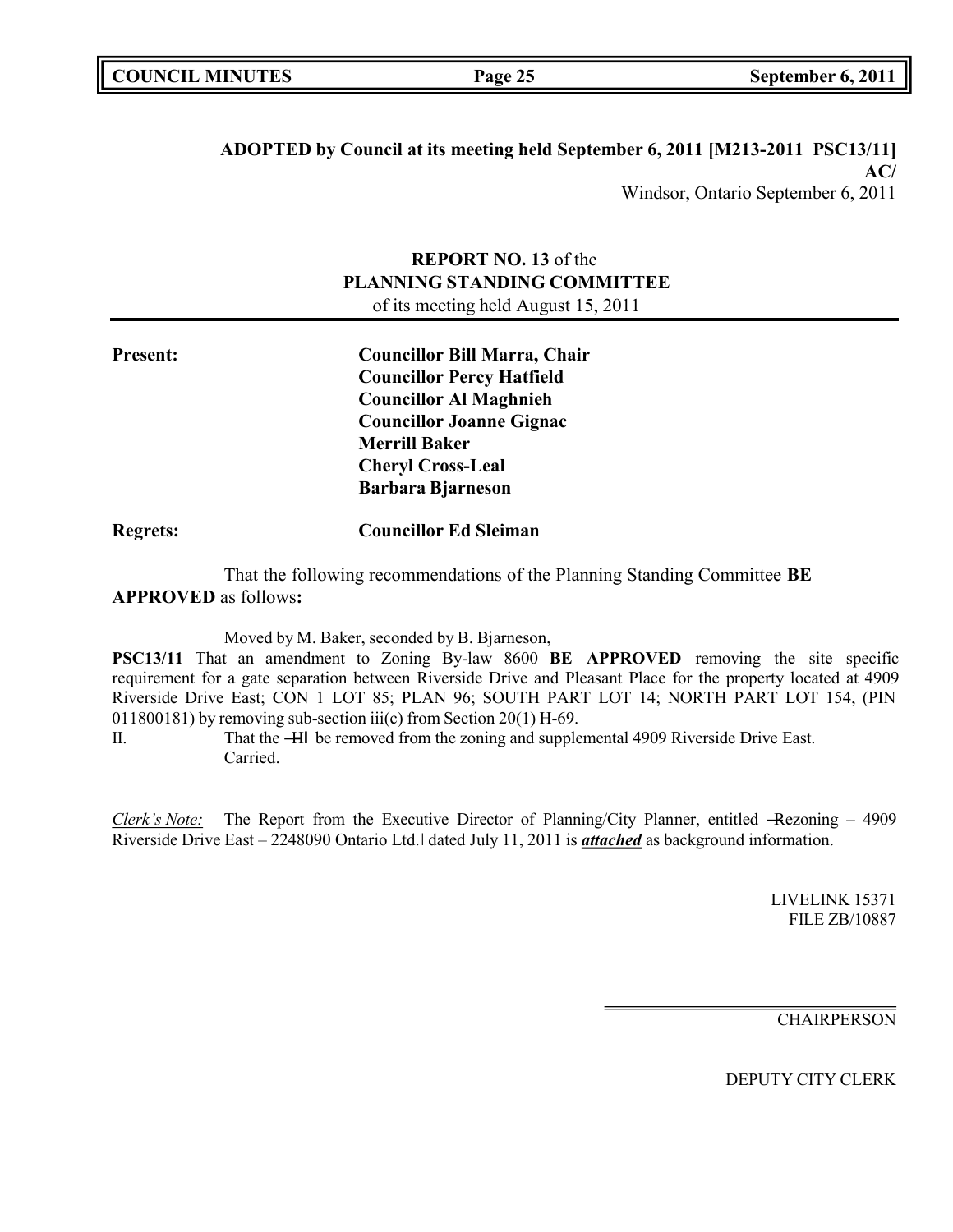### **ADOPTED by Council at its meeting held September 6, 2011 [M213-2011 PSC13/11] AC/** Windsor, Ontario September 6, 2011

**REPORT NO. 13** of the **PLANNING STANDING COMMITTEE** of its meeting held August 15, 2011

**Present: Councillor Bill Marra, Chair Councillor Percy Hatfield Councillor Al Maghnieh Councillor Joanne Gignac Merrill Baker Cheryl Cross-Leal Barbara Bjarneson**

**Regrets: Councillor Ed Sleiman**

That the following recommendations of the Planning Standing Committee **BE APPROVED** as follows**:**

Moved by M. Baker, seconded by B. Bjarneson,

**PSC13/11** That an amendment to Zoning By-law 8600 **BE APPROVED** removing the site specific requirement for a gate separation between Riverside Drive and Pleasant Place for the property located at 4909 Riverside Drive East; CON 1 LOT 85; PLAN 96; SOUTH PART LOT 14; NORTH PART LOT 154, (PIN 011800181) by removing sub-section iii(c) from Section 20(1) H-69.

II. That the ―H‖ be removed from the zoning and supplemental 4909 Riverside Drive East. Carried.

*Clerk's Note:* The Report from the Executive Director of Planning/City Planner, entitled —Rezoning – 4909 Riverside Drive East – 2248090 Ontario Ltd.‖ dated July 11, 2011 is *attached* as background information.

> LIVELINK 15371 FILE ZB/10887

**CHAIRPERSON**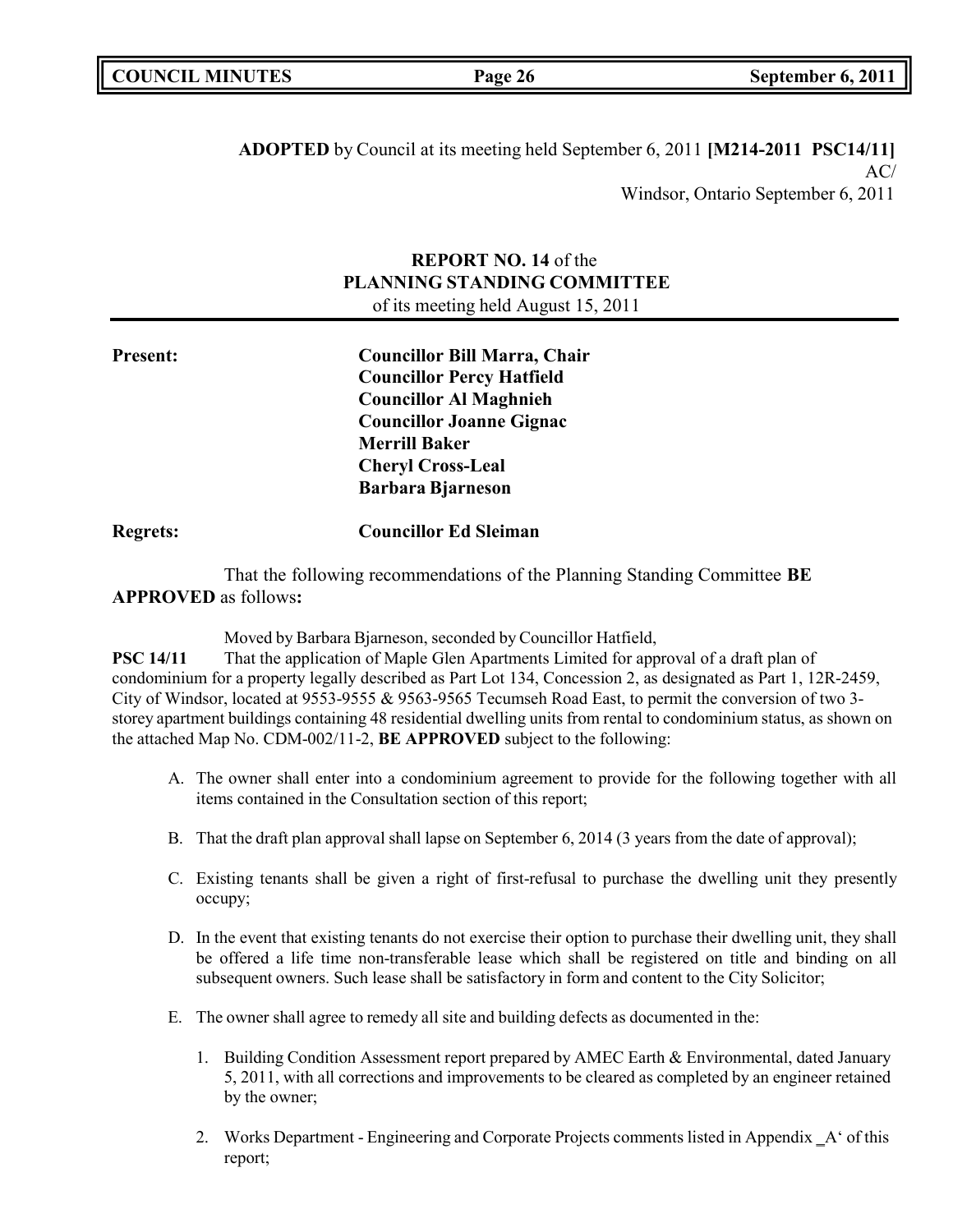| <b>COUNCIL MINUTES</b> |  |
|------------------------|--|
|------------------------|--|

**ADOPTED** by Council at its meeting held September 6, 2011 **[M214-2011 PSC14/11]**  $AC/$ Windsor, Ontario September 6, 2011

### **REPORT NO. 14** of the **PLANNING STANDING COMMITTEE** of its meeting held August 15, 2011

| rresent: |  |  |
|----------|--|--|
|          |  |  |
|          |  |  |

**Present: Councillor Bill Marra, Chair Councillor Percy Hatfield Councillor Al Maghnieh Councillor Joanne Gignac Merrill Baker Cheryl Cross-Leal Barbara Bjarneson**

**Regrets: Councillor Ed Sleiman**

That the following recommendations of the Planning Standing Committee **BE APPROVED** as follows**:**

Moved by Barbara Bjarneson, seconded by Councillor Hatfield,

**PSC 14/11** That the application of Maple Glen Apartments Limited for approval of a draft plan of condominium for a property legally described as Part Lot 134, Concession 2, as designated as Part 1, 12R-2459, City of Windsor, located at 9553-9555 & 9563-9565 Tecumseh Road East, to permit the conversion of two 3 storey apartment buildings containing 48 residential dwelling units from rental to condominium status, as shown on the attached Map No. CDM-002/11-2, **BE APPROVED** subject to the following:

- A. The owner shall enter into a condominium agreement to provide for the following together with all items contained in the Consultation section of this report;
- B. That the draft plan approval shall lapse on September 6, 2014 (3 years from the date of approval);
- C. Existing tenants shall be given a right of first-refusal to purchase the dwelling unit they presently occupy;
- D. In the event that existing tenants do not exercise their option to purchase their dwelling unit, they shall be offered a life time non-transferable lease which shall be registered on title and binding on all subsequent owners. Such lease shall be satisfactory in form and content to the City Solicitor;
- E. The owner shall agree to remedy all site and building defects as documented in the:
	- 1. Building Condition Assessment report prepared by AMEC Earth & Environmental, dated January 5, 2011, with all corrections and improvements to be cleared as completed by an engineer retained by the owner;
	- 2. Works Department Engineering and Corporate Projects comments listed in Appendix  $A'$  of this report;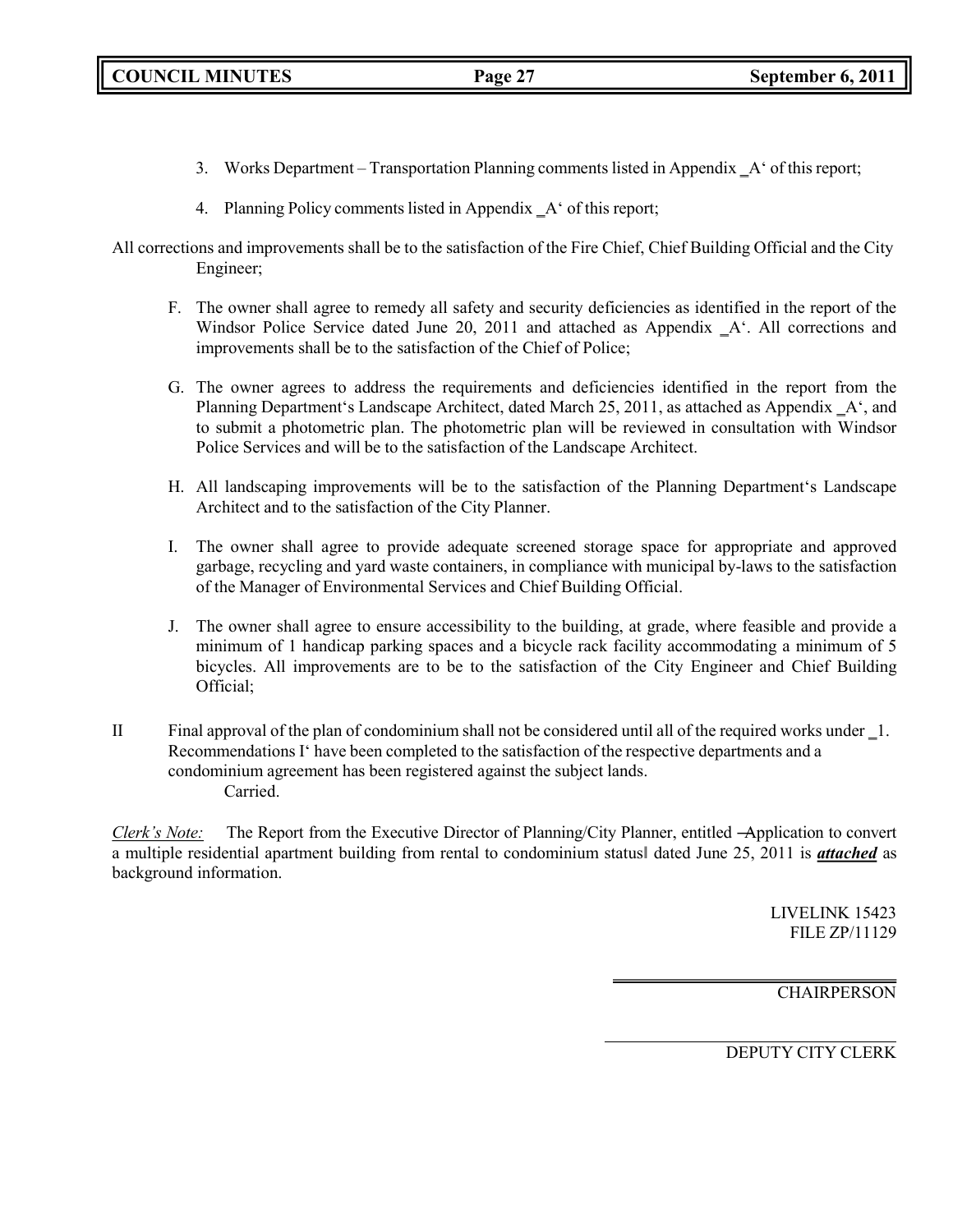- 3. Works Department Transportation Planning comments listed in Appendix \_A' of this report;
- 4. Planning Policy comments listed in Appendix A ' of this report;
- All corrections and improvements shall be to the satisfaction of the Fire Chief, Chief Building Official and the City Engineer;
	- F. The owner shall agree to remedy all safety and security deficiencies as identified in the report of the Windsor Police Service dated June 20, 2011 and attached as Appendix  $A<sup>2</sup>$ . All corrections and improvements shall be to the satisfaction of the Chief of Police;
	- G. The owner agrees to address the requirements and deficiencies identified in the report from the Planning Department's Landscape Architect, dated March 25, 2011, as attached as Appendix  $A'$ , and to submit a photometric plan. The photometric plan will be reviewed in consultation with Windsor Police Services and will be to the satisfaction of the Landscape Architect.
	- H. All landscaping improvements will be to the satisfaction of the Planning Department's Landscape Architect and to the satisfaction of the City Planner.
	- I. The owner shall agree to provide adequate screened storage space for appropriate and approved garbage, recycling and yard waste containers, in compliance with municipal by-laws to the satisfaction of the Manager of Environmental Services and Chief Building Official.
	- J. The owner shall agree to ensure accessibility to the building, at grade, where feasible and provide a minimum of 1 handicap parking spaces and a bicycle rack facility accommodating a minimum of 5 bicycles. All improvements are to be to the satisfaction of the City Engineer and Chief Building Official;
- II Final approval of the plan of condominium shall not be considered until all of the required works under ‗1. Recommendations I' have been completed to the satisfaction of the respective departments and a condominium agreement has been registered against the subject lands. Carried.

*Clerk's Note:* The Report from the Executive Director of Planning/City Planner, entitled ―Application to convert a multiple residential apartment building from rental to condominium status‖ dated June 25, 2011 is *attached* as background information.

> LIVELINK 15423 FILE ZP/11129

**CHAIRPERSON**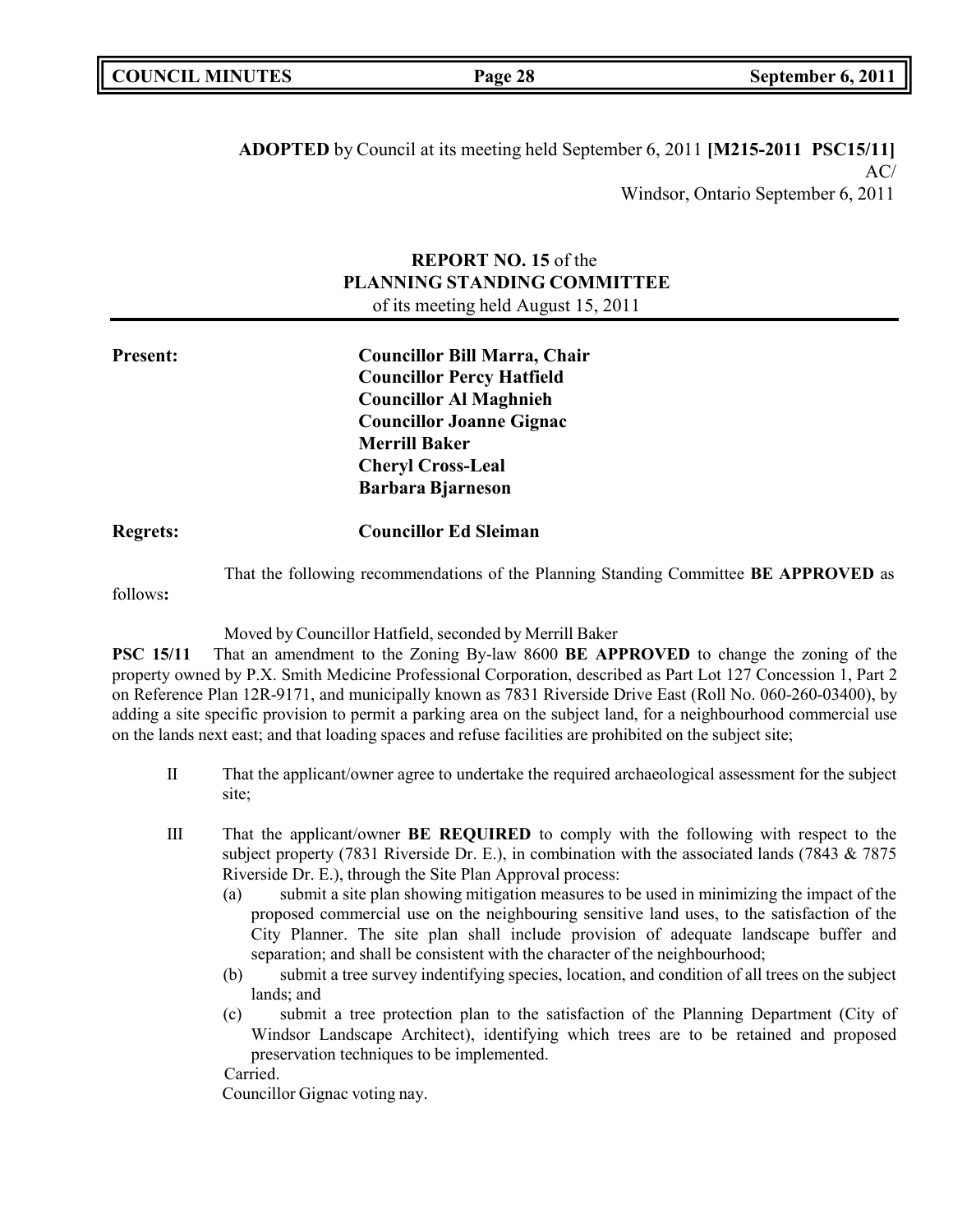**ADOPTED** by Council at its meeting held September 6, 2011 **[M215-2011 PSC15/11]**  $AC/$ Windsor, Ontario September 6, 2011

### **REPORT NO. 15** of the **PLANNING STANDING COMMITTEE** of its meeting held August 15, 2011

| <b>Present:</b> | <b>Councillor Bill Marra, Chair</b><br><b>Councillor Percy Hatfield</b><br><b>Councillor Al Maghnieh</b><br><b>Councillor Joanne Gignac</b><br><b>Merrill Baker</b><br><b>Cheryl Cross-Leal</b> |  |
|-----------------|-------------------------------------------------------------------------------------------------------------------------------------------------------------------------------------------------|--|
| <b>Regrets:</b> | <b>Barbara Bjarneson</b><br><b>Councillor Ed Sleiman</b>                                                                                                                                        |  |

That the following recommendations of the Planning Standing Committee **BE APPROVED** as

follows**:**

Moved by Councillor Hatfield, seconded by Merrill Baker

**PSC 15/11** That an amendment to the Zoning By-law 8600 **BE APPROVED** to change the zoning of the property owned by P.X. Smith Medicine Professional Corporation, described as Part Lot 127 Concession 1, Part 2 on Reference Plan 12R-9171, and municipally known as 7831 Riverside Drive East (Roll No. 060-260-03400), by adding a site specific provision to permit a parking area on the subject land, for a neighbourhood commercial use on the lands next east; and that loading spaces and refuse facilities are prohibited on the subject site;

- II That the applicant/owner agree to undertake the required archaeological assessment for the subject site;
- III That the applicant/owner **BE REQUIRED** to comply with the following with respect to the subject property (7831 Riverside Dr. E.), in combination with the associated lands (7843 & 7875 Riverside Dr. E.), through the Site Plan Approval process:
	- (a) submit a site plan showing mitigation measures to be used in minimizing the impact of the proposed commercial use on the neighbouring sensitive land uses, to the satisfaction of the City Planner. The site plan shall include provision of adequate landscape buffer and separation; and shall be consistent with the character of the neighbourhood;
	- (b) submit a tree survey indentifying species, location, and condition of all trees on the subject lands; and
	- (c) submit a tree protection plan to the satisfaction of the Planning Department (City of Windsor Landscape Architect), identifying which trees are to be retained and proposed preservation techniques to be implemented.

Carried.

Councillor Gignac voting nay.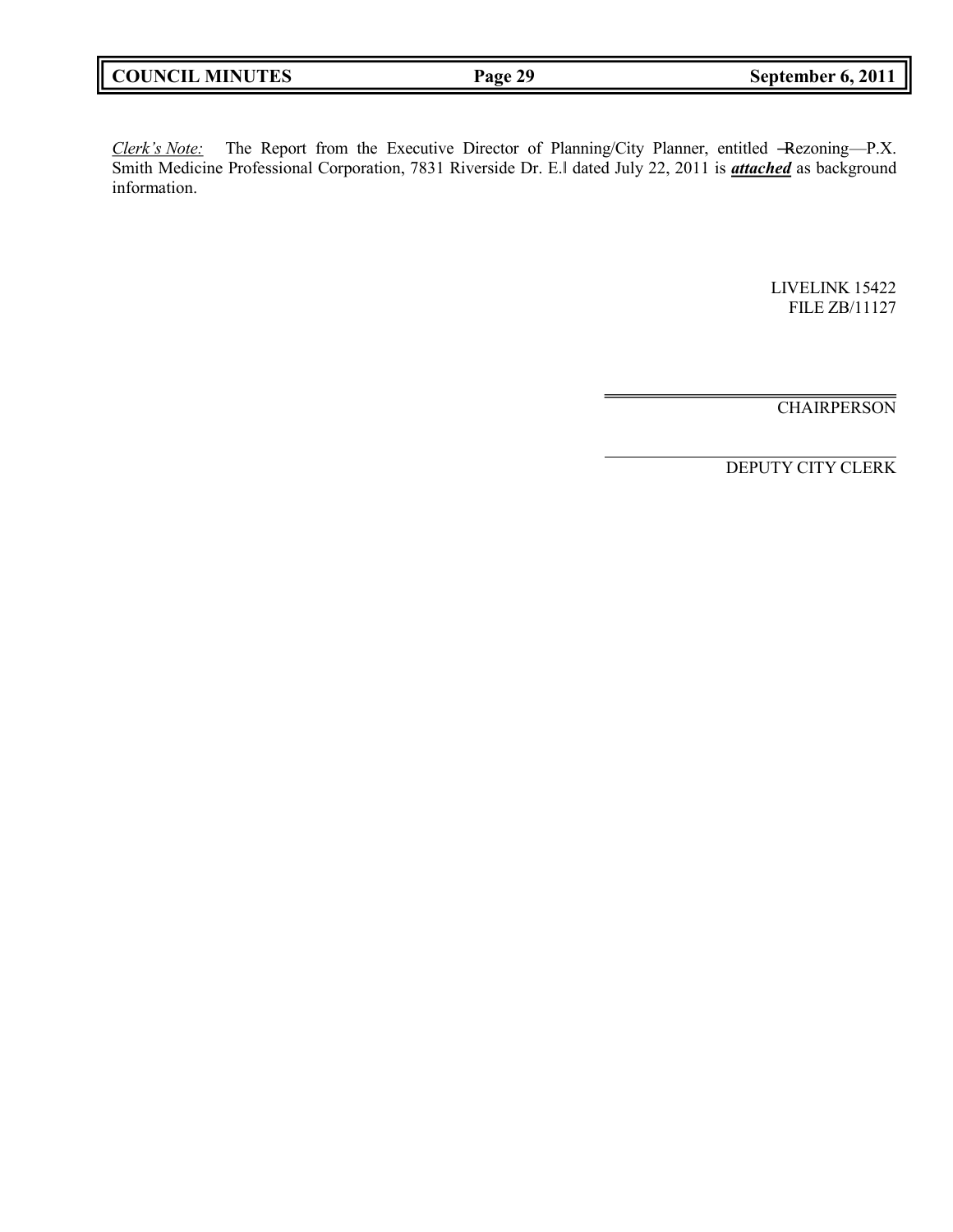| Page 29 |
|---------|
|---------|

*Clerk's Note:* The Report from the Executive Director of Planning/City Planner, entitled ―Rezoning—P.X. Smith Medicine Professional Corporation, 7831 Riverside Dr. E.‖ dated July 22, 2011 is *attached* as background information.

> LIVELINK 15422 FILE ZB/11127

**CHAIRPERSON**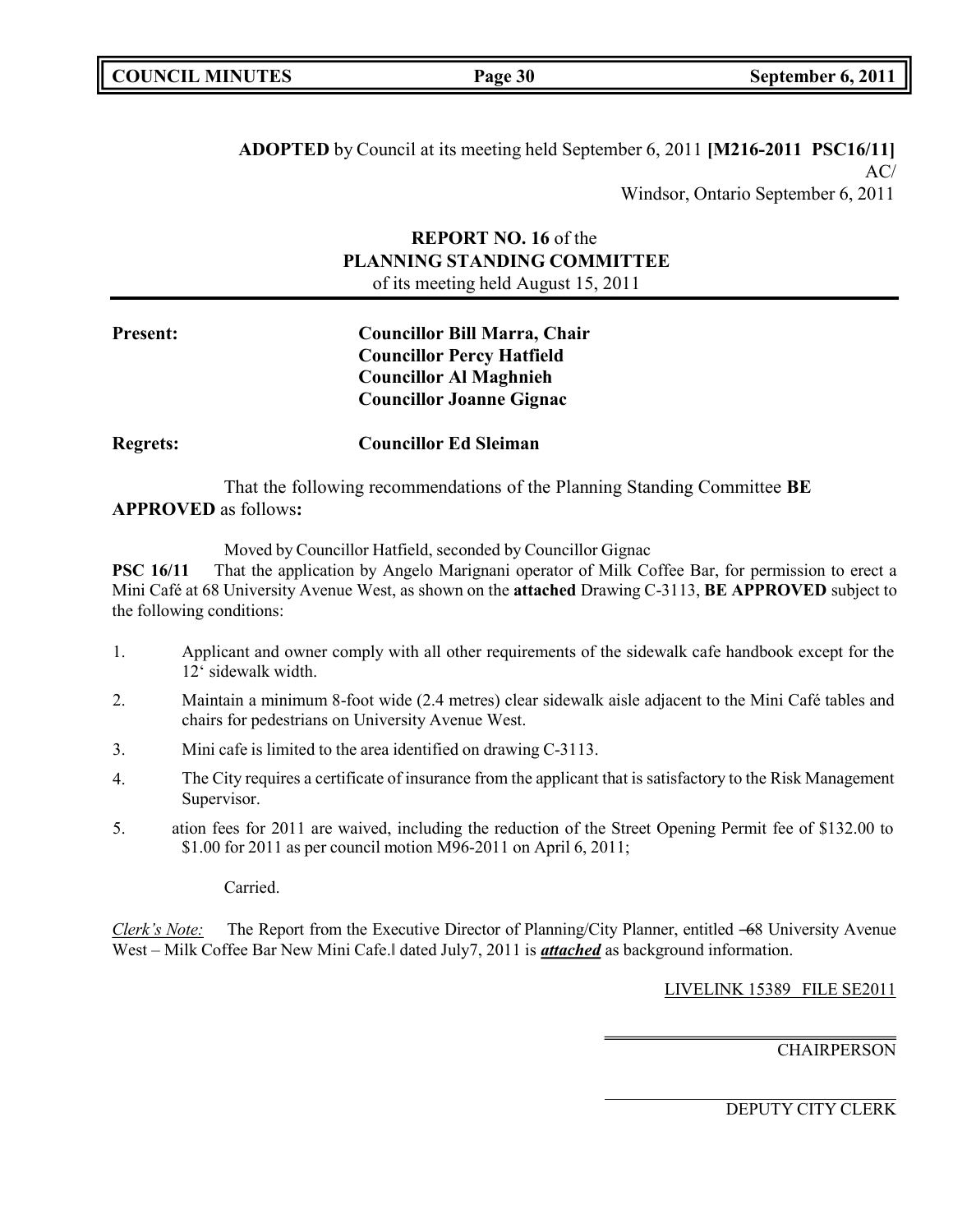| <b>COUNCIL MINUTES</b> |
|------------------------|
|------------------------|

**ADOPTED** by Council at its meeting held September 6, 2011 **[M216-2011 PSC16/11]**  $AC/$ Windsor, Ontario September 6, 2011

### **REPORT NO. 16** of the **PLANNING STANDING COMMITTEE** of its meeting held August 15, 2011

| <b>Present:</b> | <b>Councillor Bill Marra, Chair</b> |
|-----------------|-------------------------------------|
|                 | <b>Councillor Percy Hatfield</b>    |
|                 | <b>Councillor Al Maghnieh</b>       |
|                 | <b>Councillor Joanne Gignac</b>     |
|                 |                                     |

**Regrets: Councillor Ed Sleiman**

That the following recommendations of the Planning Standing Committee **BE APPROVED** as follows**:**

Moved by Councillor Hatfield, seconded by Councillor Gignac

**PSC 16/11** That the application by Angelo Marignani operator of Milk Coffee Bar, for permission to erect a Mini Café at 68 University Avenue West, as shown on the **attached** Drawing C-3113, **BE APPROVED** subject to the following conditions:

- 1. Applicant and owner comply with all other requirements of the sidewalk cafe handbook except for the 12' sidewalk width.
- 2. Maintain a minimum 8-foot wide (2.4 metres) clear sidewalk aisle adjacent to the Mini Café tables and chairs for pedestrians on University Avenue West.
- 3. Mini cafe is limited to the area identified on drawing C-3113.
- 4. The City requires a certificate of insurance from the applicant that is satisfactory to the Risk Management Supervisor.
- 5. ation fees for 2011 are waived, including the reduction of the Street Opening Permit fee of \$132.00 to \$1.00 for 2011 as per council motion M96-2011 on April 6, 2011;

Carried.

*Clerk's Note:* The Report from the Executive Director of Planning/City Planner, entitled –68 University Avenue West – Milk Coffee Bar New Mini Cafe.<sup>|</sup> dated July7, 2011 is *attached* as background information.

LIVELINK 15389 FILE SE2011

**CHAIRPERSON**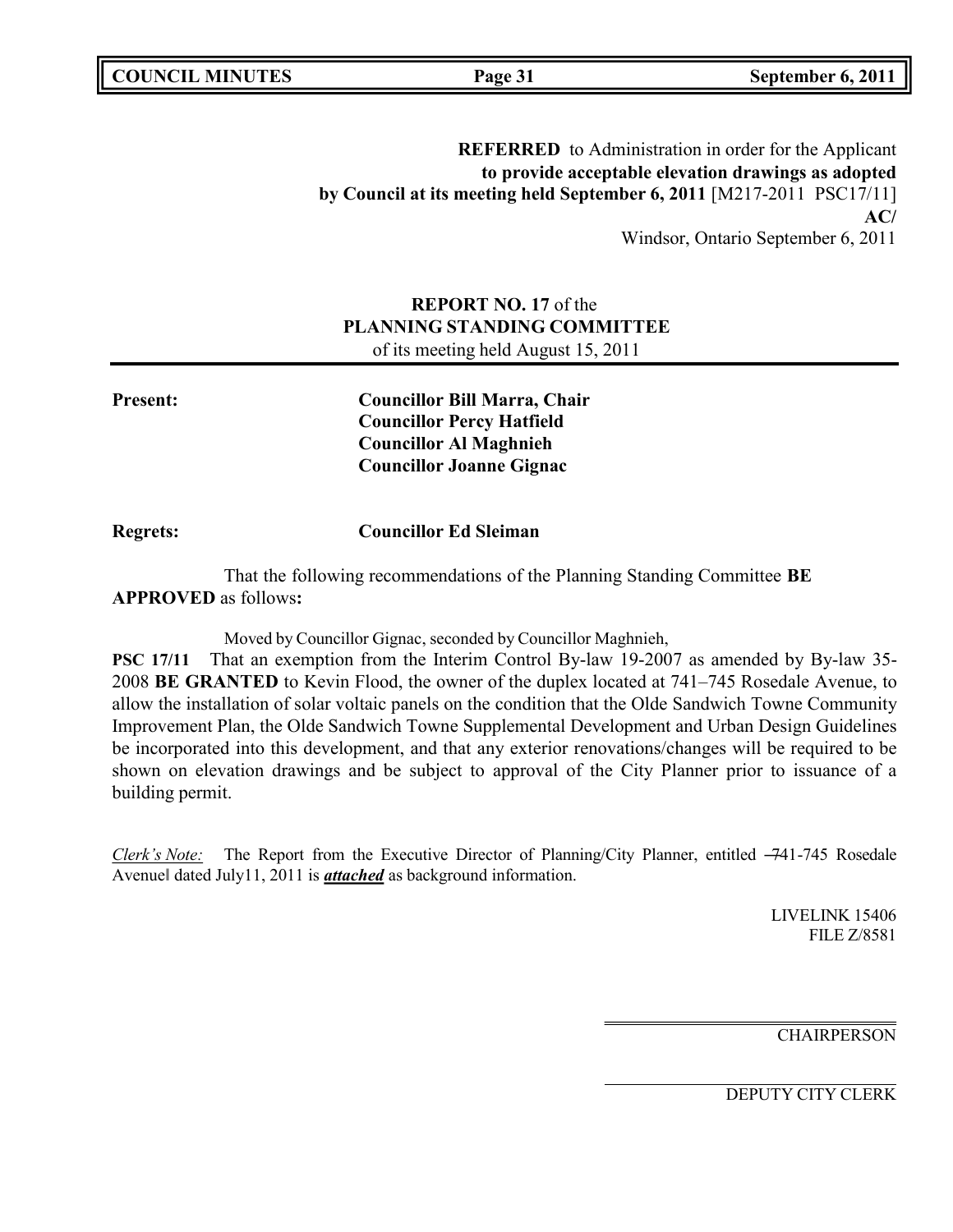**REFERRED** to Administration in order for the Applicant **to provide acceptable elevation drawings as adopted by Council at its meeting held September 6, 2011** [M217-2011 PSC17/11] **AC/** Windsor, Ontario September 6, 2011

### **REPORT NO. 17** of the **PLANNING STANDING COMMITTEE** of its meeting held August 15, 2011

**Present: Councillor Bill Marra, Chair Councillor Percy Hatfield Councillor Al Maghnieh Councillor Joanne Gignac**

**Regrets: Councillor Ed Sleiman**

That the following recommendations of the Planning Standing Committee **BE APPROVED** as follows**:**

Moved by Councillor Gignac, seconded by Councillor Maghnieh,

**PSC 17/11** That an exemption from the Interim Control By-law 19-2007 as amended by By-law 35- 2008 **BE GRANTED** to Kevin Flood, the owner of the duplex located at 741–745 Rosedale Avenue, to allow the installation of solar voltaic panels on the condition that the Olde Sandwich Towne Community Improvement Plan, the Olde Sandwich Towne Supplemental Development and Urban Design Guidelines be incorporated into this development, and that any exterior renovations/changes will be required to be shown on elevation drawings and be subject to approval of the City Planner prior to issuance of a building permit.

*Clerk's Note:* The Report from the Executive Director of Planning/City Planner, entitled –741-745 Rosedale Avenue‖ dated July11, 2011 is *attached* as background information.

> LIVELINK 15406 FILE Z/8581

**CHAIRPERSON**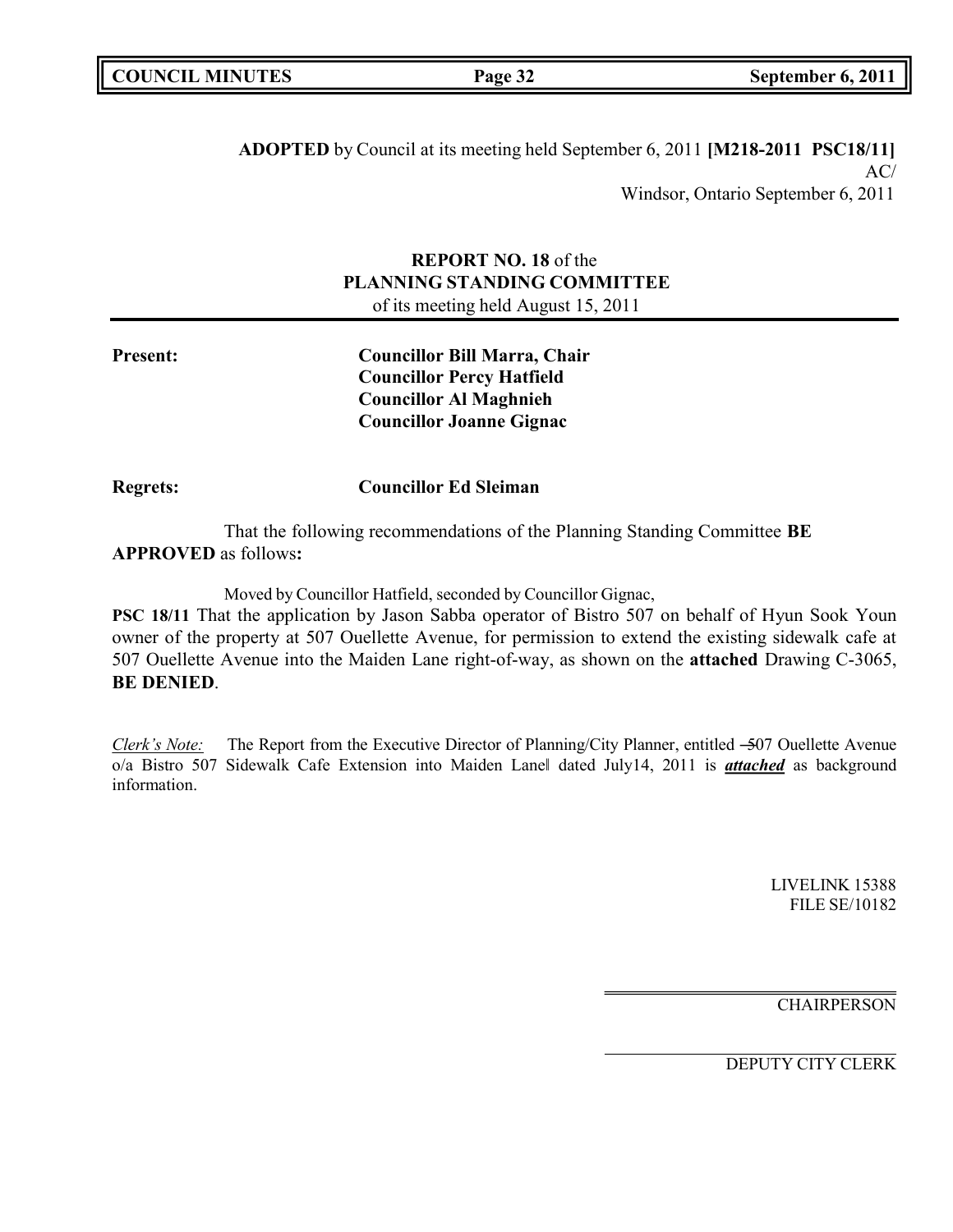**ADOPTED** by Council at its meeting held September 6, 2011 **[M218-2011 PSC18/11]** AC/ Windsor, Ontario September 6, 2011

### **REPORT NO. 18** of the **PLANNING STANDING COMMITTEE** of its meeting held August 15, 2011

**Present: Councillor Bill Marra, Chair Councillor Percy Hatfield Councillor Al Maghnieh Councillor Joanne Gignac**

**Regrets: Councillor Ed Sleiman**

That the following recommendations of the Planning Standing Committee **BE APPROVED** as follows**:**

Moved by Councillor Hatfield, seconded by Councillor Gignac,

**PSC 18/11** That the application by Jason Sabba operator of Bistro 507 on behalf of Hyun Sook Youn owner of the property at 507 Ouellette Avenue, for permission to extend the existing sidewalk cafe at 507 Ouellette Avenue into the Maiden Lane right-of-way, as shown on the **attached** Drawing C-3065, **BE DENIED**.

*Clerk's Note:* The Report from the Executive Director of Planning/City Planner, entitled –507 Ouellette Avenue o/a Bistro 507 Sidewalk Cafe Extension into Maiden Lane‖ dated July14, 2011 is *attached* as background information.

> LIVELINK 15388 FILE SE/10182

**CHAIRPERSON**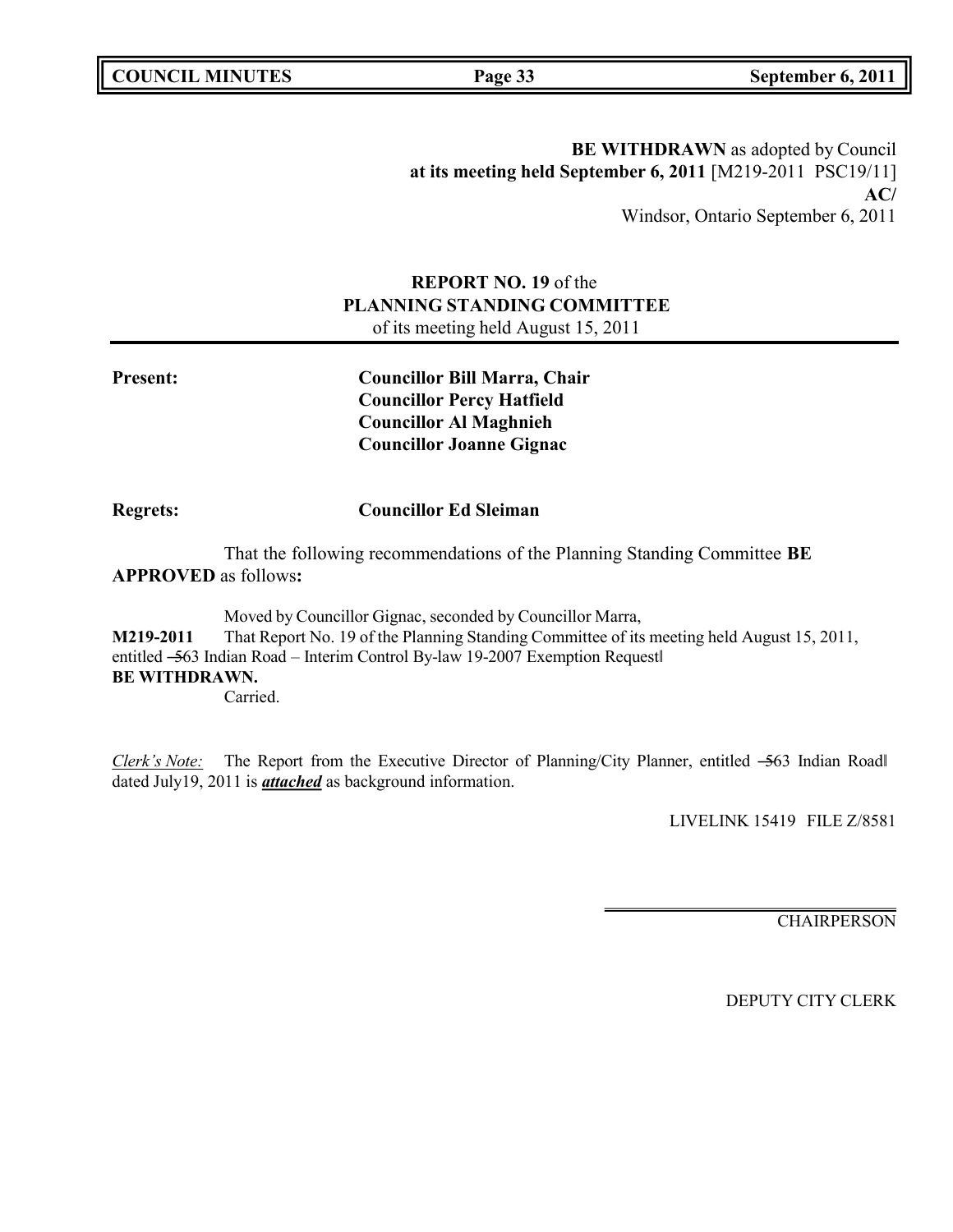**BE WITHDRAWN** as adopted by Council **at its meeting held September 6, 2011** [M219-2011 PSC19/11] **AC/** Windsor, Ontario September 6, 2011

### **REPORT NO. 19** of the **PLANNING STANDING COMMITTEE** of its meeting held August 15, 2011

**Present: Councillor Bill Marra, Chair Councillor Percy Hatfield Councillor Al Maghnieh Councillor Joanne Gignac**

**Regrets: Councillor Ed Sleiman**

That the following recommendations of the Planning Standing Committee **BE APPROVED** as follows**:**

Moved by Councillor Gignac, seconded by Councillor Marra, **M219-2011** That Report No. 19 of the Planning Standing Committee of its meeting held August 15, 2011, entitled -563 Indian Road – Interim Control By-law 19-2007 Exemption Request **BE WITHDRAWN.** Carried.

*Clerk's Note:* The Report from the Executive Director of Planning/City Planner, entitled -563 Indian Roadl dated July19, 2011 is *attached* as background information.

LIVELINK 15419 FILE Z/8581

**CHAIRPERSON**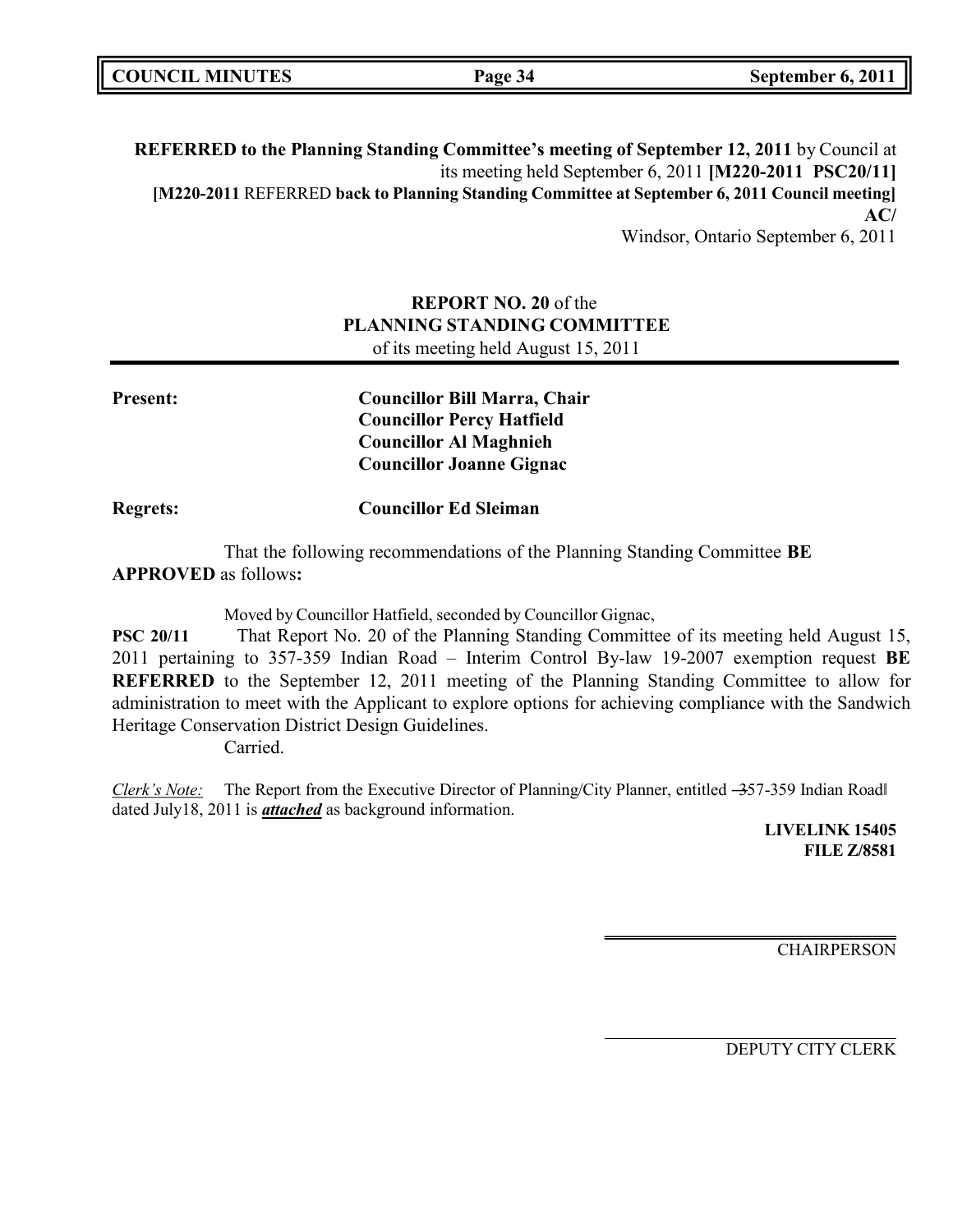|  | <b>COUNCIL MINUTES</b> |
|--|------------------------|
|--|------------------------|

**REFERRED to the Planning Standing Committee's meeting of September 12, 2011** by Council at its meeting held September 6, 2011 **[M220-2011 PSC20/11] [M220-2011** REFERRED **back to Planning Standing Committee at September 6, 2011 Council meeting] AC/** Windsor, Ontario September 6, 2011

### **REPORT NO. 20** of the **PLANNING STANDING COMMITTEE** of its meeting held August 15, 2011

| <b>Present:</b> | <b>Councillor Bill Marra, Chair</b> |
|-----------------|-------------------------------------|
|                 | <b>Councillor Percy Hatfield</b>    |
|                 | <b>Councillor Al Maghnieh</b>       |
|                 | <b>Councillor Joanne Gignac</b>     |
| <b>Regrets:</b> | <b>Councillor Ed Sleiman</b>        |

That the following recommendations of the Planning Standing Committee **BE APPROVED** as follows**:**

Moved by Councillor Hatfield, seconded by Councillor Gignac,

**PSC 20/11** That Report No. 20 of the Planning Standing Committee of its meeting held August 15, 2011 pertaining to 357-359 Indian Road – Interim Control By-law 19-2007 exemption request **BE REFERRED** to the September 12, 2011 meeting of the Planning Standing Committee to allow for administration to meet with the Applicant to explore options for achieving compliance with the Sandwich Heritage Conservation District Design Guidelines.

Carried.

*Clerk's Note:* The Report from the Executive Director of Planning/City Planner, entitled -357-359 Indian Road dated July18, 2011 is *attached* as background information.

> **LIVELINK 15405 FILE Z/8581**

**CHAIRPERSON**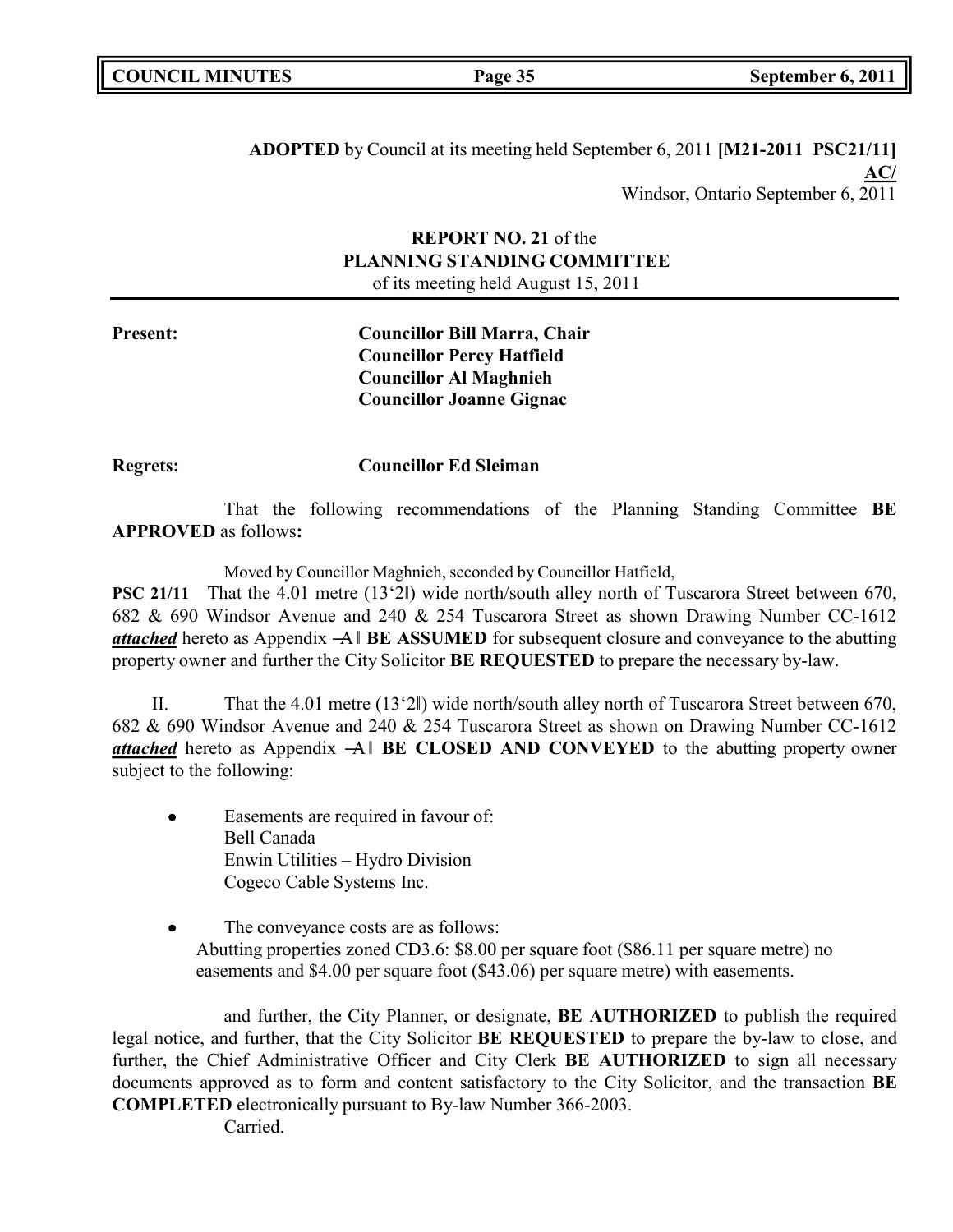|  | <b>COUNCIL MINUTES</b> |
|--|------------------------|
|--|------------------------|

**ADOPTED** by Council at its meeting held September 6, 2011 **[M21-2011 PSC21/11] AC/** Windsor, Ontario September 6, 2011

### **REPORT NO. 21** of the **PLANNING STANDING COMMITTEE** of its meeting held August 15, 2011

**Present: Councillor Bill Marra, Chair Councillor Percy Hatfield Councillor Al Maghnieh Councillor Joanne Gignac**

**Regrets: Councillor Ed Sleiman**

That the following recommendations of the Planning Standing Committee **BE APPROVED** as follows**:**

Moved by Councillor Maghnieh, seconded by Councillor Hatfield,

**PSC 21/11** That the 4.01 metre (13'2|) wide north/south alley north of Tuscarora Street between 670, 682 & 690 Windsor Avenue and 240 & 254 Tuscarora Street as shown Drawing Number CC-1612 *attached* hereto as Appendix ―A‖ **BE ASSUMED** for subsequent closure and conveyance to the abutting property owner and further the City Solicitor **BE REQUESTED** to prepare the necessary by-law.

II. That the 4.01 metre (13'2‖) wide north/south alley north of Tuscarora Street between 670, 682 & 690 Windsor Avenue and 240 & 254 Tuscarora Street as shown on Drawing Number CC-1612 *attached* hereto as Appendix ―A‖ **BE CLOSED AND CONVEYED** to the abutting property owner subject to the following:

- Easements are required in favour of: Bell Canada Enwin Utilities – Hydro Division Cogeco Cable Systems Inc.
- The conveyance costs are as follows: Abutting properties zoned CD3.6: \$8.00 per square foot (\$86.11 per square metre) no easements and \$4.00 per square foot (\$43.06) per square metre) with easements.

and further, the City Planner, or designate, **BE AUTHORIZED** to publish the required legal notice, and further, that the City Solicitor **BE REQUESTED** to prepare the by-law to close, and further, the Chief Administrative Officer and City Clerk **BE AUTHORIZED** to sign all necessary documents approved as to form and content satisfactory to the City Solicitor, and the transaction **BE COMPLETED** electronically pursuant to By-law Number 366-2003.

Carried.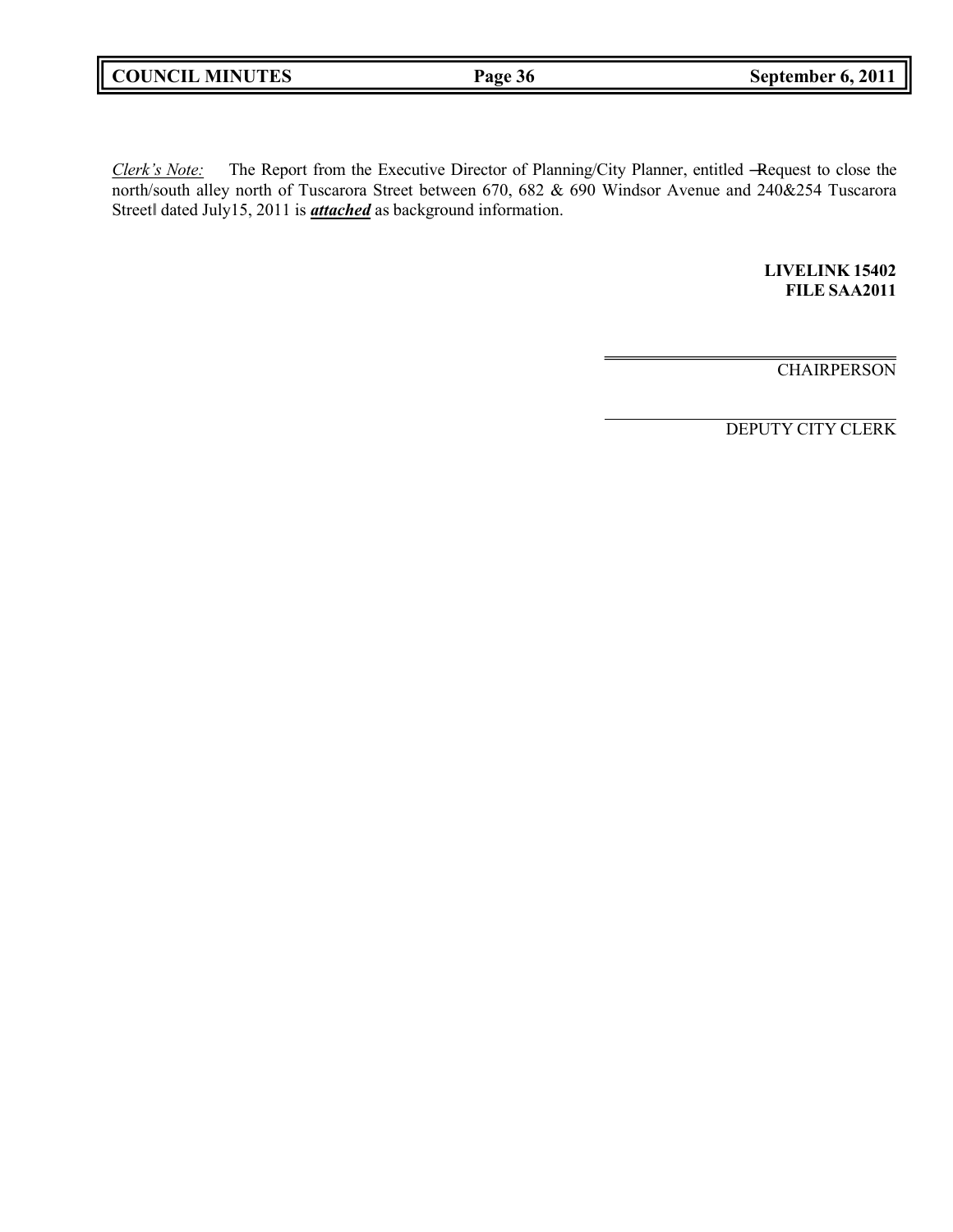|  | <b>COUNCIL MINUTES</b> |
|--|------------------------|
|--|------------------------|

*Clerk's Note:* The Report from the Executive Director of Planning/City Planner, entitled ―Request to close the north/south alley north of Tuscarora Street between 670, 682 & 690 Windsor Avenue and 240&254 Tuscarora Street‖ dated July15, 2011 is *attached* as background information.

> **LIVELINK 15402 FILE SAA2011**

**CHAIRPERSON**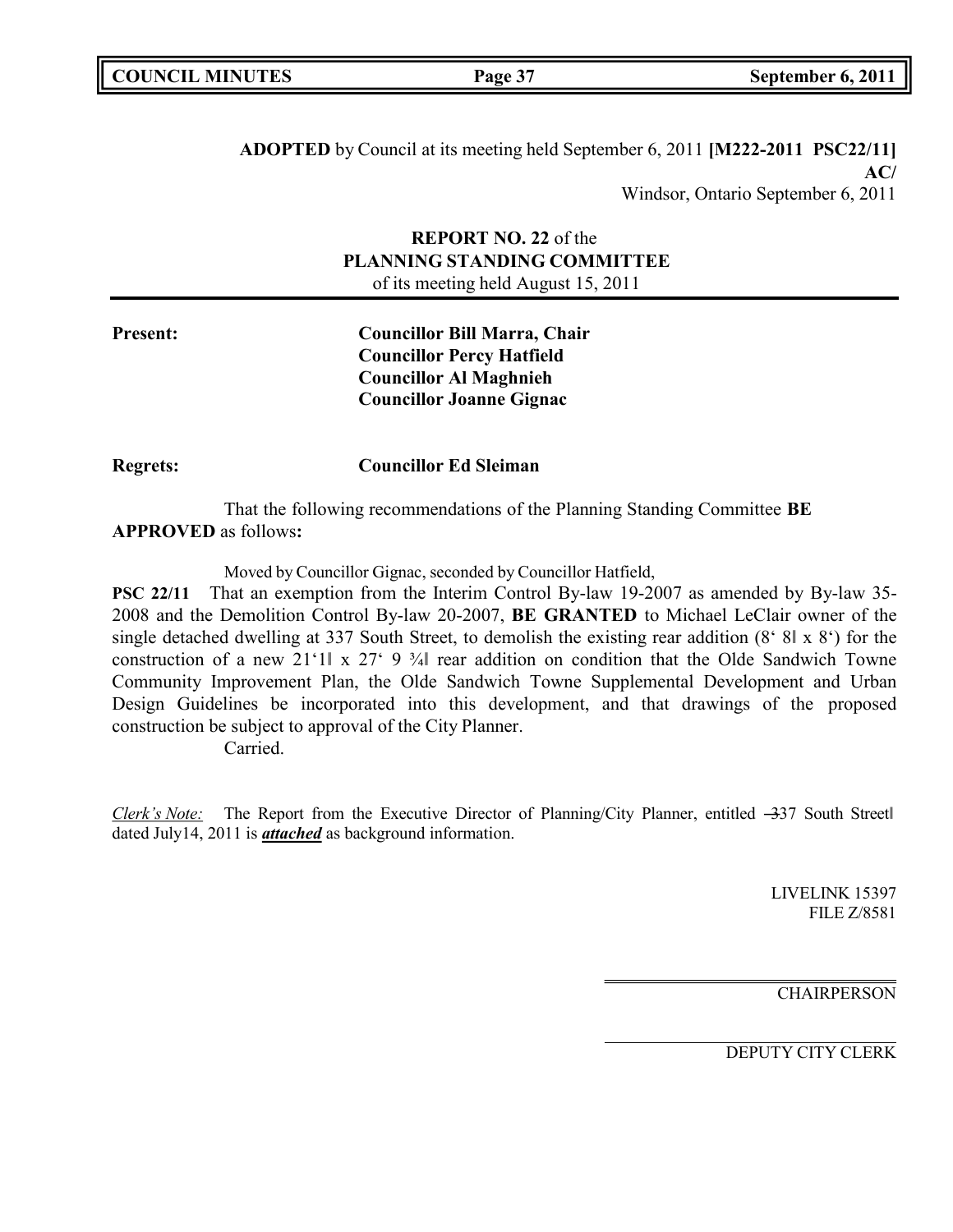| <b>COUNCIL MINUTES</b> |  |
|------------------------|--|
|------------------------|--|

**ADOPTED** by Council at its meeting held September 6, 2011 **[M222-2011 PSC22/11] AC/** Windsor, Ontario September 6, 2011

### **REPORT NO. 22** of the **PLANNING STANDING COMMITTEE** of its meeting held August 15, 2011

**Present: Councillor Bill Marra, Chair Councillor Percy Hatfield Councillor Al Maghnieh Councillor Joanne Gignac**

**Regrets: Councillor Ed Sleiman**

That the following recommendations of the Planning Standing Committee **BE APPROVED** as follows**:**

Moved by Councillor Gignac, seconded by Councillor Hatfield,

**PSC 22/11** That an exemption from the Interim Control By-law 19-2007 as amended by By-law 35- 2008 and the Demolition Control By-law 20-2007, **BE GRANTED** to Michael LeClair owner of the single detached dwelling at 337 South Street, to demolish the existing rear addition (8' 8‖ x 8') for the construction of a new 21'1| x 27' 9  $\frac{3}{4}$  rear addition on condition that the Olde Sandwich Towne Community Improvement Plan, the Olde Sandwich Towne Supplemental Development and Urban Design Guidelines be incorporated into this development, and that drawings of the proposed construction be subject to approval of the City Planner.

Carried.

*Clerk's Note:* The Report from the Executive Director of Planning/City Planner, entitled –337 South Street dated July14, 2011 is *attached* as background information.

> LIVELINK 15397 FILE Z/8581

**CHAIRPERSON**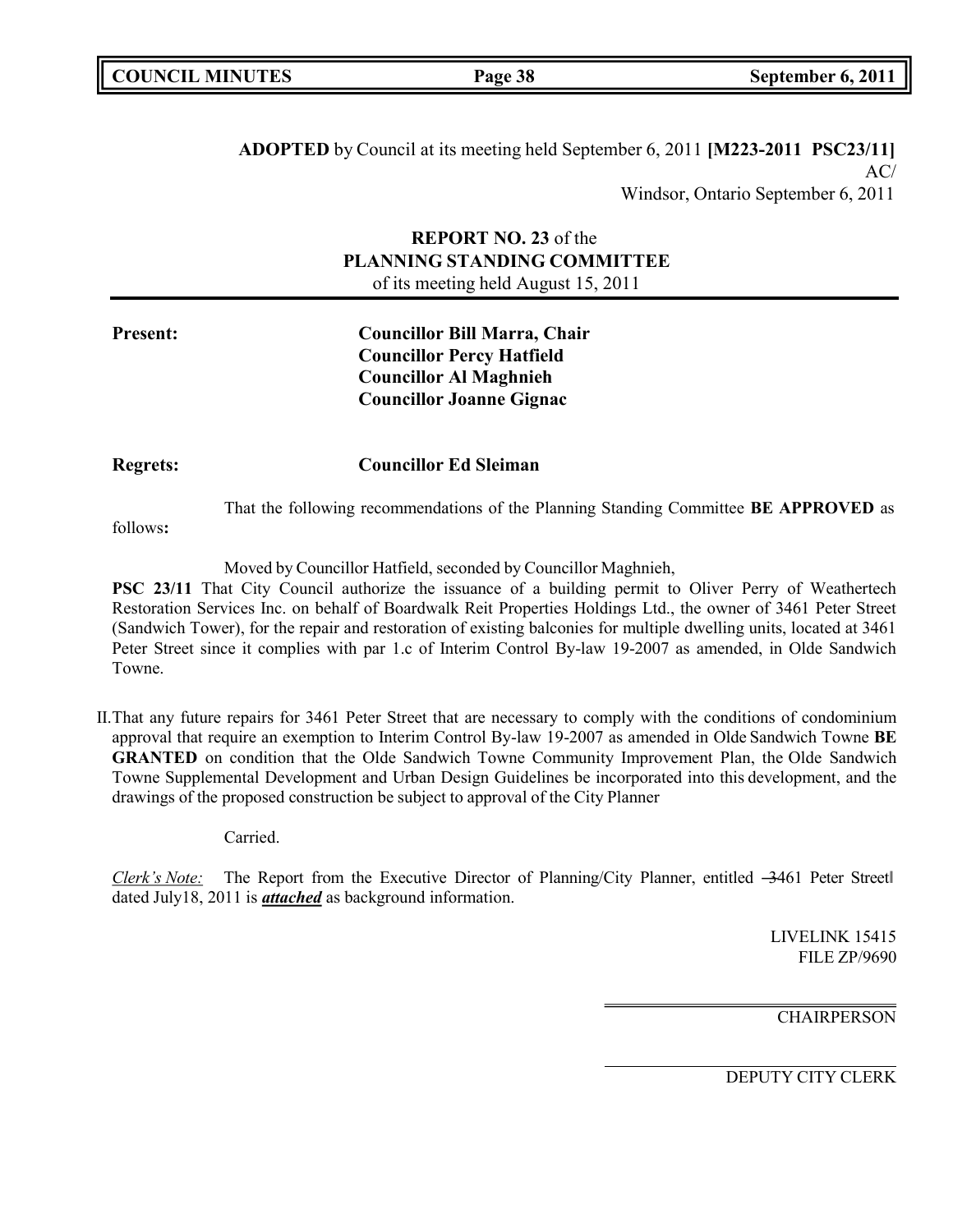**ADOPTED** by Council at its meeting held September 6, 2011 **[M223-2011 PSC23/11]**  $AC/$ Windsor, Ontario September 6, 2011

### **REPORT NO. 23** of the **PLANNING STANDING COMMITTEE** of its meeting held August 15, 2011

### **Present: Councillor Bill Marra, Chair Councillor Percy Hatfield Councillor Al Maghnieh Councillor Joanne Gignac**

**Regrets: Councillor Ed Sleiman**

That the following recommendations of the Planning Standing Committee **BE APPROVED** as

follows**:**

Moved by Councillor Hatfield, seconded by Councillor Maghnieh,

**PSC 23/11** That City Council authorize the issuance of a building permit to Oliver Perry of Weathertech Restoration Services Inc. on behalf of Boardwalk Reit Properties Holdings Ltd., the owner of 3461 Peter Street (Sandwich Tower), for the repair and restoration of existing balconies for multiple dwelling units, located at 3461 Peter Street since it complies with par 1.c of Interim Control By-law 19-2007 as amended, in Olde Sandwich Towne.

II.That any future repairs for 3461 Peter Street that are necessary to comply with the conditions of condominium approval that require an exemption to Interim Control By-law 19-2007 as amended in Olde Sandwich Towne **BE GRANTED** on condition that the Olde Sandwich Towne Community Improvement Plan, the Olde Sandwich Towne Supplemental Development and Urban Design Guidelines be incorporated into this development, and the drawings of the proposed construction be subject to approval of the City Planner

Carried.

*Clerk's Note:* The Report from the Executive Director of Planning/City Planner, entitled –3461 Peter Street dated July18, 2011 is *attached* as background information.

> LIVELINK 15415 FILE ZP/9690

**CHAIRPERSON**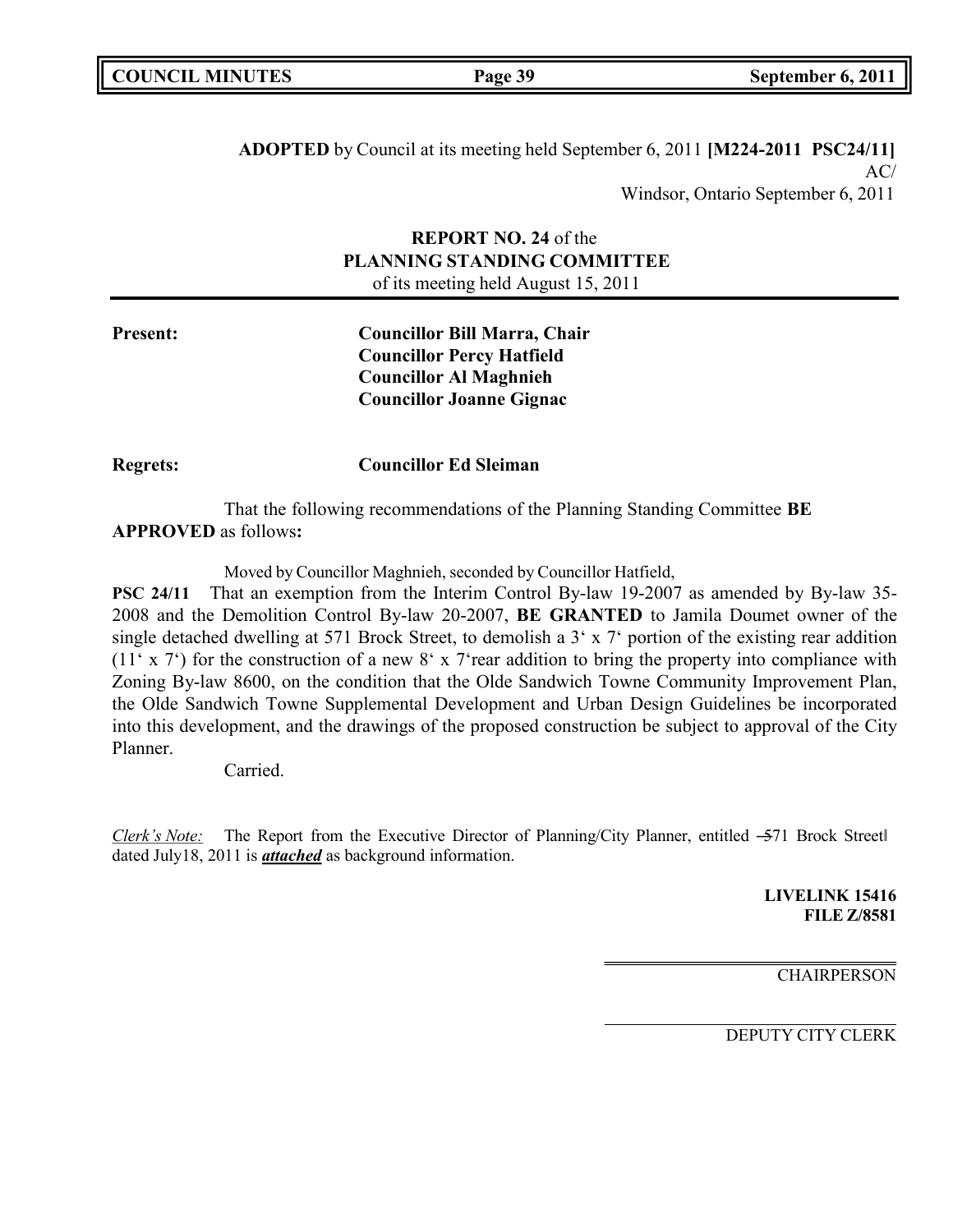|  | <b>COUNCIL MINUTES</b> |
|--|------------------------|
|--|------------------------|

**ADOPTED** by Council at its meeting held September 6, 2011 **[M224-2011 PSC24/11]** AC/ Windsor, Ontario September 6, 2011

### **REPORT NO. 24** of the **PLANNING STANDING COMMITTEE** of its meeting held August 15, 2011

**Present: Councillor Bill Marra, Chair Councillor Percy Hatfield Councillor Al Maghnieh Councillor Joanne Gignac**

**Regrets: Councillor Ed Sleiman**

That the following recommendations of the Planning Standing Committee **BE APPROVED** as follows**:**

Moved by Councillor Maghnieh, seconded by Councillor Hatfield,

**PSC 24/11** That an exemption from the Interim Control By-law 19-2007 as amended by By-law 35- 2008 and the Demolition Control By-law 20-2007, **BE GRANTED** to Jamila Doumet owner of the single detached dwelling at 571 Brock Street, to demolish a 3' x 7' portion of the existing rear addition (11' x 7') for the construction of a new  $8'$  x 7'rear addition to bring the property into compliance with Zoning By-law 8600, on the condition that the Olde Sandwich Towne Community Improvement Plan, the Olde Sandwich Towne Supplemental Development and Urban Design Guidelines be incorporated into this development, and the drawings of the proposed construction be subject to approval of the City Planner.

Carried.

*Clerk's Note:* The Report from the Executive Director of Planning/City Planner, entitled –571 Brock Street dated July18, 2011 is *attached* as background information.

> **LIVELINK 15416 FILE Z/8581**

> > **CHAIRPERSON**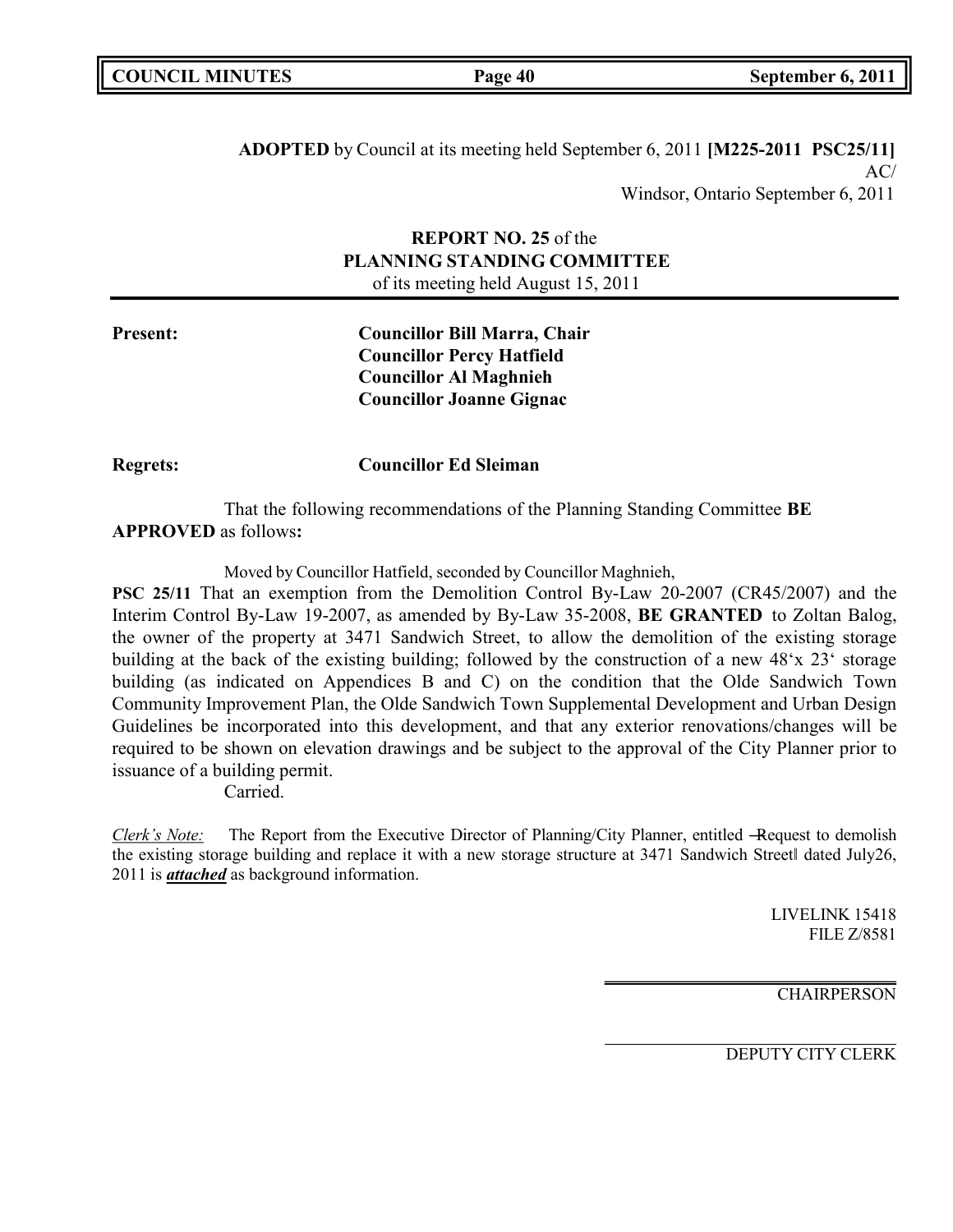| <b>COUNCIL MINUTES</b> |  |
|------------------------|--|
|------------------------|--|

**ADOPTED** by Council at its meeting held September 6, 2011 **[M225-2011 PSC25/11]**  $AC/$ Windsor, Ontario September 6, 2011

### **REPORT NO. 25** of the **PLANNING STANDING COMMITTEE** of its meeting held August 15, 2011

**Present: Councillor Bill Marra, Chair Councillor Percy Hatfield Councillor Al Maghnieh Councillor Joanne Gignac**

**Regrets: Councillor Ed Sleiman**

That the following recommendations of the Planning Standing Committee **BE APPROVED** as follows**:**

Moved by Councillor Hatfield, seconded by Councillor Maghnieh,

**PSC 25/11** That an exemption from the Demolition Control By-Law 20-2007 (CR45/2007) and the Interim Control By-Law 19-2007, as amended by By-Law 35-2008, **BE GRANTED** to Zoltan Balog, the owner of the property at 3471 Sandwich Street, to allow the demolition of the existing storage building at the back of the existing building; followed by the construction of a new 48'x 23' storage building (as indicated on Appendices B and C) on the condition that the Olde Sandwich Town Community Improvement Plan, the Olde Sandwich Town Supplemental Development and Urban Design Guidelines be incorporated into this development, and that any exterior renovations/changes will be required to be shown on elevation drawings and be subject to the approval of the City Planner prior to issuance of a building permit.

Carried.

*Clerk's Note:* The Report from the Executive Director of Planning/City Planner, entitled -Request to demolish the existing storage building and replace it with a new storage structure at 3471 Sandwich Streetl dated July26, 2011 is *attached* as background information.

> LIVELINK 15418 FILE Z/8581

**CHAIRPERSON**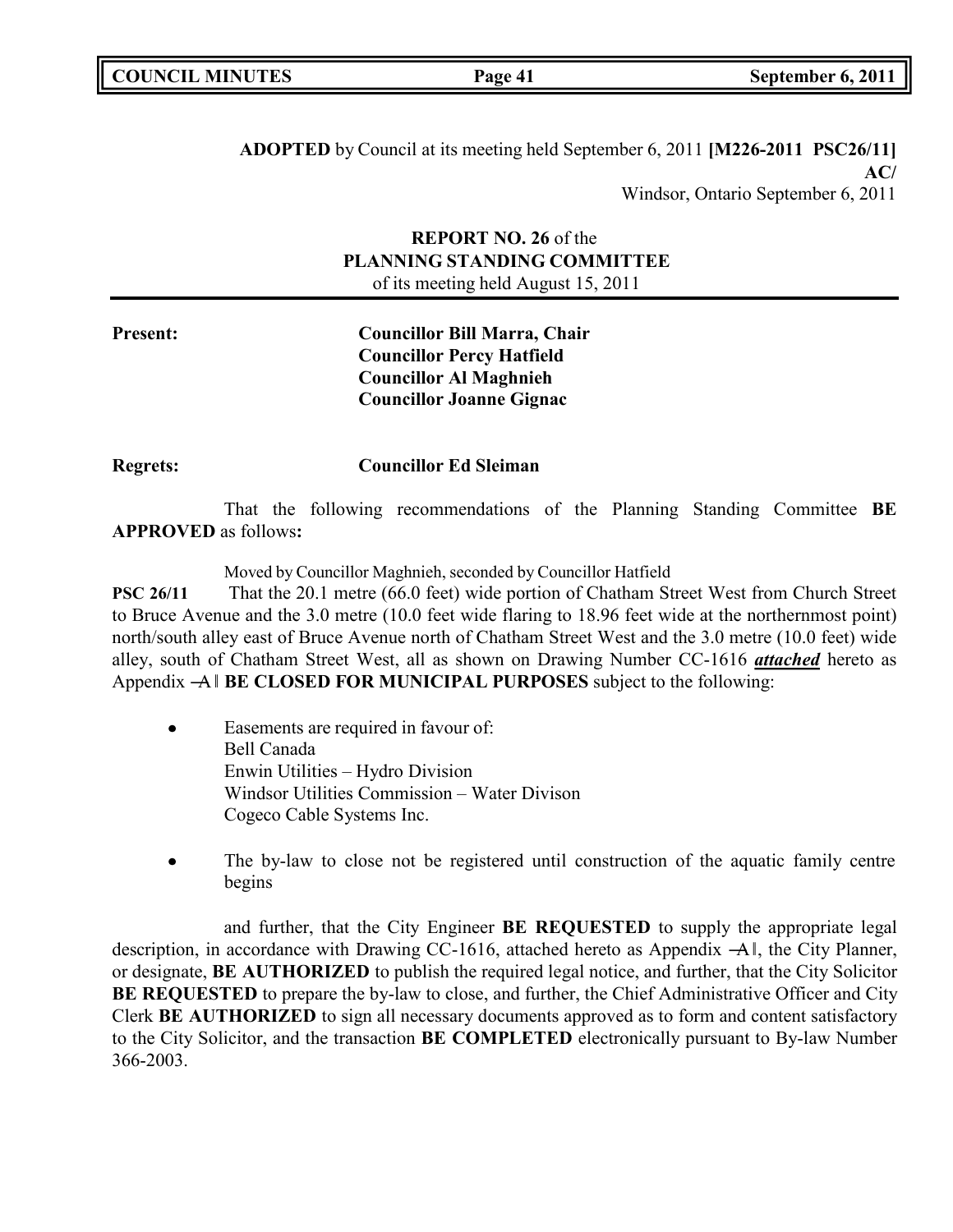|  | <b>COUNCIL MINUTES</b> |
|--|------------------------|
|--|------------------------|

**ADOPTED** by Council at its meeting held September 6, 2011 **[M226-2011 PSC26/11] AC/** Windsor, Ontario September 6, 2011

### **REPORT NO. 26** of the **PLANNING STANDING COMMITTEE** of its meeting held August 15, 2011

**Present: Councillor Bill Marra, Chair Councillor Percy Hatfield Councillor Al Maghnieh Councillor Joanne Gignac**

**Regrets: Councillor Ed Sleiman**

That the following recommendations of the Planning Standing Committee **BE APPROVED** as follows**:**

Moved by Councillor Maghnieh, seconded by Councillor Hatfield

**PSC 26/11** That the 20.1 metre (66.0 feet) wide portion of Chatham Street West from Church Street to Bruce Avenue and the 3.0 metre (10.0 feet wide flaring to 18.96 feet wide at the northernmost point) north/south alley east of Bruce Avenue north of Chatham Street West and the 3.0 metre (10.0 feet) wide alley, south of Chatham Street West, all as shown on Drawing Number CC-1616 *attached* hereto as Appendix ―A‖ **BE CLOSED FOR MUNICIPAL PURPOSES** subject to the following:

- Easements are required in favour of: Bell Canada Enwin Utilities – Hydro Division Windsor Utilities Commission – Water Divison Cogeco Cable Systems Inc.
- The by-law to close not be registered until construction of the aquatic family centre begins

and further, that the City Engineer **BE REQUESTED** to supply the appropriate legal description, in accordance with Drawing CC-1616, attached hereto as Appendix  $-A$ l, the City Planner, or designate, **BE AUTHORIZED** to publish the required legal notice, and further, that the City Solicitor **BE REQUESTED** to prepare the by-law to close, and further, the Chief Administrative Officer and City Clerk **BE AUTHORIZED** to sign all necessary documents approved as to form and content satisfactory to the City Solicitor, and the transaction **BE COMPLETED** electronically pursuant to By-law Number 366-2003.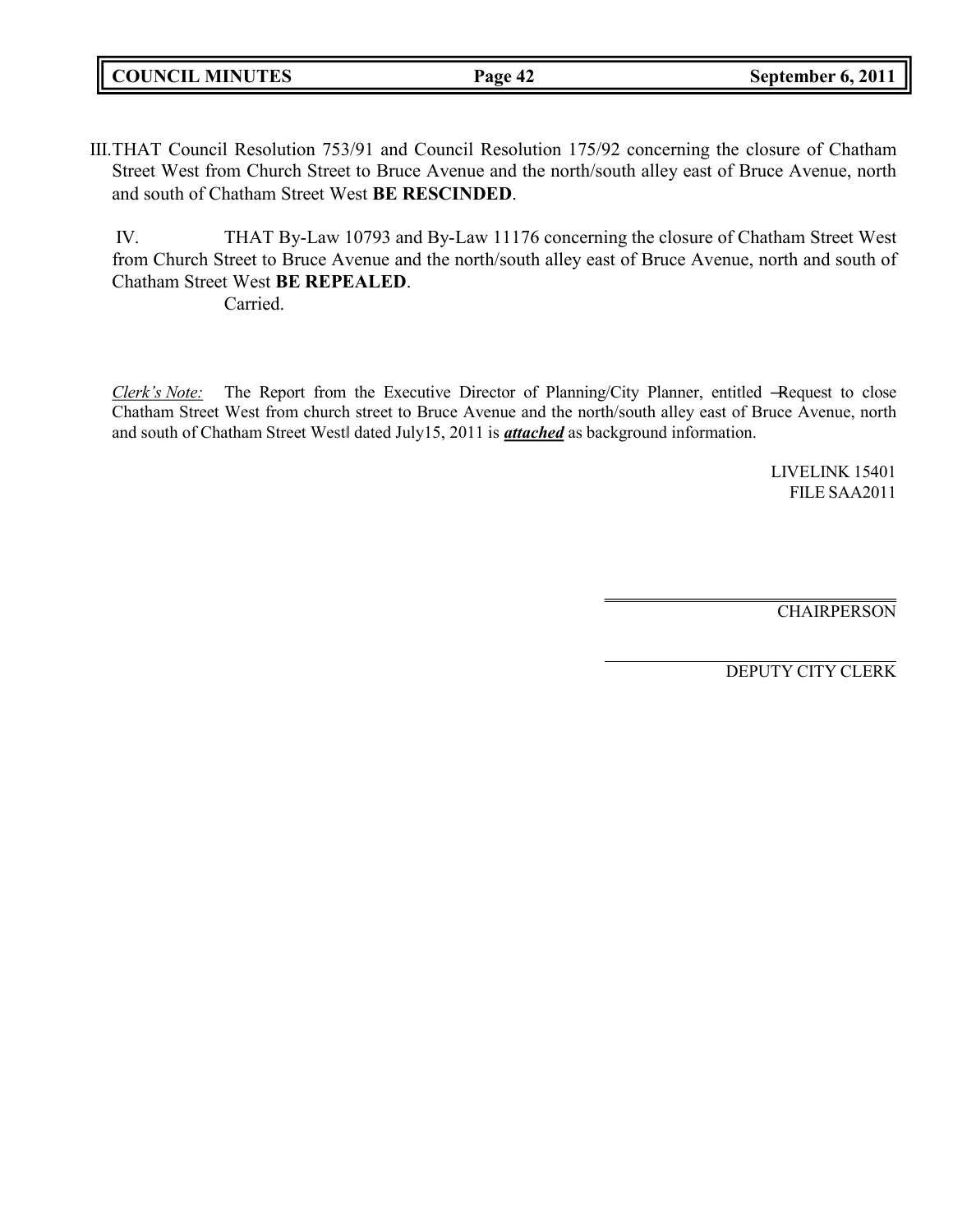| <b>COUNCIL MINUTES</b> | Page 42 | September 6, 2011 |
|------------------------|---------|-------------------|
|                        |         |                   |

III.THAT Council Resolution 753/91 and Council Resolution 175/92 concerning the closure of Chatham Street West from Church Street to Bruce Avenue and the north/south alley east of Bruce Avenue, north and south of Chatham Street West **BE RESCINDED**.

IV. THAT By-Law 10793 and By-Law 11176 concerning the closure of Chatham Street West from Church Street to Bruce Avenue and the north/south alley east of Bruce Avenue, north and south of Chatham Street West **BE REPEALED**.

Carried.

*Clerk's Note:* The Report from the Executive Director of Planning/City Planner, entitled -Request to close Chatham Street West from church street to Bruce Avenue and the north/south alley east of Bruce Avenue, north and south of Chatham Street West‖ dated July15, 2011 is *attached* as background information.

> LIVELINK 15401 FILE SAA2011

**CHAIRPERSON**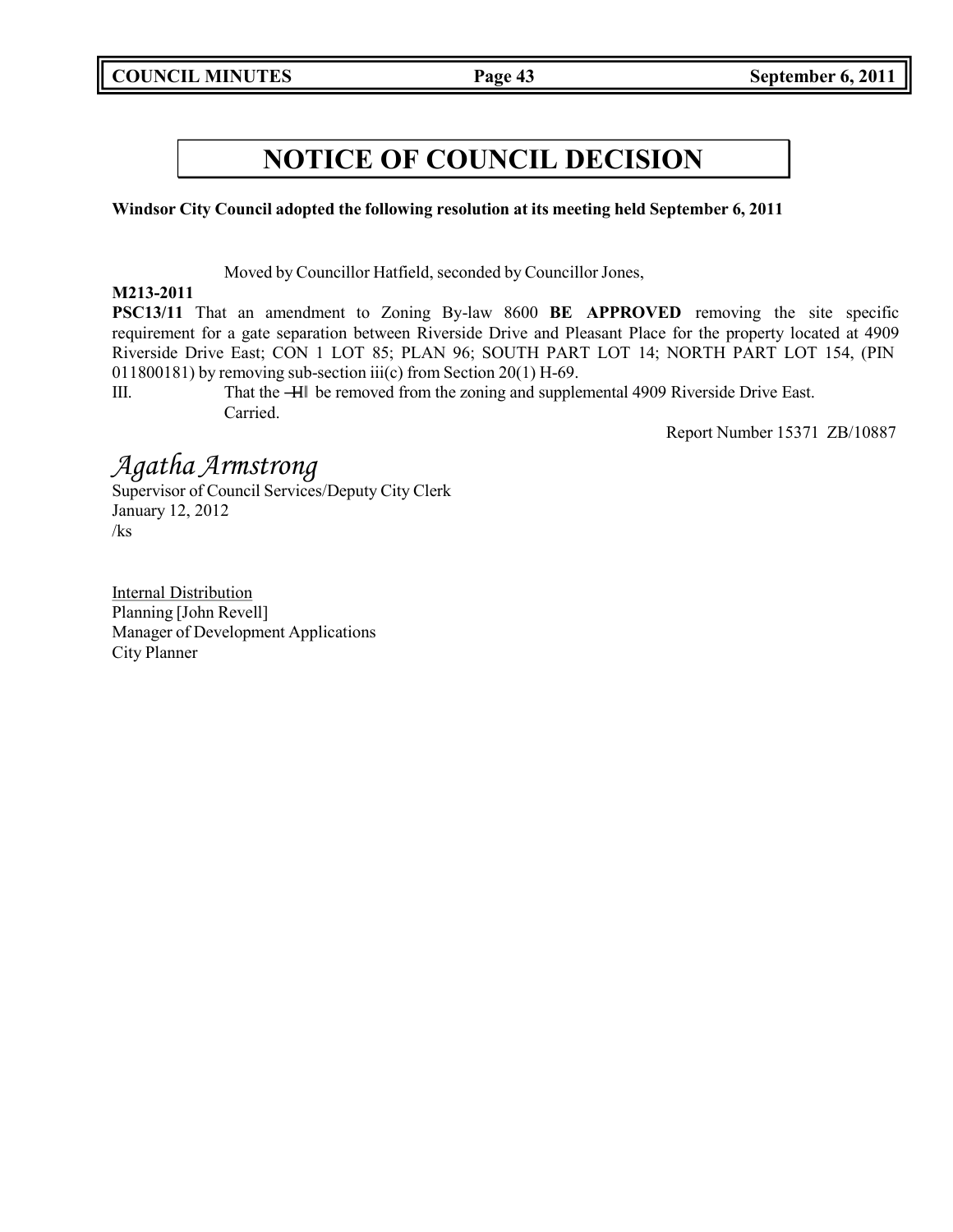**Windsor City Council adopted the following resolution at its meeting held September 6, 2011**

Moved by Councillor Hatfield, seconded by Councillor Jones,

### **M213-2011**

**PSC13/11** That an amendment to Zoning By-law 8600 **BE APPROVED** removing the site specific requirement for a gate separation between Riverside Drive and Pleasant Place for the property located at 4909 Riverside Drive East; CON 1 LOT 85; PLAN 96; SOUTH PART LOT 14; NORTH PART LOT 154, (PIN 011800181) by removing sub-section iii(c) from Section 20(1) H-69.

III. That the ―H‖ be removed from the zoning and supplemental 4909 Riverside Drive East. Carried.

Report Number 15371 ZB/10887

## *Agatha Armstrong*

Supervisor of Council Services/Deputy City Clerk January 12, 2012 /ks

Internal Distribution Planning [John Revell] Manager of Development Applications City Planner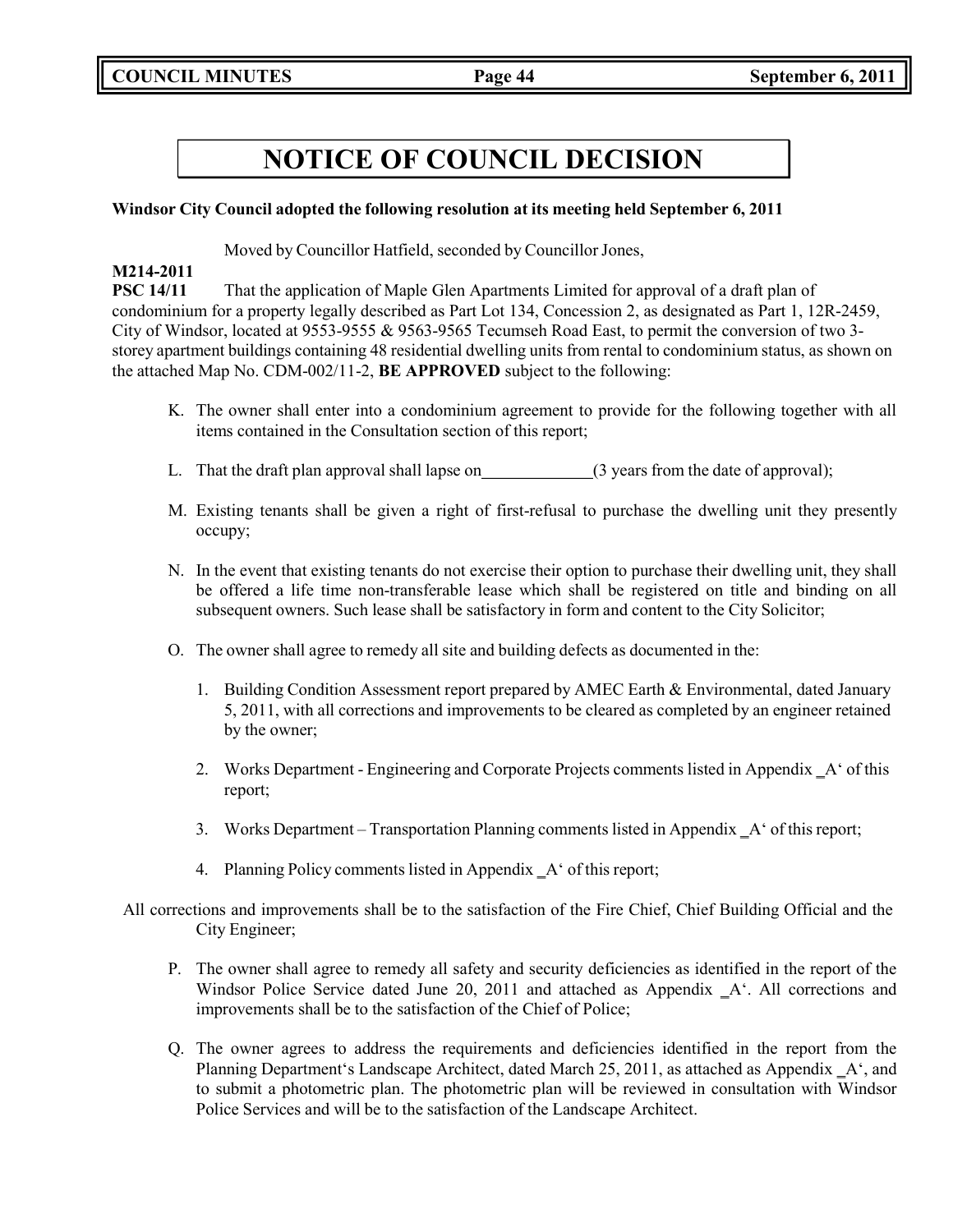### **Windsor City Council adopted the following resolution at its meeting held September 6, 2011**

Moved by Councillor Hatfield, seconded by Councillor Jones,

### **M214-2011**

**PSC 14/11** That the application of Maple Glen Apartments Limited for approval of a draft plan of condominium for a property legally described as Part Lot 134, Concession 2, as designated as Part 1, 12R-2459, City of Windsor, located at 9553-9555 & 9563-9565 Tecumseh Road East, to permit the conversion of two 3 storey apartment buildings containing 48 residential dwelling units from rental to condominium status, as shown on the attached Map No. CDM-002/11-2, **BE APPROVED** subject to the following:

- K. The owner shall enter into a condominium agreement to provide for the following together with all items contained in the Consultation section of this report;
- L. That the draft plan approval shall lapse on (3 years from the date of approval);
- M. Existing tenants shall be given a right of first-refusal to purchase the dwelling unit they presently occupy;
- N. In the event that existing tenants do not exercise their option to purchase their dwelling unit, they shall be offered a life time non-transferable lease which shall be registered on title and binding on all subsequent owners. Such lease shall be satisfactory in form and content to the City Solicitor;
- O. The owner shall agree to remedy all site and building defects as documented in the:
	- 1. Building Condition Assessment report prepared by AMEC Earth & Environmental, dated January 5, 2011, with all corrections and improvements to be cleared as completed by an engineer retained by the owner;
	- 2. Works Department Engineering and Corporate Projects comments listed in Appendix A' of this report;
	- 3. Works Department Transportation Planning comments listed in Appendix \_A' of this report;
	- 4. Planning Policy comments listed in Appendix  $A^{\prime}$  of this report;
- All corrections and improvements shall be to the satisfaction of the Fire Chief, Chief Building Official and the City Engineer;
	- P. The owner shall agree to remedy all safety and security deficiencies as identified in the report of the Windsor Police Service dated June 20, 2011 and attached as Appendix  $A^T$ . All corrections and improvements shall be to the satisfaction of the Chief of Police;
	- Q. The owner agrees to address the requirements and deficiencies identified in the report from the Planning Department's Landscape Architect, dated March 25, 2011, as attached as Appendix A', and to submit a photometric plan. The photometric plan will be reviewed in consultation with Windsor Police Services and will be to the satisfaction of the Landscape Architect.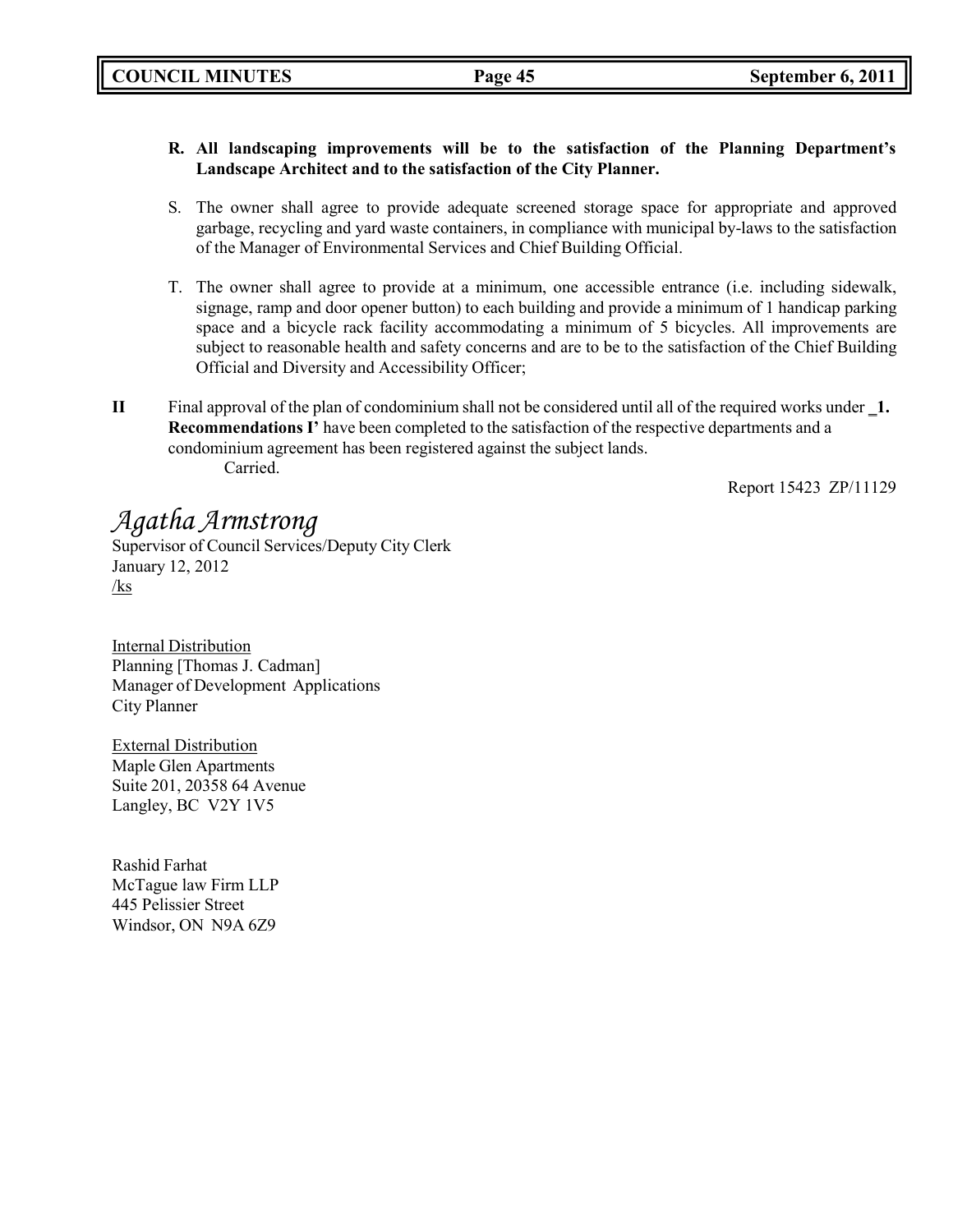### **R. All landscaping improvements will be to the satisfaction of the Planning Department's Landscape Architect and to the satisfaction of the City Planner.**

- S. The owner shall agree to provide adequate screened storage space for appropriate and approved garbage, recycling and yard waste containers, in compliance with municipal by-laws to the satisfaction of the Manager of Environmental Services and Chief Building Official.
- T. The owner shall agree to provide at a minimum, one accessible entrance (i.e. including sidewalk, signage, ramp and door opener button) to each building and provide a minimum of 1 handicap parking space and a bicycle rack facility accommodating a minimum of 5 bicycles. All improvements are subject to reasonable health and safety concerns and are to be to the satisfaction of the Chief Building Official and Diversity and Accessibility Officer;
- **II** Final approval of the plan of condominium shall not be considered until all of the required works under 1. **Recommendations I'** have been completed to the satisfaction of the respective departments and a condominium agreement has been registered against the subject lands. Carried.

Report 15423 ZP/11129

## *Agatha Armstrong*

Supervisor of Council Services/Deputy City Clerk January 12, 2012 /ks

Internal Distribution Planning [Thomas J. Cadman] Manager of Development Applications City Planner

External Distribution Maple Glen Apartments Suite 201, 20358 64 Avenue Langley, BC V2Y 1V5

Rashid Farhat McTague law Firm LLP 445 Pelissier Street Windsor, ON N9A 6Z9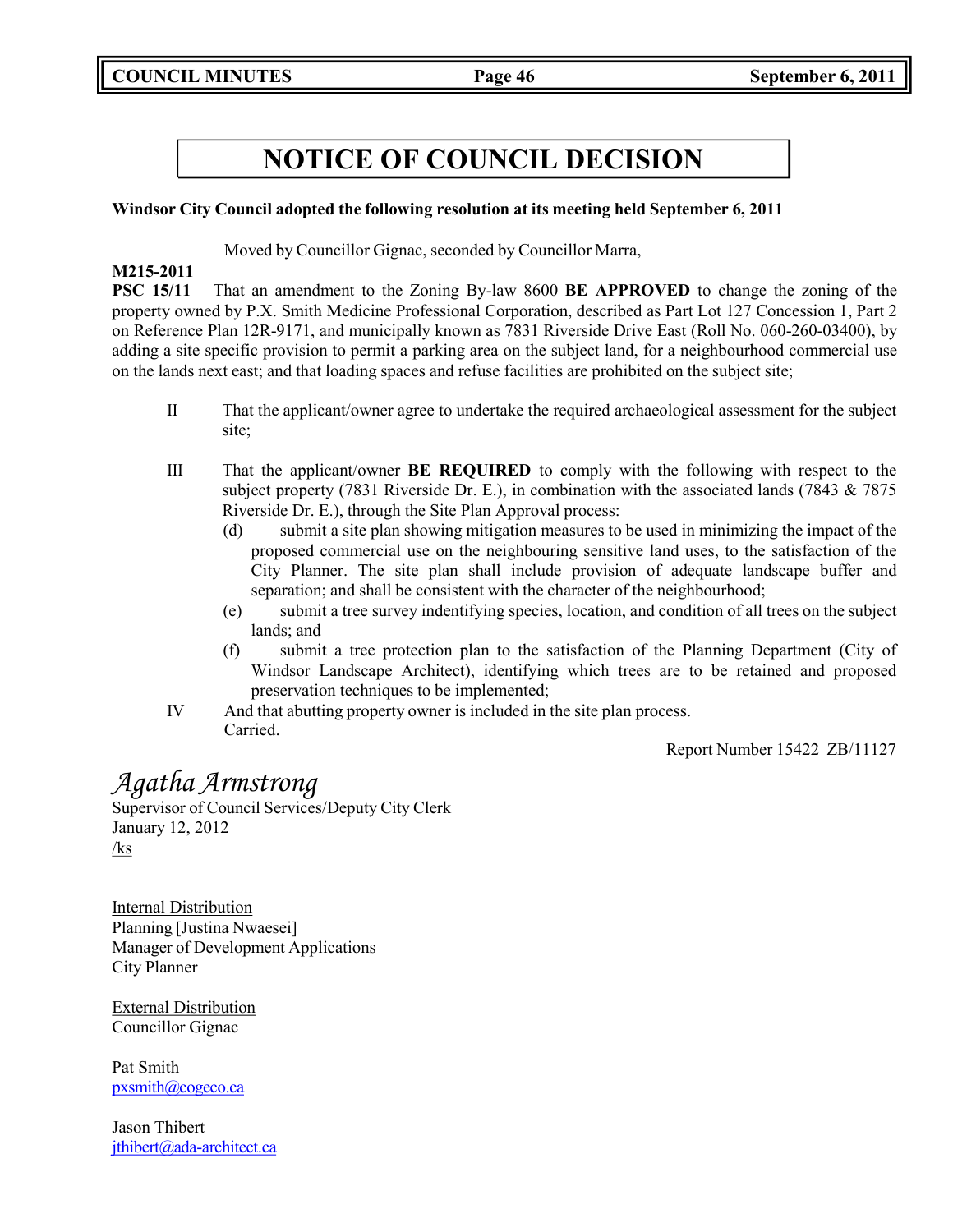### **Windsor City Council adopted the following resolution at its meeting held September 6, 2011**

Moved by Councillor Gignac, seconded by Councillor Marra,

### **M215-2011**

**PSC 15/11** That an amendment to the Zoning By-law 8600 **BE APPROVED** to change the zoning of the property owned by P.X. Smith Medicine Professional Corporation, described as Part Lot 127 Concession 1, Part 2 on Reference Plan 12R-9171, and municipally known as 7831 Riverside Drive East (Roll No. 060-260-03400), by adding a site specific provision to permit a parking area on the subject land, for a neighbourhood commercial use on the lands next east; and that loading spaces and refuse facilities are prohibited on the subject site;

- II That the applicant/owner agree to undertake the required archaeological assessment for the subject site;
- III That the applicant/owner **BE REQUIRED** to comply with the following with respect to the subject property (7831 Riverside Dr. E.), in combination with the associated lands (7843 & 7875 Riverside Dr. E.), through the Site Plan Approval process:
	- (d) submit a site plan showing mitigation measures to be used in minimizing the impact of the proposed commercial use on the neighbouring sensitive land uses, to the satisfaction of the City Planner. The site plan shall include provision of adequate landscape buffer and separation; and shall be consistent with the character of the neighbourhood;
	- (e) submit a tree survey indentifying species, location, and condition of all trees on the subject lands; and
	- (f) submit a tree protection plan to the satisfaction of the Planning Department (City of Windsor Landscape Architect), identifying which trees are to be retained and proposed preservation techniques to be implemented;
- IV And that abutting property owner is included in the site plan process. Carried.

Report Number 15422 ZB/11127

## *Agatha Armstrong*

Supervisor of Council Services/Deputy City Clerk January 12, 2012 /ks

Internal Distribution Planning [Justina Nwaesei] Manager of Development Applications City Planner

External Distribution Councillor Gignac

Pat Smith [pxsmith@cogeco.ca](mailto:pxsmith@cogeco.ca)

Jason Thibert [jthibert@ada-architect.ca](mailto:jthibert@ada-architect.ca)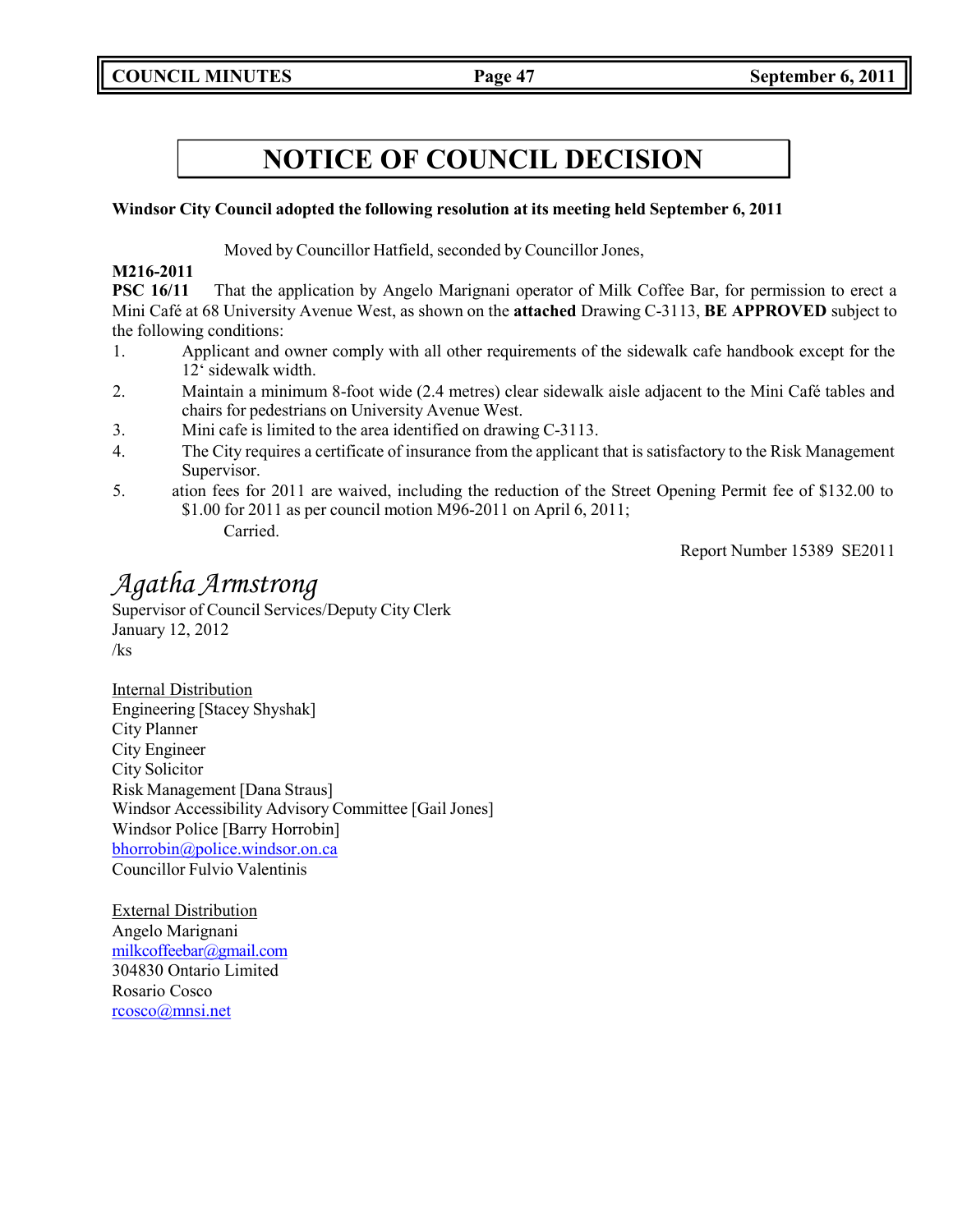**COUNCIL MINUTES Page 47 September 6, 2011**

## **NOTICE OF COUNCIL DECISION**

### **Windsor City Council adopted the following resolution at its meeting held September 6, 2011**

Moved by Councillor Hatfield, seconded by Councillor Jones,

### **M216-2011**

**PSC 16/11** That the application by Angelo Marignani operator of Milk Coffee Bar, for permission to erect a Mini Café at 68 University Avenue West, as shown on the **attached** Drawing C-3113, **BE APPROVED** subject to the following conditions:

- 1. Applicant and owner comply with all other requirements of the sidewalk cafe handbook except for the 12' sidewalk width.
- 2. Maintain a minimum 8-foot wide (2.4 metres) clear sidewalk aisle adjacent to the Mini Café tables and chairs for pedestrians on University Avenue West.
- 3. Mini cafe is limited to the area identified on drawing C-3113.
- 4. The City requires a certificate of insurance from the applicant that is satisfactory to the Risk Management Supervisor.
- 5. ation fees for 2011 are waived, including the reduction of the Street Opening Permit fee of \$132.00 to \$1.00 for 2011 as per council motion M96-2011 on April 6, 2011; Carried.

Report Number 15389 SE2011

## *Agatha Armstrong*

Supervisor of Council Services/Deputy City Clerk January 12, 2012 /ks

Internal Distribution Engineering [Stacey Shyshak] City Planner City Engineer City Solicitor Risk Management [Dana Straus] Windsor Accessibility Advisory Committee [Gail Jones] Windsor Police [Barry Horrobin] [bhorrobin@police.windsor.on.ca](mailto:bhorrobin@police.windsor.on.ca) Councillor Fulvio Valentinis

External Distribution Angelo Marignani [milkcoffeebar@gmail.com](mailto:milkcoffeebar@gmail.com) 304830 Ontario Limited Rosario Cosco [rcosco@mnsi.net](mailto:rcosco@mnsi.net)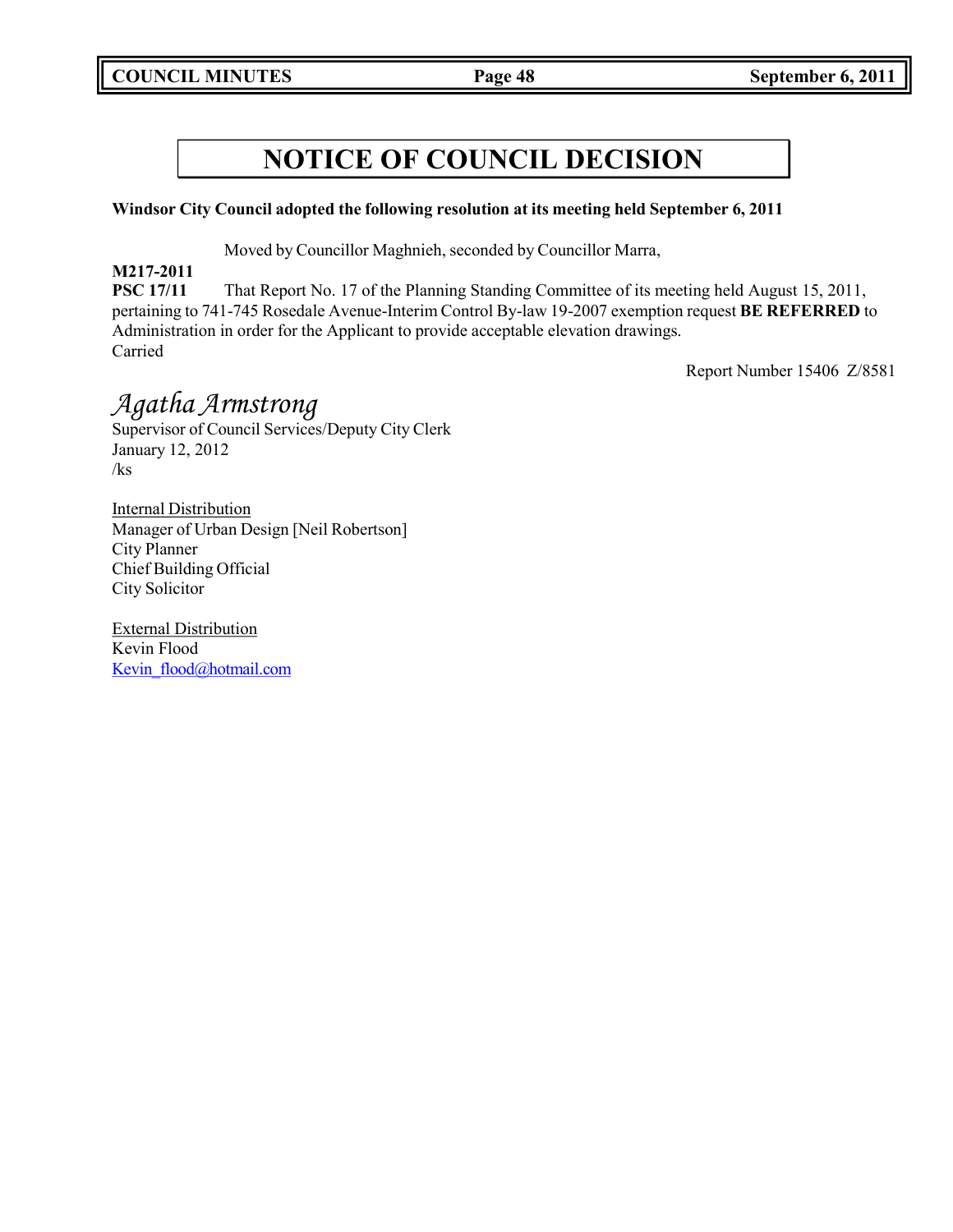### **Windsor City Council adopted the following resolution at its meeting held September 6, 2011**

Moved by Councillor Maghnieh, seconded by Councillor Marra,

**M217-2011**

**PSC 17/11** That Report No. 17 of the Planning Standing Committee of its meeting held August 15, 2011, pertaining to 741-745 Rosedale Avenue-Interim Control By-law 19-2007 exemption request **BE REFERRED** to Administration in order for the Applicant to provide acceptable elevation drawings. Carried

Report Number 15406 Z/8581

## *Agatha Armstrong*

Supervisor of Council Services/Deputy City Clerk January 12, 2012 /ks

Internal Distribution Manager of Urban Design [Neil Robertson] City Planner Chief Building Official City Solicitor

External Distribution Kevin Flood Kevin flood@hotmail.com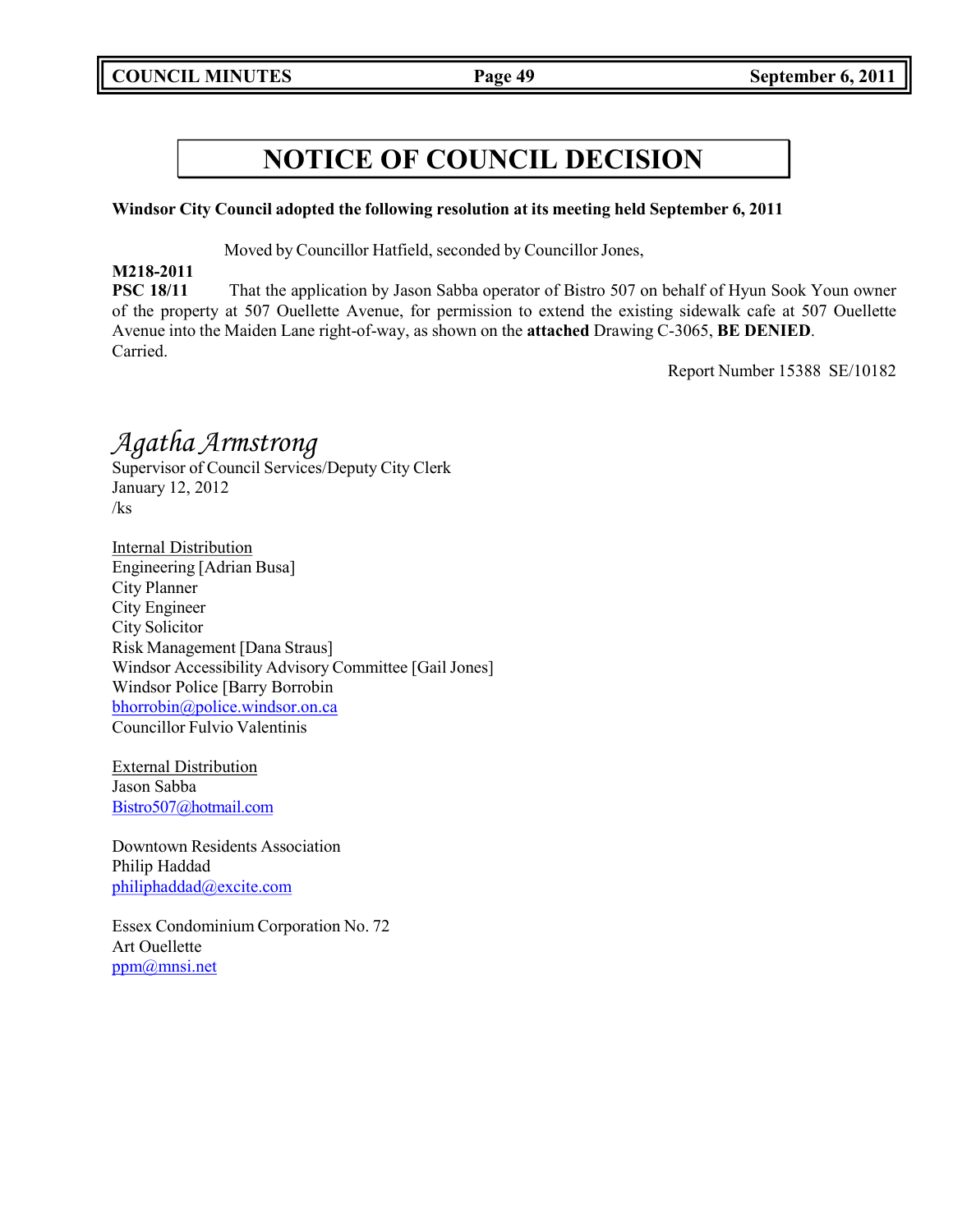### **Windsor City Council adopted the following resolution at its meeting held September 6, 2011**

Moved by Councillor Hatfield, seconded by Councillor Jones,

### **M218-2011**

**PSC 18/11** That the application by Jason Sabba operator of Bistro 507 on behalf of Hyun Sook Youn owner of the property at 507 Ouellette Avenue, for permission to extend the existing sidewalk cafe at 507 Ouellette Avenue into the Maiden Lane right-of-way, as shown on the **attached** Drawing C-3065, **BE DENIED**. Carried.

Report Number 15388 SE/10182

## *Agatha Armstrong*

Supervisor of Council Services/Deputy City Clerk January 12, 2012 /ks

Internal Distribution Engineering [Adrian Busa] City Planner City Engineer City Solicitor Risk Management [Dana Straus] Windsor Accessibility Advisory Committee [Gail Jones] Windsor Police [Barry Borrobin [bhorrobin@police.windsor.on.ca](mailto:bhorrobin@police.windsor.on.ca) Councillor Fulvio Valentinis

External Distribution Jason Sabba [Bistro507@hotmail.com](mailto:Bistro507@hotmail.com)

Downtown Residents Association Philip Haddad [philiphaddad@excite.com](mailto:philiphaddad@excite.com)

Essex Condominium Corporation No. 72 Art Ouellette [ppm@mnsi.net](mailto:ppm@mnsi.net)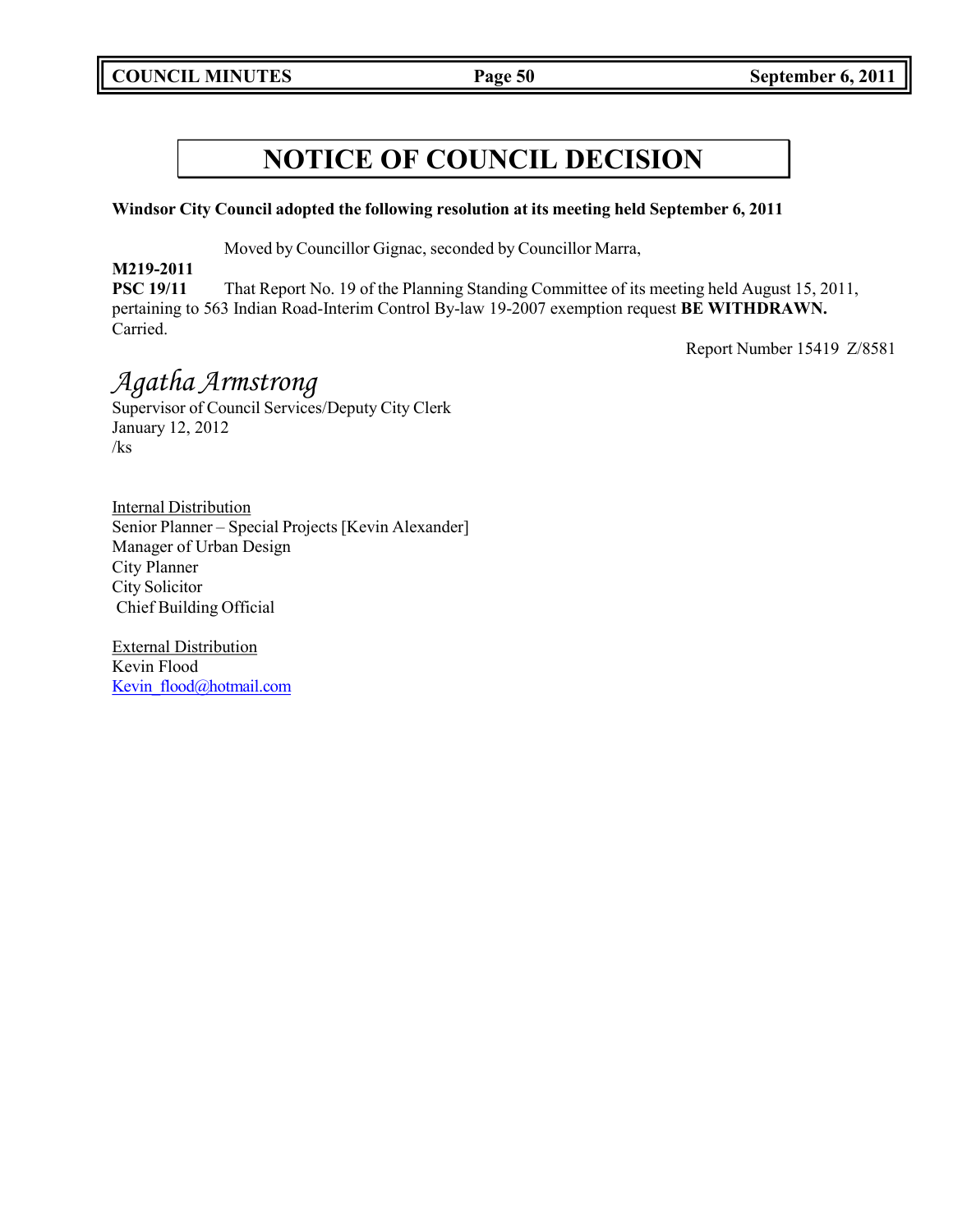### **Windsor City Council adopted the following resolution at its meeting held September 6, 2011**

Moved by Councillor Gignac, seconded by Councillor Marra,

**M219-2011**

**PSC 19/11** That Report No. 19 of the Planning Standing Committee of its meeting held August 15, 2011, pertaining to 563 Indian Road-Interim Control By-law 19-2007 exemption request **BE WITHDRAWN.** Carried.

Report Number 15419 Z/8581

## *Agatha Armstrong*

Supervisor of Council Services/Deputy City Clerk January 12, 2012 /ks

Internal Distribution Senior Planner – Special Projects [Kevin Alexander] Manager of Urban Design City Planner City Solicitor Chief Building Official

External Distribution Kevin Flood [Kevin\\_flood@hotmail.com](mailto:Kevin_flood@hotmail.com)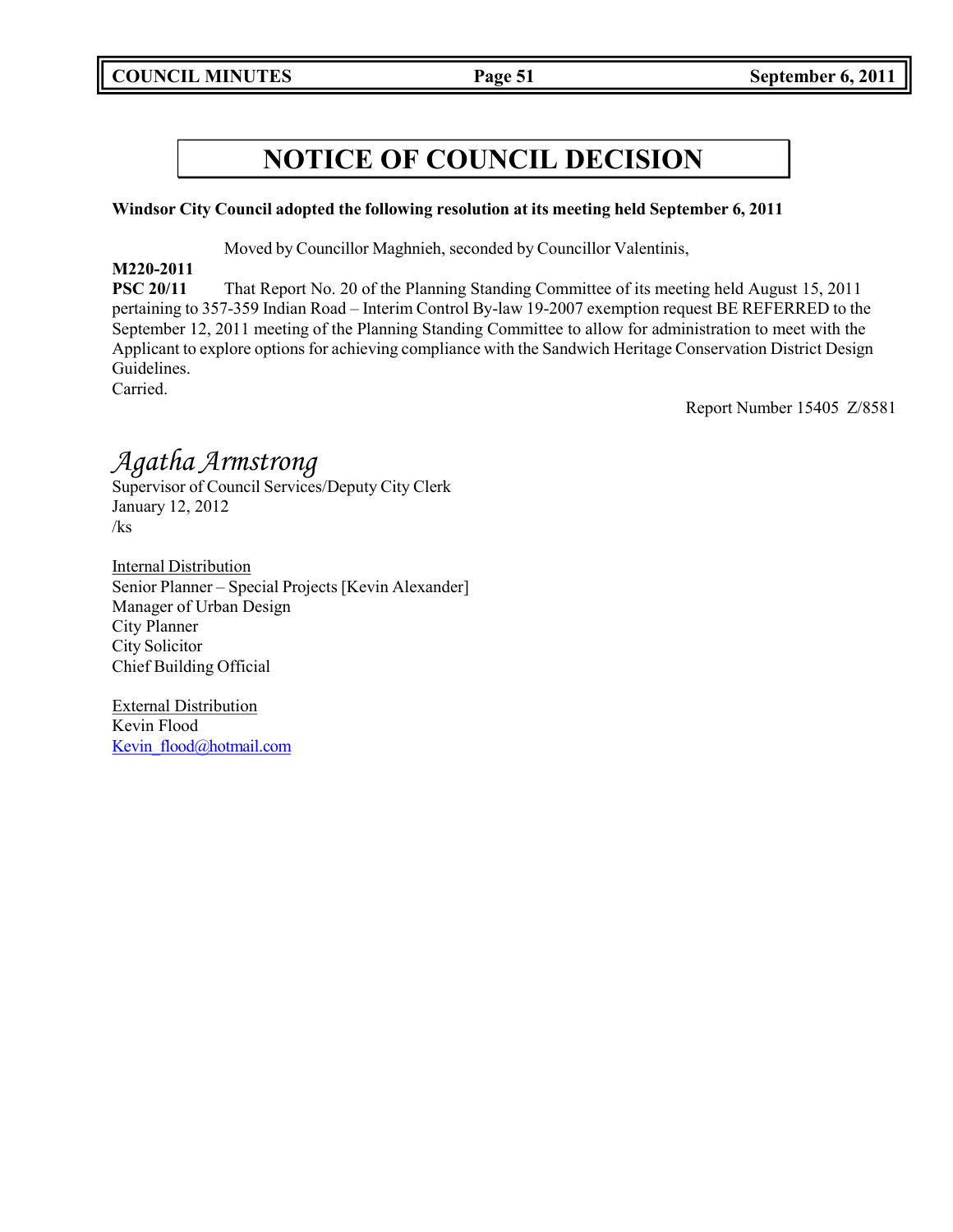### **Windsor City Council adopted the following resolution at its meeting held September 6, 2011**

Moved by Councillor Maghnieh, seconded by Councillor Valentinis,

### **M220-2011**

**PSC 20/11** That Report No. 20 of the Planning Standing Committee of its meeting held August 15, 2011 pertaining to 357-359 Indian Road – Interim Control By-law 19-2007 exemption request BE REFERRED to the September 12, 2011 meeting of the Planning Standing Committee to allow for administration to meet with the Applicant to explore options for achieving compliance with the Sandwich Heritage Conservation District Design Guidelines. Carried.

Report Number 15405 Z/8581

## *Agatha Armstrong*

Supervisor of Council Services/Deputy City Clerk January 12, 2012 /ks

Internal Distribution Senior Planner – Special Projects [Kevin Alexander] Manager of Urban Design City Planner City Solicitor Chief Building Official

External Distribution Kevin Flood [Kevin\\_flood@hotmail.com](mailto:Kevin_flood@hotmail.com)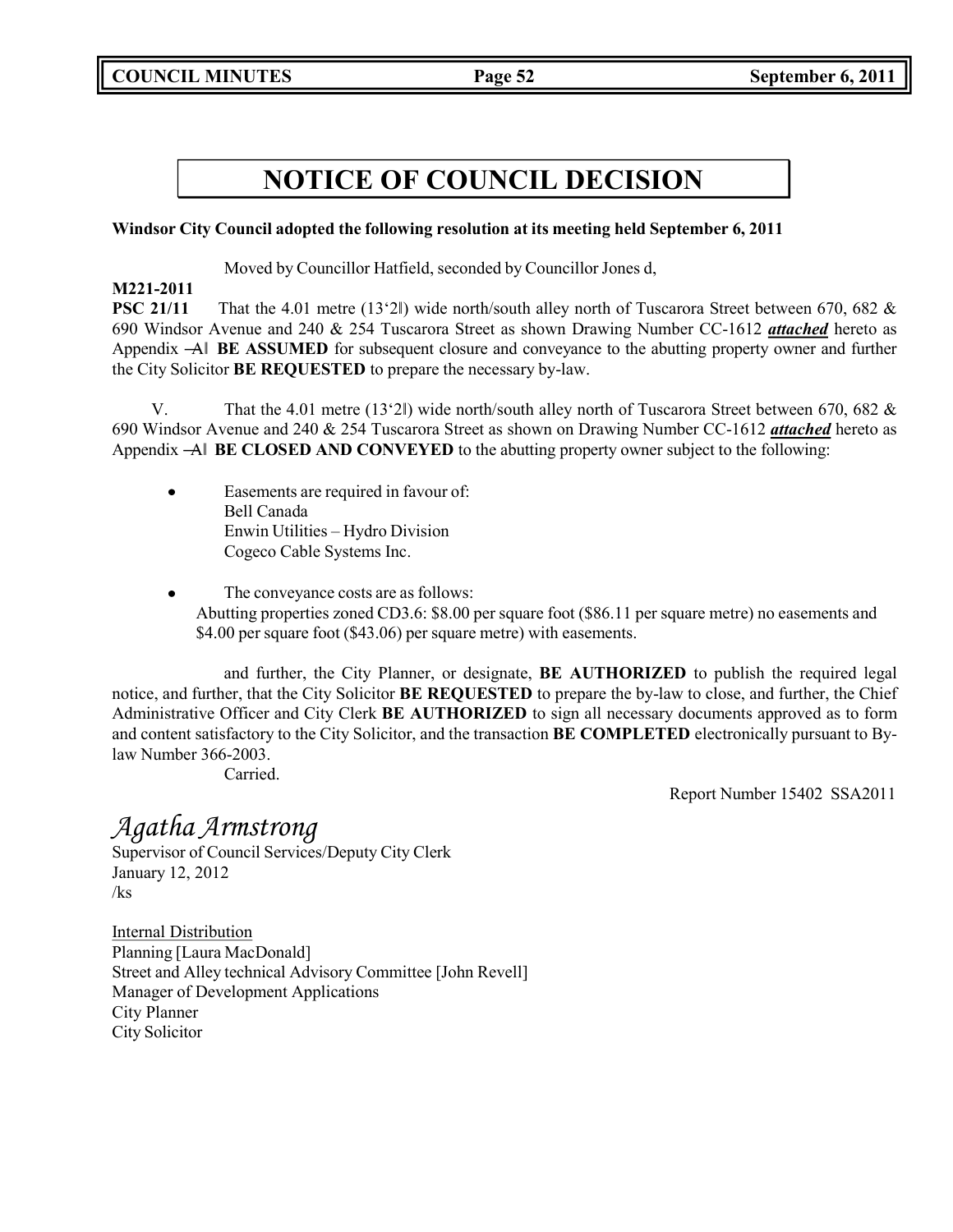### **Windsor City Council adopted the following resolution at its meeting held September 6, 2011**

Moved by Councillor Hatfield, seconded by Councillor Jones d,

### **M221-2011**

**PSC 21/11** That the 4.01 metre (13'2l) wide north/south alley north of Tuscarora Street between 670, 682 & 690 Windsor Avenue and 240 & 254 Tuscarora Street as shown Drawing Number CC-1612 *attached* hereto as Appendix ―A‖ **BE ASSUMED** for subsequent closure and conveyance to the abutting property owner and further the City Solicitor **BE REQUESTED** to prepare the necessary by-law.

V. That the 4.01 metre (13'2‖) wide north/south alley north of Tuscarora Street between 670, 682 & 690 Windsor Avenue and 240 & 254 Tuscarora Street as shown on Drawing Number CC-1612 *attached* hereto as Appendix ―A‖ **BE CLOSED AND CONVEYED** to the abutting property owner subject to the following:

- Easements are required in favour of:  $\bullet$ Bell Canada Enwin Utilities – Hydro Division Cogeco Cable Systems Inc.
- The conveyance costs are as follows:  $\bullet$ Abutting properties zoned CD3.6: \$8.00 per square foot (\$86.11 per square metre) no easements and \$4.00 per square foot (\$43.06) per square metre) with easements.

and further, the City Planner, or designate, **BE AUTHORIZED** to publish the required legal notice, and further, that the City Solicitor **BE REQUESTED** to prepare the by-law to close, and further, the Chief Administrative Officer and City Clerk **BE AUTHORIZED** to sign all necessary documents approved as to form and content satisfactory to the City Solicitor, and the transaction **BE COMPLETED** electronically pursuant to Bylaw Number 366-2003.

Carried.

Report Number 15402 SSA2011

## *Agatha Armstrong*

Supervisor of Council Services/Deputy City Clerk January 12, 2012 /ks

Internal Distribution Planning [Laura MacDonald] Street and Alley technical Advisory Committee [John Revell] Manager of Development Applications City Planner City Solicitor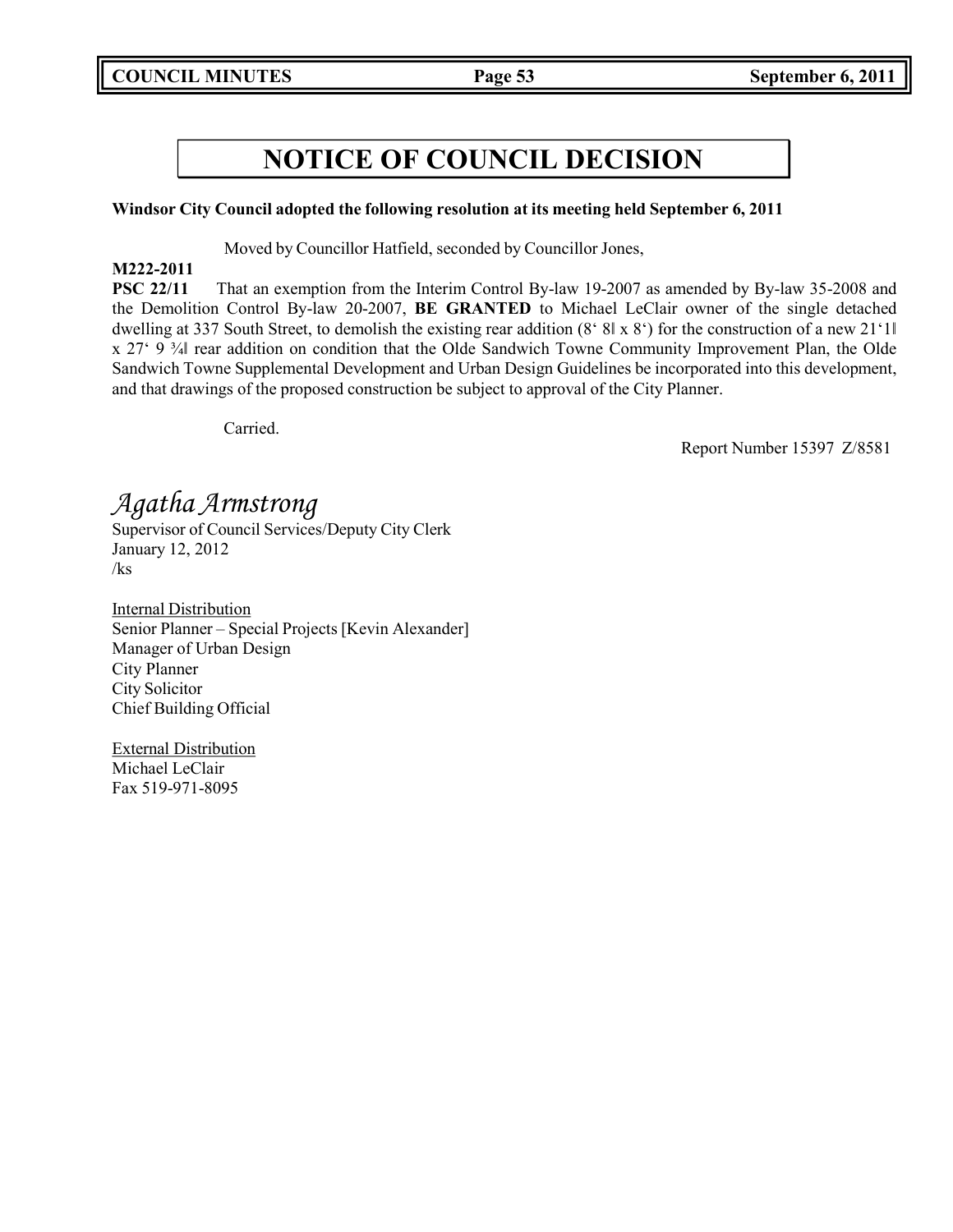### **Windsor City Council adopted the following resolution at its meeting held September 6, 2011**

Moved by Councillor Hatfield, seconded by Councillor Jones,

### **M222-2011**

**PSC 22/11** That an exemption from the Interim Control By-law 19-2007 as amended by By-law 35-2008 and the Demolition Control By-law 20-2007, **BE GRANTED** to Michael LeClair owner of the single detached dwelling at 337 South Street, to demolish the existing rear addition (8' 8‖ x 8') for the construction of a new 21'1‖ x 27' 9 ¾‖ rear addition on condition that the Olde Sandwich Towne Community Improvement Plan, the Olde Sandwich Towne Supplemental Development and Urban Design Guidelines be incorporated into this development, and that drawings of the proposed construction be subject to approval of the City Planner.

Carried.

Report Number 15397 Z/8581

*Agatha Armstrong*

Supervisor of Council Services/Deputy City Clerk January 12, 2012 /ks

Internal Distribution Senior Planner – Special Projects [Kevin Alexander] Manager of Urban Design City Planner City Solicitor Chief Building Official

External Distribution Michael LeClair Fax 519-971-8095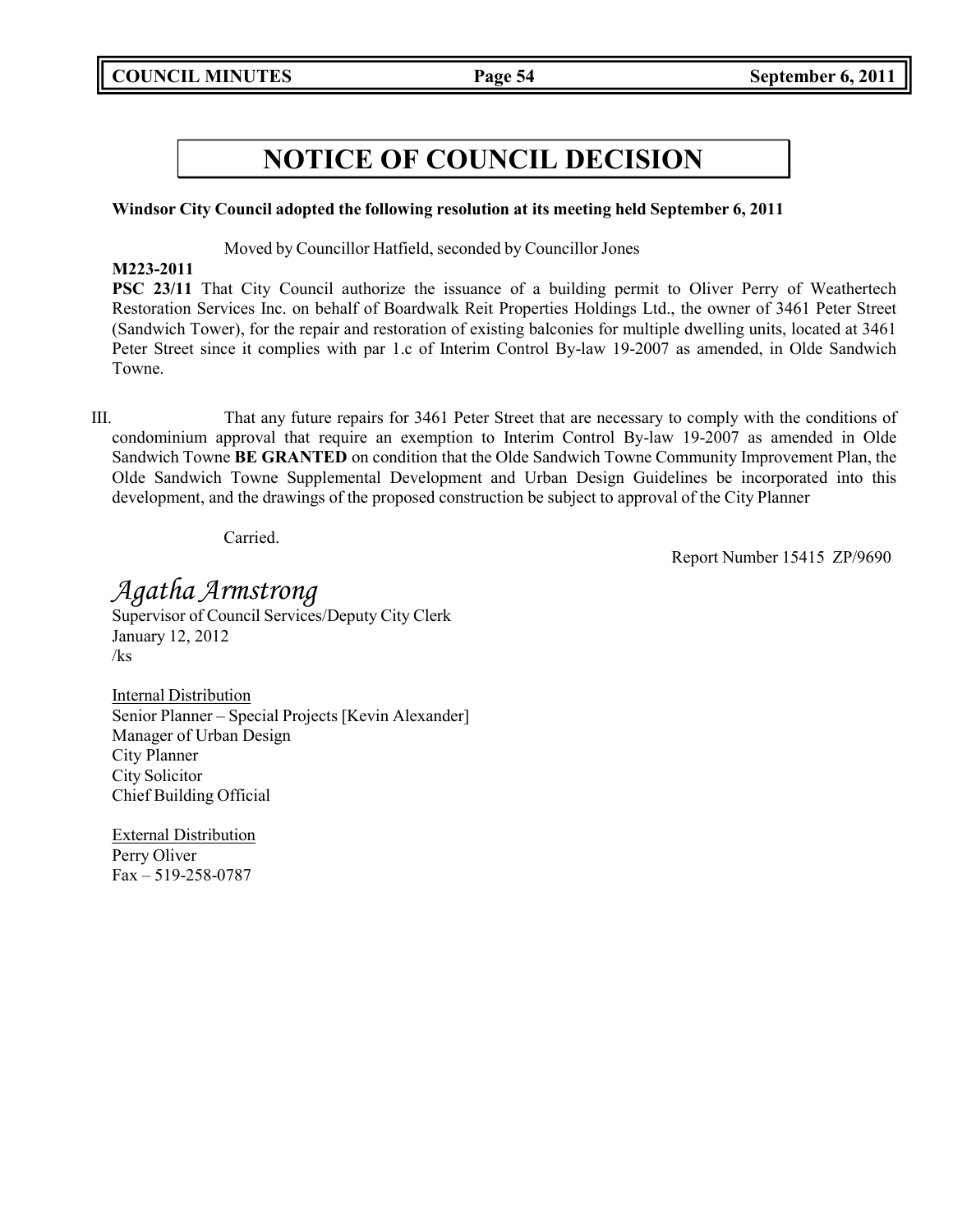### **Windsor City Council adopted the following resolution at its meeting held September 6, 2011**

Moved by Councillor Hatfield, seconded by Councillor Jones

### **M223-2011**

**PSC 23/11** That City Council authorize the issuance of a building permit to Oliver Perry of Weathertech Restoration Services Inc. on behalf of Boardwalk Reit Properties Holdings Ltd., the owner of 3461 Peter Street (Sandwich Tower), for the repair and restoration of existing balconies for multiple dwelling units, located at 3461 Peter Street since it complies with par 1.c of Interim Control By-law 19-2007 as amended, in Olde Sandwich Towne.

III. That any future repairs for 3461 Peter Street that are necessary to comply with the conditions of condominium approval that require an exemption to Interim Control By-law 19-2007 as amended in Olde Sandwich Towne **BE GRANTED** on condition that the Olde Sandwich Towne Community Improvement Plan, the Olde Sandwich Towne Supplemental Development and Urban Design Guidelines be incorporated into this development, and the drawings of the proposed construction be subject to approval of the City Planner

Carried.

Report Number 15415 ZP/9690

*Agatha Armstrong* Supervisor of Council Services/Deputy City Clerk January 12, 2012 /ks

Internal Distribution Senior Planner – Special Projects [Kevin Alexander] Manager of Urban Design City Planner City Solicitor Chief Building Official

External Distribution Perry Oliver Fax – 519-258-0787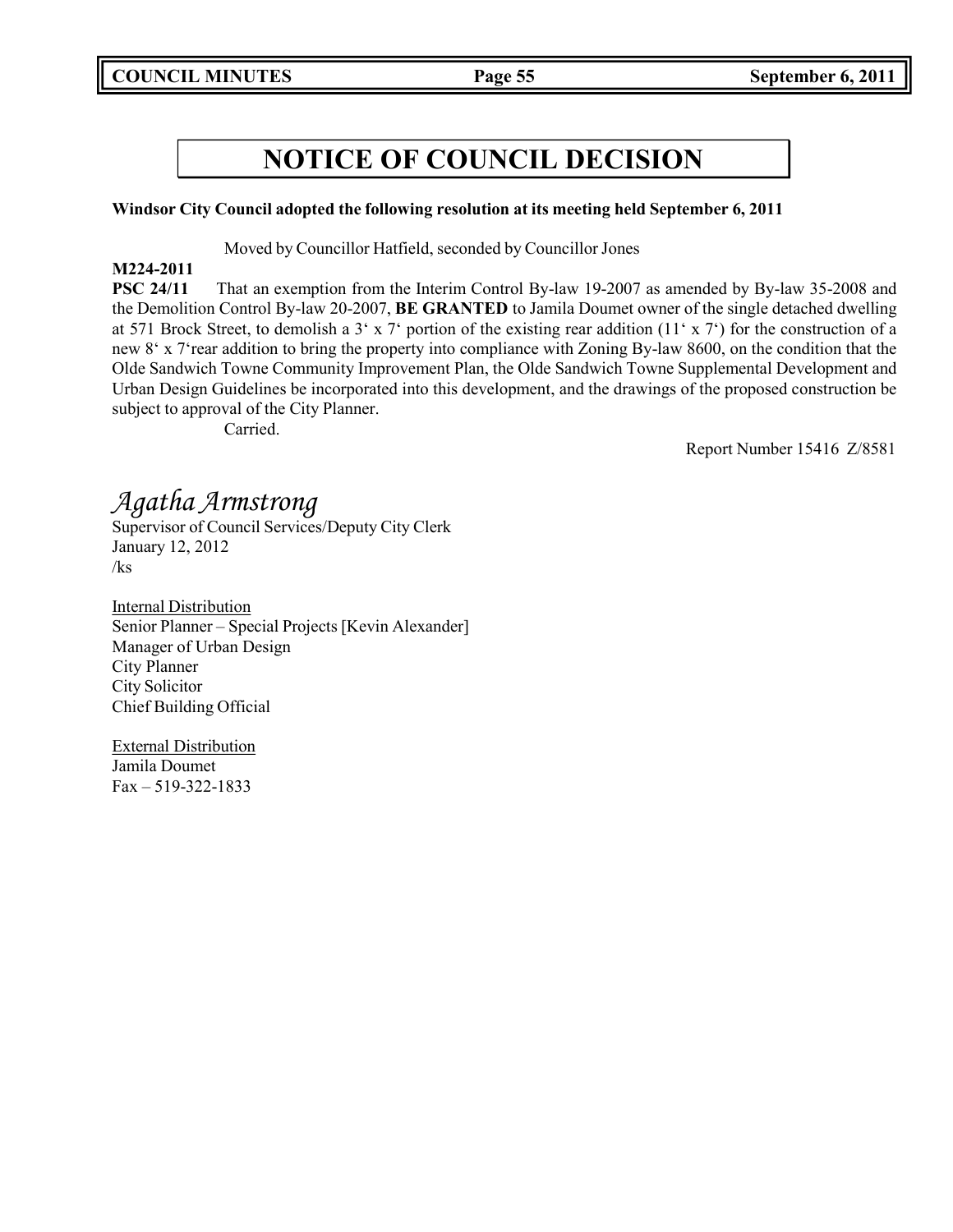### **Windsor City Council adopted the following resolution at its meeting held September 6, 2011**

Moved by Councillor Hatfield, seconded by Councillor Jones

### **M224-2011**

**PSC 24/11** That an exemption from the Interim Control By-law 19-2007 as amended by By-law 35-2008 and the Demolition Control By-law 20-2007, **BE GRANTED** to Jamila Doumet owner of the single detached dwelling at 571 Brock Street, to demolish a 3' x 7' portion of the existing rear addition (11' x 7') for the construction of a new 8' x 7'rear addition to bring the property into compliance with Zoning By-law 8600, on the condition that the Olde Sandwich Towne Community Improvement Plan, the Olde Sandwich Towne Supplemental Development and Urban Design Guidelines be incorporated into this development, and the drawings of the proposed construction be subject to approval of the City Planner.

Carried.

Report Number 15416 Z/8581

## *Agatha Armstrong*

Supervisor of Council Services/Deputy City Clerk January 12, 2012 /ks

Internal Distribution Senior Planner – Special Projects [Kevin Alexander] Manager of Urban Design City Planner City Solicitor Chief Building Official

External Distribution Jamila Doumet Fax – 519-322-1833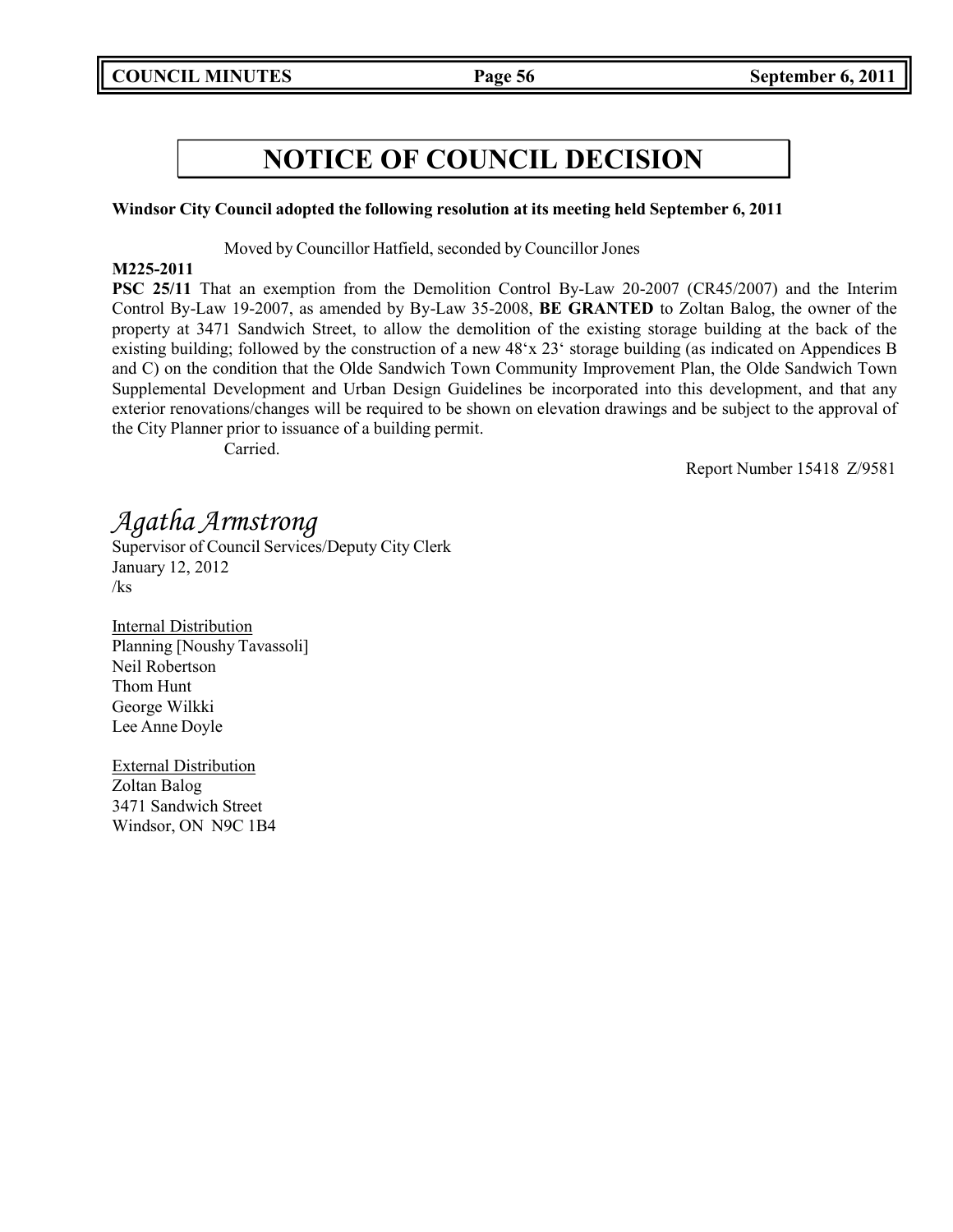### **Windsor City Council adopted the following resolution at its meeting held September 6, 2011**

Moved by Councillor Hatfield, seconded by Councillor Jones

### **M225-2011**

**PSC 25/11** That an exemption from the Demolition Control By-Law 20-2007 (CR45/2007) and the Interim Control By-Law 19-2007, as amended by By-Law 35-2008, **BE GRANTED** to Zoltan Balog, the owner of the property at 3471 Sandwich Street, to allow the demolition of the existing storage building at the back of the existing building; followed by the construction of a new 48'x 23' storage building (as indicated on Appendices B and C) on the condition that the Olde Sandwich Town Community Improvement Plan, the Olde Sandwich Town Supplemental Development and Urban Design Guidelines be incorporated into this development, and that any exterior renovations/changes will be required to be shown on elevation drawings and be subject to the approval of the City Planner prior to issuance of a building permit.

Carried.

Report Number 15418 Z/9581

## *Agatha Armstrong*

Supervisor of Council Services/Deputy City Clerk January 12, 2012 /ks

Internal Distribution Planning [Noushy Tavassoli] Neil Robertson Thom Hunt George Wilkki Lee Anne Doyle

External Distribution Zoltan Balog 3471 Sandwich Street Windsor, ON N9C 1B4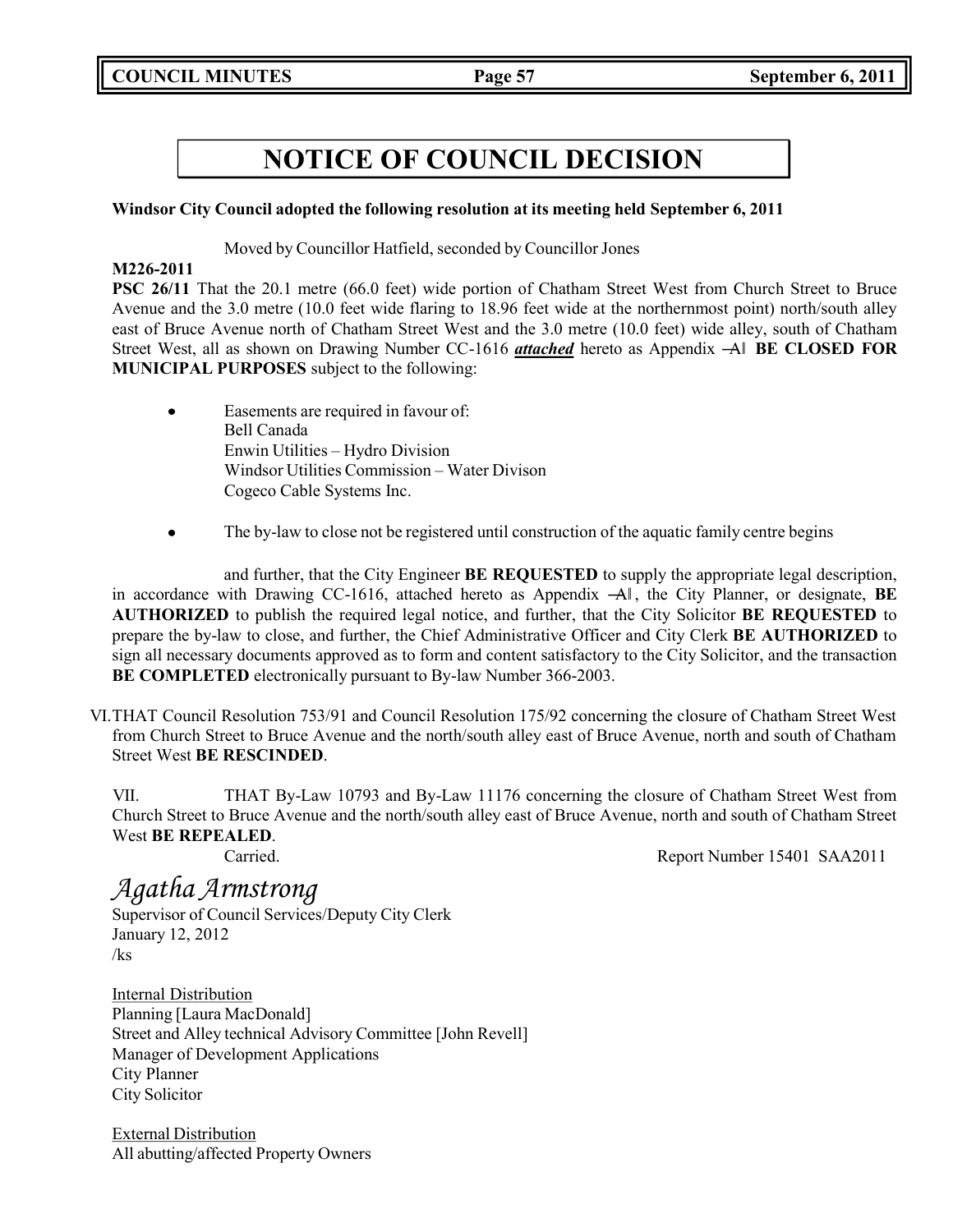### **Windsor City Council adopted the following resolution at its meeting held September 6, 2011**

### Moved by Councillor Hatfield, seconded by Councillor Jones

### **M226-2011**

**PSC 26/11** That the 20.1 metre (66.0 feet) wide portion of Chatham Street West from Church Street to Bruce Avenue and the 3.0 metre (10.0 feet wide flaring to 18.96 feet wide at the northernmost point) north/south alley east of Bruce Avenue north of Chatham Street West and the 3.0 metre (10.0 feet) wide alley, south of Chatham Street West, all as shown on Drawing Number CC-1616 *attached* hereto as Appendix ―A‖ **BE CLOSED FOR MUNICIPAL PURPOSES** subject to the following:

- Easements are required in favour of:  $\bullet$ Bell Canada Enwin Utilities – Hydro Division Windsor Utilities Commission – Water Divison Cogeco Cable Systems Inc.
- The by-law to close not be registered until construction of the aquatic family centre begins

and further, that the City Engineer **BE REQUESTED** to supply the appropriate legal description, in accordance with Drawing CC-1616, attached hereto as Appendix ―A‖ , the City Planner, or designate, **BE AUTHORIZED** to publish the required legal notice, and further, that the City Solicitor **BE REQUESTED** to prepare the by-law to close, and further, the Chief Administrative Officer and City Clerk **BE AUTHORIZED** to sign all necessary documents approved as to form and content satisfactory to the City Solicitor, and the transaction **BE COMPLETED** electronically pursuant to By-law Number 366-2003.

VI.THAT Council Resolution 753/91 and Council Resolution 175/92 concerning the closure of Chatham Street West from Church Street to Bruce Avenue and the north/south alley east of Bruce Avenue, north and south of Chatham Street West **BE RESCINDED**.

VII. THAT By-Law 10793 and By-Law 11176 concerning the closure of Chatham Street West from Church Street to Bruce Avenue and the north/south alley east of Bruce Avenue, north and south of Chatham Street West **BE REPEALED**.

Carried. Report Number 15401 SAA2011

## *Agatha Armstrong*

Supervisor of Council Services/Deputy City Clerk January 12, 2012 /ks

Internal Distribution Planning [Laura MacDonald] Street and Alley technical Advisory Committee [John Revell] Manager of Development Applications City Planner City Solicitor

External Distribution All abutting/affected Property Owners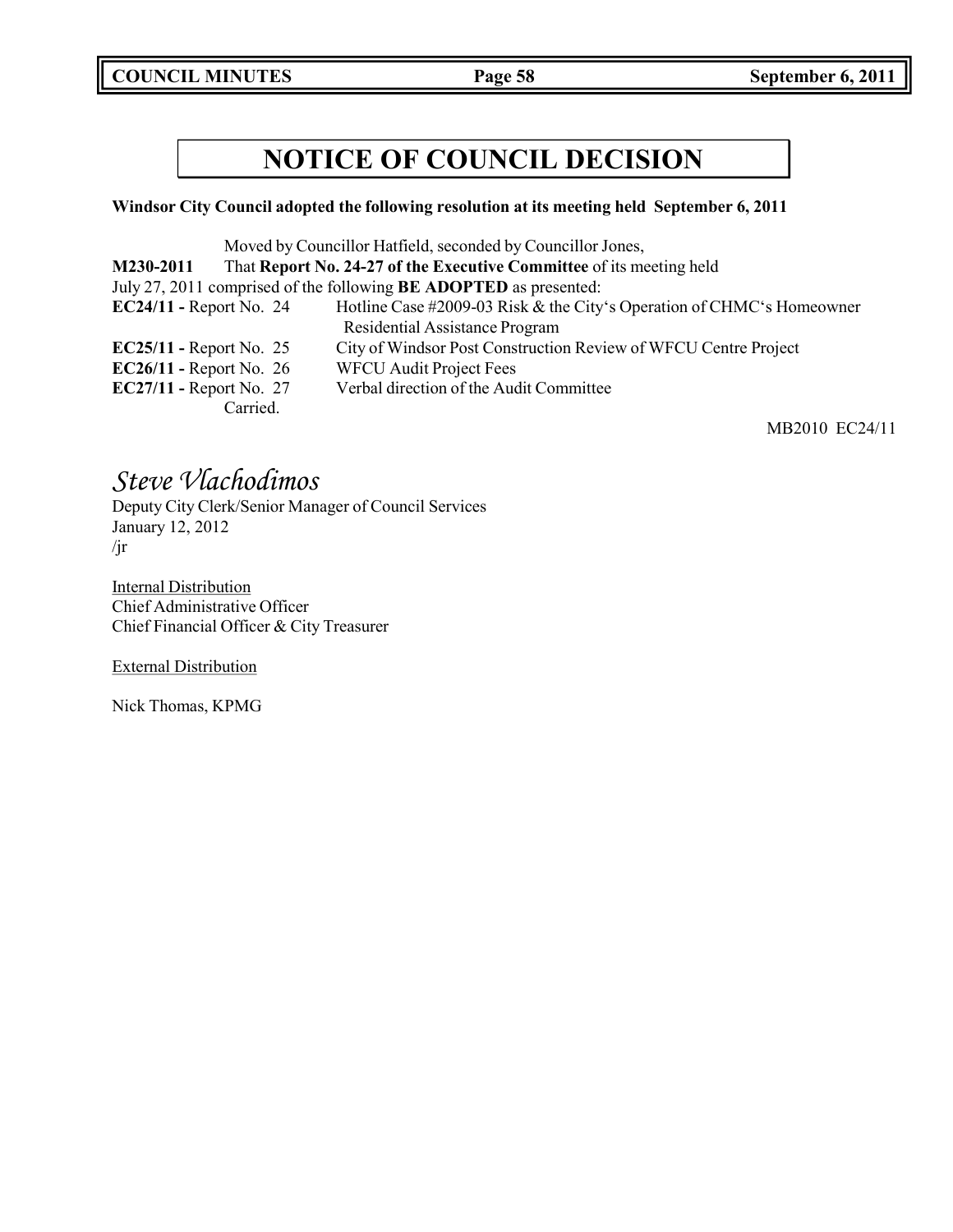**COUNCIL MINUTES Page 58 September 6, 2011**

## **NOTICE OF COUNCIL DECISION**

### **Windsor City Council adopted the following resolution at its meeting held September 6, 2011**

|                                |          | Moved by Councillor Hatfield, seconded by Councillor Jones,              |
|--------------------------------|----------|--------------------------------------------------------------------------|
| M230-2011                      |          | That Report No. 24-27 of the Executive Committee of its meeting held     |
|                                |          | July 27, 2011 comprised of the following <b>BE ADOPTED</b> as presented: |
| $EC24/11$ - Report No. 24      |          | Hotline Case #2009-03 Risk & the City's Operation of CHMC's Homeowner    |
|                                |          | Residential Assistance Program                                           |
| $EC25/11$ - Report No. 25      |          | City of Windsor Post Construction Review of WFCU Centre Project          |
| EC26/11 - Report No. $26$      |          | <b>WFCU Audit Project Fees</b>                                           |
| <b>EC27/11 - Report No. 27</b> |          | Verbal direction of the Audit Committee                                  |
|                                | Carried. |                                                                          |

MB2010 EC24/11

## *Steve Vlachodimos*

Deputy City Clerk/Senior Manager of Council Services January 12, 2012 /jr

**Internal Distribution** Chief Administrative Officer Chief Financial Officer & City Treasurer

External Distribution

Nick Thomas, KPMG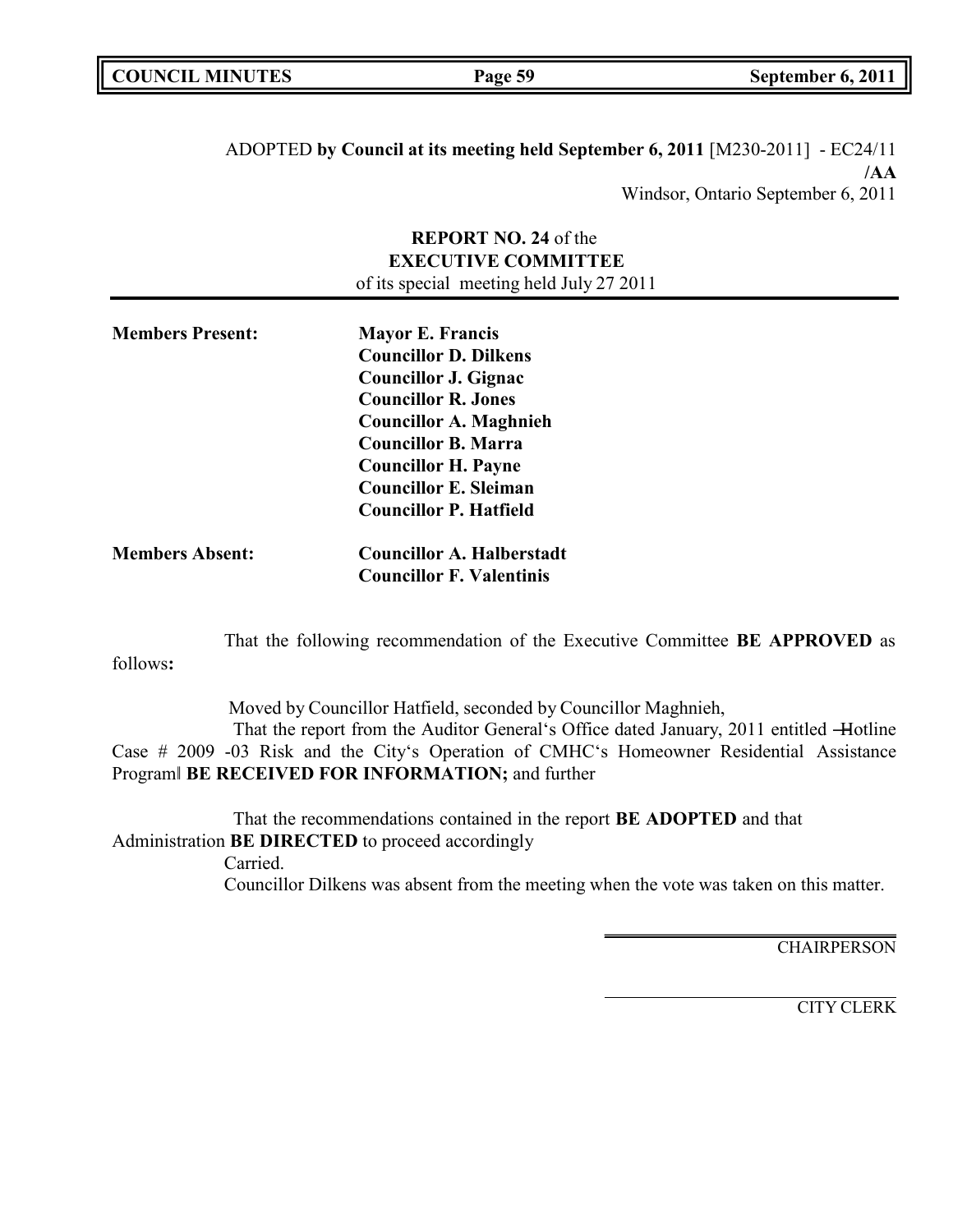| <b>COUNCIL MINUTES</b> | Page 59 | September 6, 2011 |
|------------------------|---------|-------------------|
|                        |         |                   |

ADOPTED **by Council at its meeting held September 6, 2011** [M230-2011] - EC24/11 **/AA** Windsor, Ontario September 6, 2011

### **REPORT NO. 24** of the **EXECUTIVE COMMITTEE** of its special meeting held July 27 2011

| <b>Members Present:</b> | <b>Mayor E. Francis</b>          |
|-------------------------|----------------------------------|
|                         | <b>Councillor D. Dilkens</b>     |
|                         | Councillor J. Gignac             |
|                         | <b>Councillor R. Jones</b>       |
|                         | <b>Councillor A. Maghnieh</b>    |
|                         | <b>Councillor B. Marra</b>       |
|                         | <b>Councillor H. Payne</b>       |
|                         | <b>Councillor E. Sleiman</b>     |
|                         | <b>Councillor P. Hatfield</b>    |
| <b>Members Absent:</b>  | <b>Councillor A. Halberstadt</b> |
|                         | <b>Councillor F. Valentinis</b>  |

That the following recommendation of the Executive Committee **BE APPROVED** as

follows**:**

Moved by Councillor Hatfield, seconded by Councillor Maghnieh, That the report from the Auditor General's Office dated January, 2011 entitled -Hotline Case # 2009 -03 Risk and the City's Operation of CMHC's Homeowner Residential Assistance Program‖ **BE RECEIVED FOR INFORMATION;** and further

That the recommendations contained in the report **BE ADOPTED** and that Administration **BE DIRECTED** to proceed accordingly Carried. Councillor Dilkens was absent from the meeting when the vote was taken on this matter.

**CHAIRPERSON** 

CITY CLERK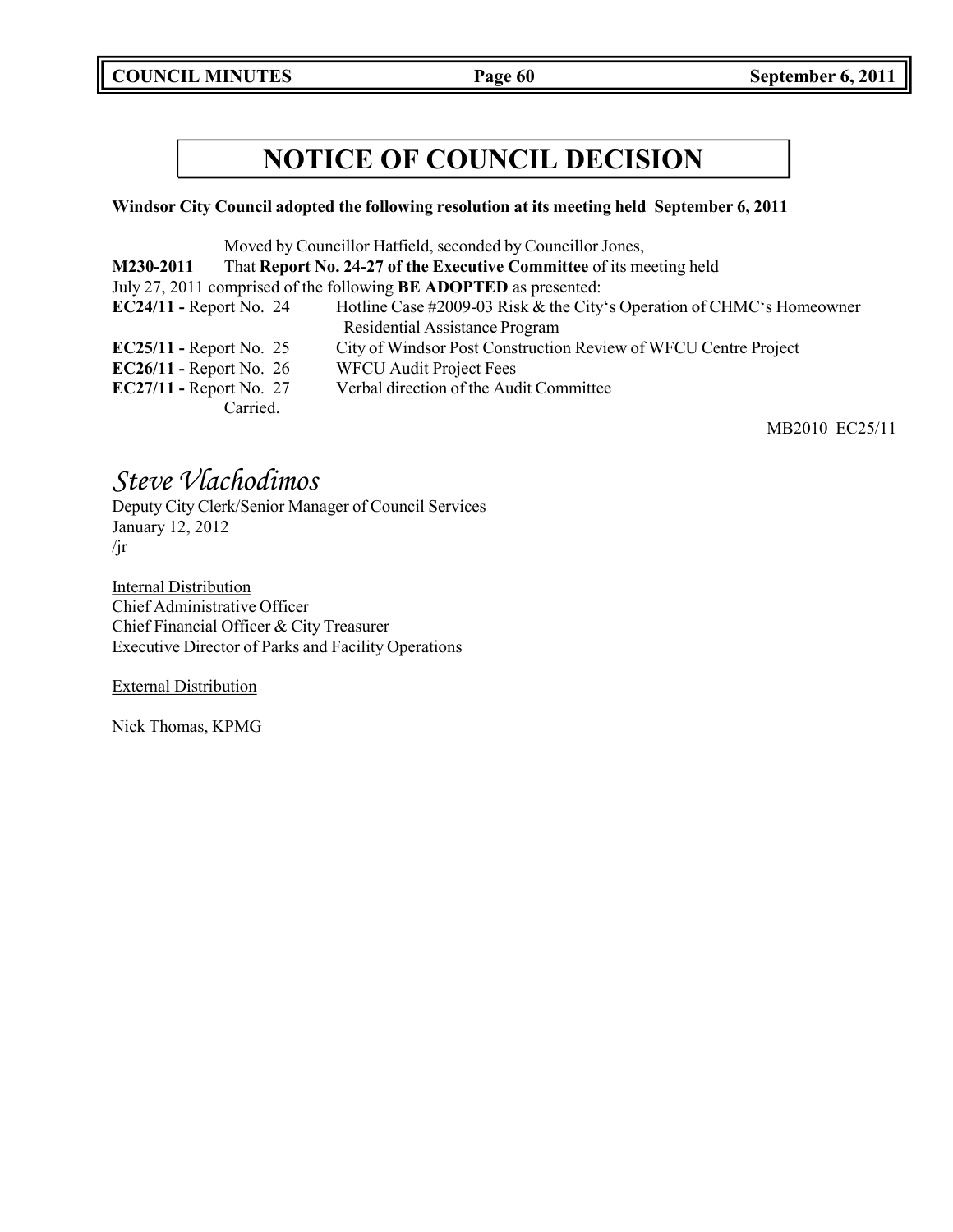**COUNCIL MINUTES Page 60 September 6, 2011**

## **NOTICE OF COUNCIL DECISION**

### **Windsor City Council adopted the following resolution at its meeting held September 6, 2011**

|                                |          | Moved by Councillor Hatfield, seconded by Councillor Jones,              |
|--------------------------------|----------|--------------------------------------------------------------------------|
| M230-2011                      |          | That Report No. 24-27 of the Executive Committee of its meeting held     |
|                                |          | July 27, 2011 comprised of the following <b>BE ADOPTED</b> as presented: |
| $EC24/11$ - Report No. 24      |          | Hotline Case #2009-03 Risk & the City's Operation of CHMC's Homeowner    |
|                                |          | Residential Assistance Program                                           |
| <b>EC25/11 - Report No. 25</b> |          | City of Windsor Post Construction Review of WFCU Centre Project          |
| $EC26/11$ - Report No. 26      |          | <b>WFCU Audit Project Fees</b>                                           |
| <b>EC27/11 - Report No. 27</b> |          | Verbal direction of the Audit Committee                                  |
|                                | Carried. |                                                                          |

MB2010 EC25/11

## *Steve Vlachodimos*

Deputy City Clerk/Senior Manager of Council Services January 12, 2012 /jr

**Internal Distribution** Chief Administrative Officer Chief Financial Officer & City Treasurer Executive Director of Parks and Facility Operations

External Distribution

Nick Thomas, KPMG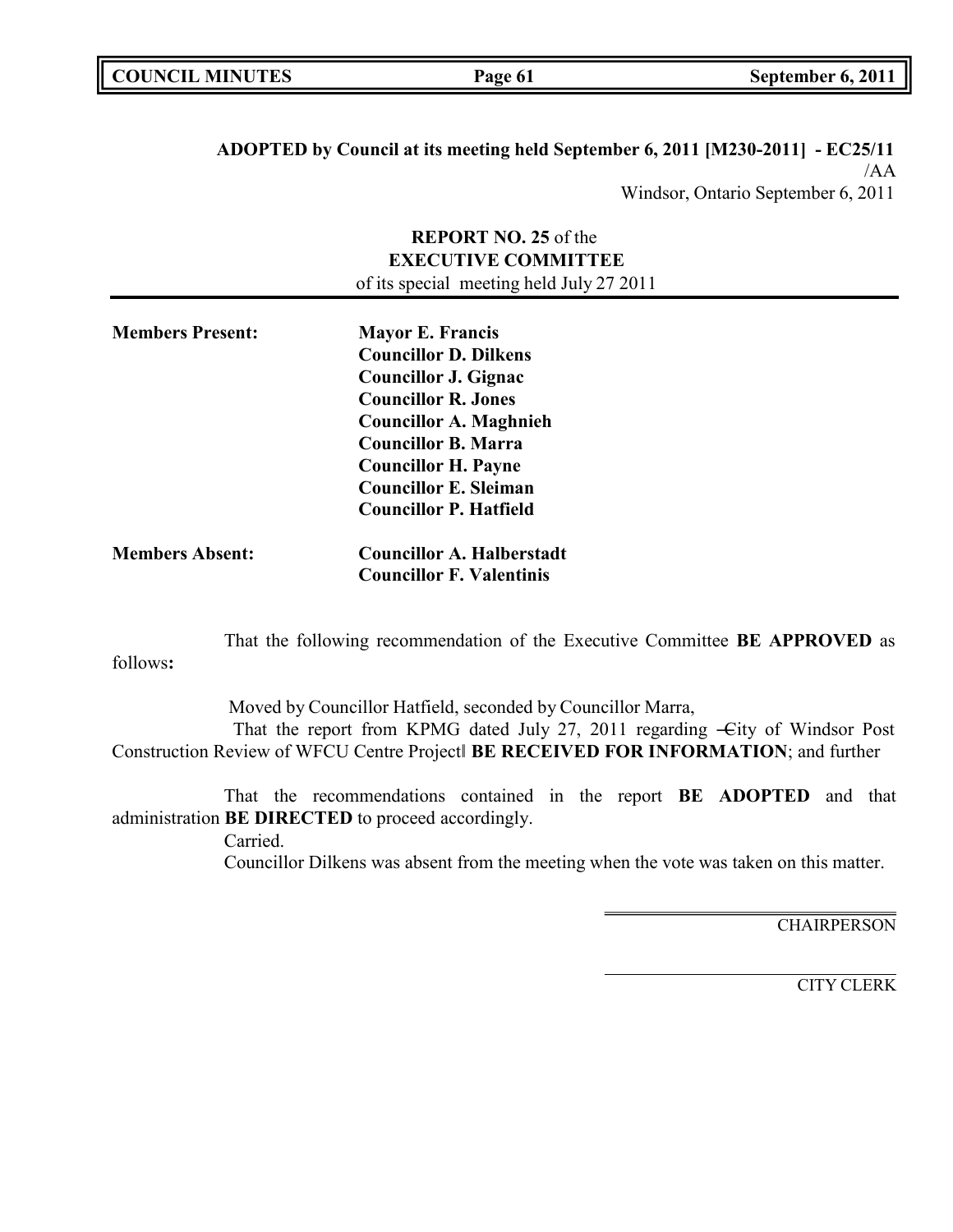| <b>COUNCIL MINUTES</b> |
|------------------------|
|------------------------|

**ADOPTED by Council at its meeting held September 6, 2011 [M230-2011] - EC25/11** /AA Windsor, Ontario September 6, 2011

### **REPORT NO. 25** of the **EXECUTIVE COMMITTEE** of its special meeting held July 27 2011

| <b>Members Present:</b> | <b>Mayor E. Francis</b>          |  |
|-------------------------|----------------------------------|--|
|                         | <b>Councillor D. Dilkens</b>     |  |
|                         | <b>Councillor J. Gignac</b>      |  |
|                         | <b>Councillor R. Jones</b>       |  |
|                         | <b>Councillor A. Maghnieh</b>    |  |
|                         | <b>Councillor B. Marra</b>       |  |
|                         | <b>Councillor H. Payne</b>       |  |
|                         | <b>Councillor E. Sleiman</b>     |  |
|                         | <b>Councillor P. Hatfield</b>    |  |
| <b>Members Absent:</b>  | <b>Councillor A. Halberstadt</b> |  |
|                         |                                  |  |

**Councillor F. Valentinis**

That the following recommendation of the Executive Committee **BE APPROVED** as

follows**:**

Moved by Councillor Hatfield, seconded by Councillor Marra, That the report from KPMG dated July 27, 2011 regarding -City of Windsor Post Construction Review of WFCU Centre Project‖ **BE RECEIVED FOR INFORMATION**; and further

That the recommendations contained in the report **BE ADOPTED** and that administration **BE DIRECTED** to proceed accordingly. Carried.

Councillor Dilkens was absent from the meeting when the vote was taken on this matter.

**CHAIRPERSON** 

CITY CLERK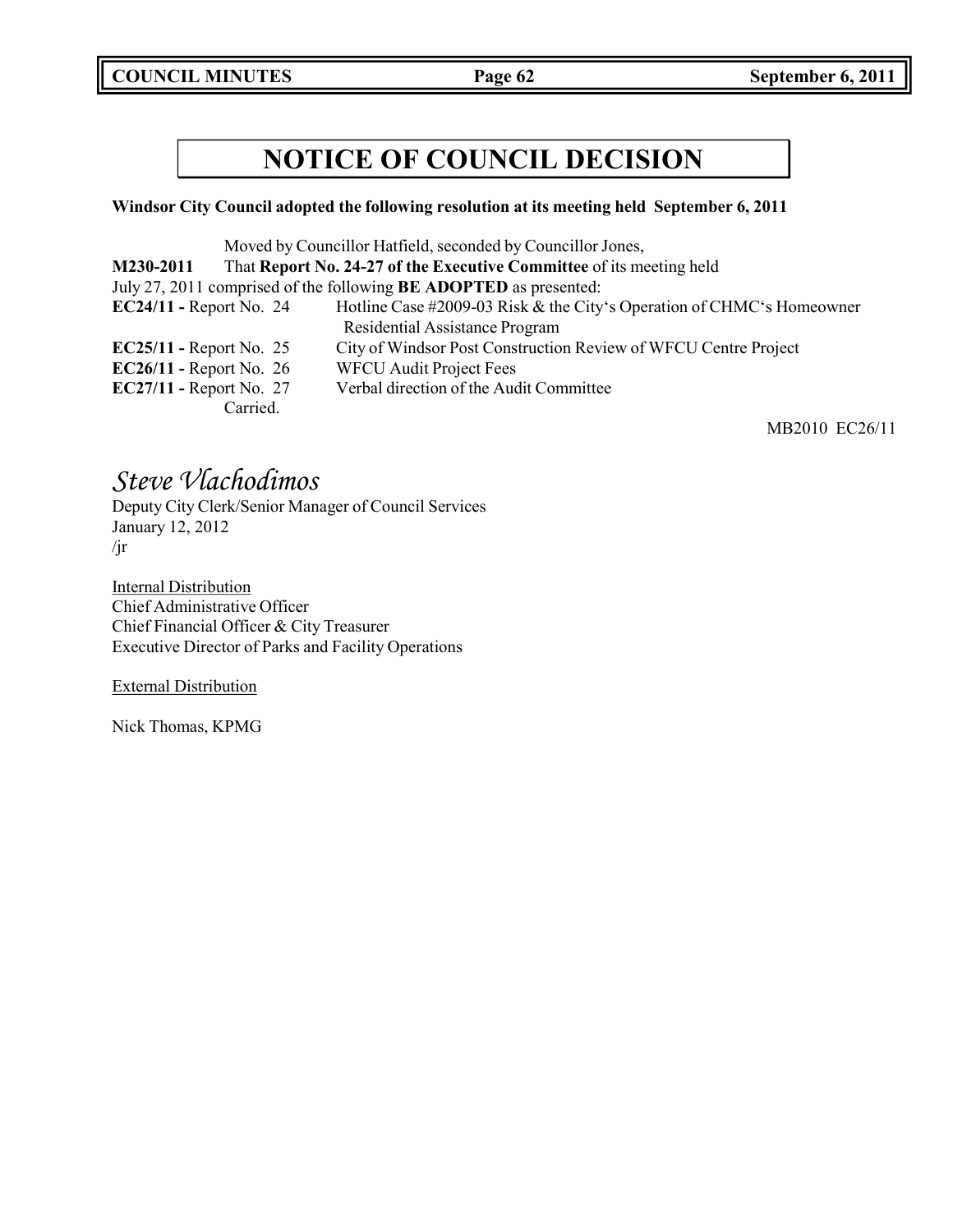**COUNCIL MINUTES Page 62 September 6, 2011**

## **NOTICE OF COUNCIL DECISION**

### **Windsor City Council adopted the following resolution at its meeting held September 6, 2011**

| Moved by Councillor Hatfield, seconded by Councillor Jones,              |          |                                                                       |
|--------------------------------------------------------------------------|----------|-----------------------------------------------------------------------|
| M230-2011                                                                |          | That Report No. 24-27 of the Executive Committee of its meeting held  |
| July 27, 2011 comprised of the following <b>BE ADOPTED</b> as presented: |          |                                                                       |
| $EC24/11$ - Report No. 24                                                |          | Hotline Case #2009-03 Risk & the City's Operation of CHMC's Homeowner |
|                                                                          |          | Residential Assistance Program                                        |
| $EC25/11$ - Report No. 25                                                |          | City of Windsor Post Construction Review of WFCU Centre Project       |
| EC26/11 - Report No. $26$                                                |          | <b>WFCU Audit Project Fees</b>                                        |
| <b>EC27/11 - Report No. 27</b>                                           |          | Verbal direction of the Audit Committee                               |
|                                                                          | Carried. |                                                                       |

MB2010 EC26/11

## *Steve Vlachodimos*

Deputy City Clerk/Senior Manager of Council Services January 12, 2012 /jr

**Internal Distribution** Chief Administrative Officer Chief Financial Officer & City Treasurer Executive Director of Parks and Facility Operations

External Distribution

Nick Thomas, KPMG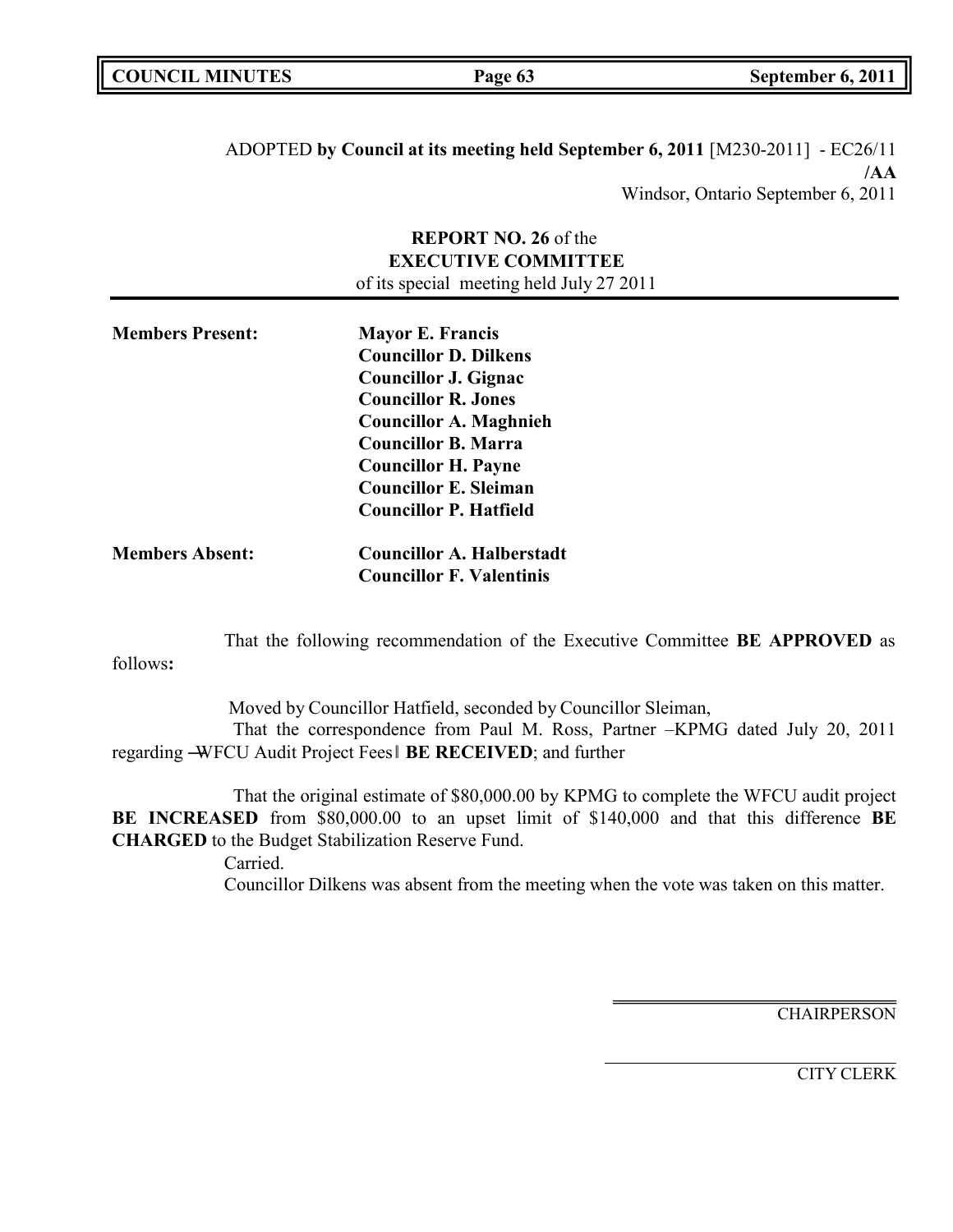| <b>COUNCIL MINUTES</b> | Page 63 | September 6, 2011 |
|------------------------|---------|-------------------|
|                        |         |                   |

ADOPTED **by Council at its meeting held September 6, 2011** [M230-2011] - EC26/11 **/AA** Windsor, Ontario September 6, 2011

### **REPORT NO. 26** of the **EXECUTIVE COMMITTEE** of its special meeting held July 27 2011

| <b>Members Present:</b> | <b>Mayor E. Francis</b>          |  |
|-------------------------|----------------------------------|--|
|                         | <b>Councillor D. Dilkens</b>     |  |
|                         | <b>Councillor J. Gignac</b>      |  |
|                         | <b>Councillor R. Jones</b>       |  |
|                         | <b>Councillor A. Maghnieh</b>    |  |
|                         | <b>Councillor B. Marra</b>       |  |
|                         | <b>Councillor H. Payne</b>       |  |
|                         | <b>Councillor E. Sleiman</b>     |  |
|                         | <b>Councillor P. Hatfield</b>    |  |
| <b>Members Absent:</b>  | <b>Councillor A. Halberstadt</b> |  |

**Councillor F. Valentinis**

That the following recommendation of the Executive Committee **BE APPROVED** as

follows**:**

Moved by Councillor Hatfield, seconded by Councillor Sleiman, That the correspondence from Paul M. Ross, Partner –KPMG dated July 20, 2011 regarding ―WFCU Audit Project Fees‖ **BE RECEIVED**; and further

That the original estimate of \$80,000.00 by KPMG to complete the WFCU audit project **BE INCREASED** from \$80,000.00 to an upset limit of \$140,000 and that this difference **BE CHARGED** to the Budget Stabilization Reserve Fund.

Carried.

Councillor Dilkens was absent from the meeting when the vote was taken on this matter.

**CHAIRPERSON** 

CITY CLERK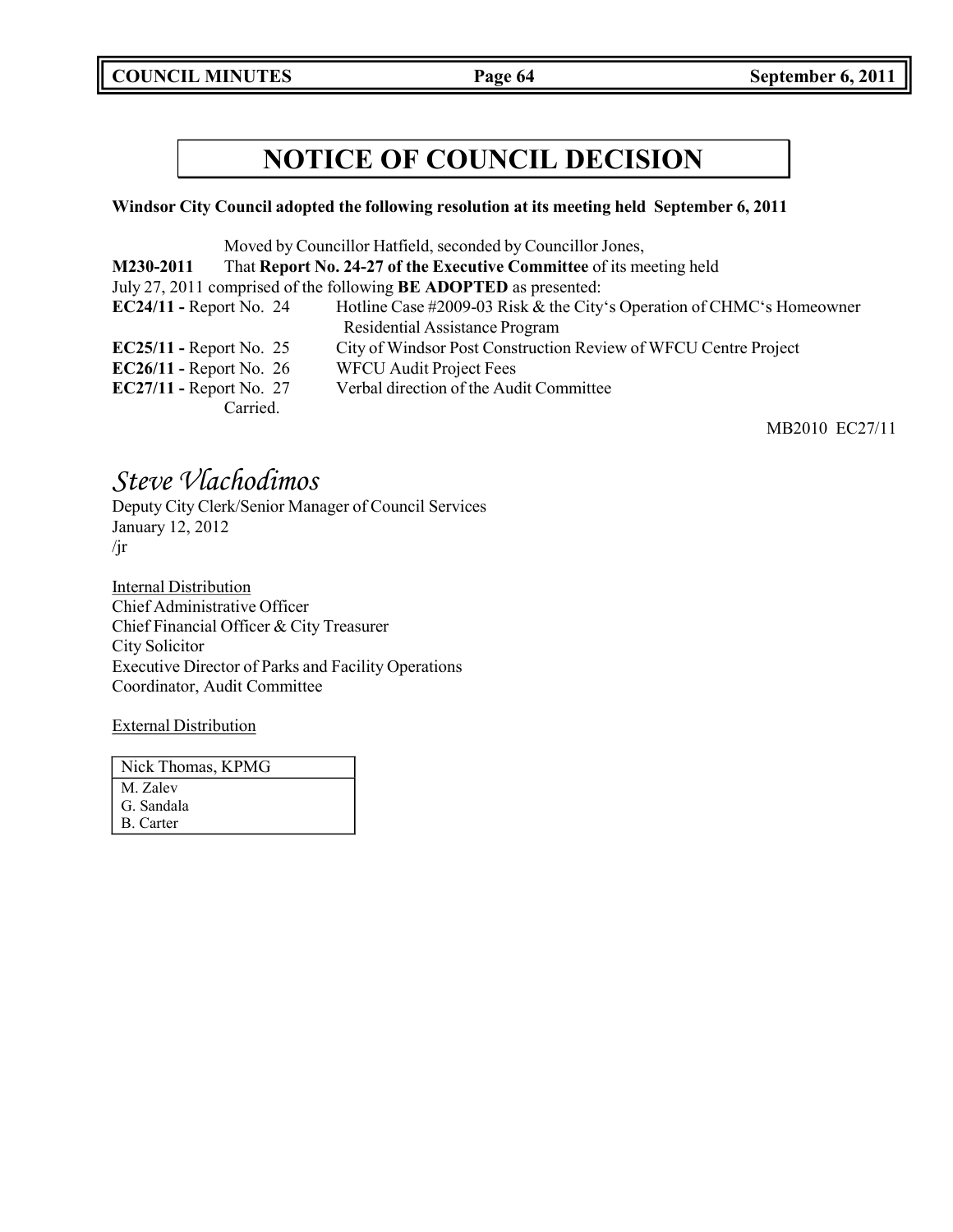**COUNCIL MINUTES Page 64 September 6, 2011**

## **NOTICE OF COUNCIL DECISION**

### **Windsor City Council adopted the following resolution at its meeting held September 6, 2011**

| Moved by Councillor Hatfield, seconded by Councillor Jones,              |          |                                                                       |
|--------------------------------------------------------------------------|----------|-----------------------------------------------------------------------|
| M230-2011                                                                |          | That Report No. 24-27 of the Executive Committee of its meeting held  |
| July 27, 2011 comprised of the following <b>BE ADOPTED</b> as presented: |          |                                                                       |
| $EC24/11$ - Report No. 24                                                |          | Hotline Case #2009-03 Risk & the City's Operation of CHMC's Homeowner |
|                                                                          |          | Residential Assistance Program                                        |
| $EC25/11$ - Report No. 25                                                |          | City of Windsor Post Construction Review of WFCU Centre Project       |
| $EC26/11$ - Report No. 26                                                |          | <b>WFCU Audit Project Fees</b>                                        |
| $EC27/11$ - Report No. 27                                                |          | Verbal direction of the Audit Committee                               |
|                                                                          | Carried. |                                                                       |

MB2010 EC27/11

## *Steve Vlachodimos*

Deputy City Clerk/Senior Manager of Council Services January 12, 2012 /jr

**Internal Distribution** Chief Administrative Officer Chief Financial Officer & City Treasurer City Solicitor Executive Director of Parks and Facility Operations Coordinator, Audit Committee

External Distribution

| Nick Thomas, KPMG |
|-------------------|
| M. Zalev          |
| G. Sandala        |
| B. Carter         |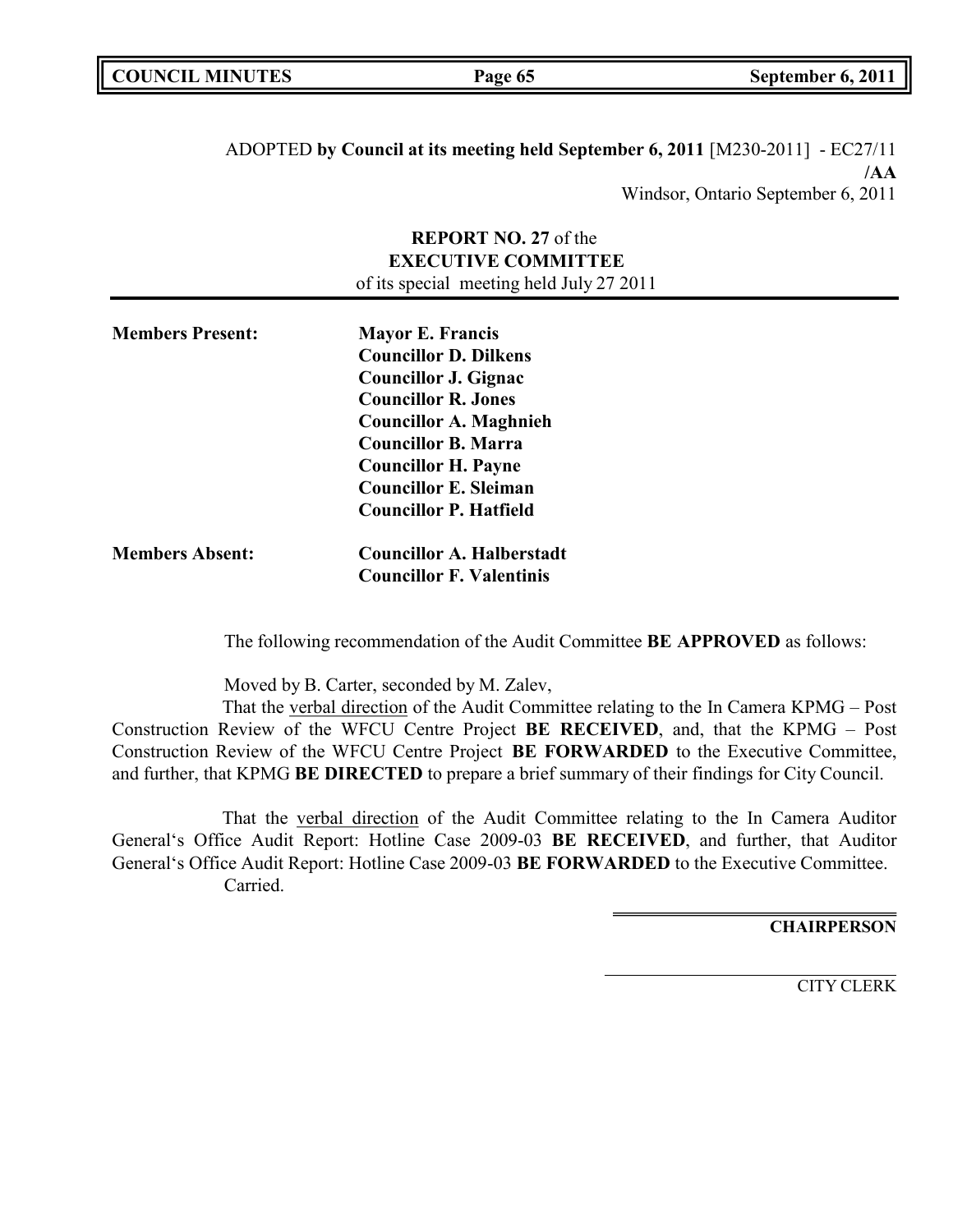| <b>COUNCIL MINUTES</b> | Page 65 | September 6, 2011 |
|------------------------|---------|-------------------|
|                        |         |                   |

ADOPTED **by Council at its meeting held September 6, 2011** [M230-2011] - EC27/11 **/AA** Windsor, Ontario September 6, 2011

### **REPORT NO. 27** of the **EXECUTIVE COMMITTEE** of its special meeting held July 27 2011

| <b>Members Present:</b> | <b>Mayor E. Francis</b>          |
|-------------------------|----------------------------------|
|                         | <b>Councillor D. Dilkens</b>     |
|                         | Councillor J. Gignac             |
|                         | <b>Councillor R. Jones</b>       |
|                         | <b>Councillor A. Maghnieh</b>    |
|                         | <b>Councillor B. Marra</b>       |
|                         | <b>Councillor H. Payne</b>       |
|                         | <b>Councillor E. Sleiman</b>     |
|                         | <b>Councillor P. Hatfield</b>    |
| <b>Members Absent:</b>  | <b>Councillor A. Halberstadt</b> |
|                         | <b>Councillor F. Valentinis</b>  |

The following recommendation of the Audit Committee **BE APPROVED** as follows:

Moved by B. Carter, seconded by M. Zalev,

That the verbal direction of the Audit Committee relating to the In Camera KPMG – Post Construction Review of the WFCU Centre Project **BE RECEIVED**, and, that the KPMG – Post Construction Review of the WFCU Centre Project **BE FORWARDED** to the Executive Committee, and further, that KPMG **BE DIRECTED** to prepare a brief summary of their findings for City Council.

That the verbal direction of the Audit Committee relating to the In Camera Auditor General's Office Audit Report: Hotline Case 2009-03 **BE RECEIVED**, and further, that Auditor General's Office Audit Report: Hotline Case 2009-03 **BE FORWARDED** to the Executive Committee. Carried.

**CHAIRPERSON**

CITY CLERK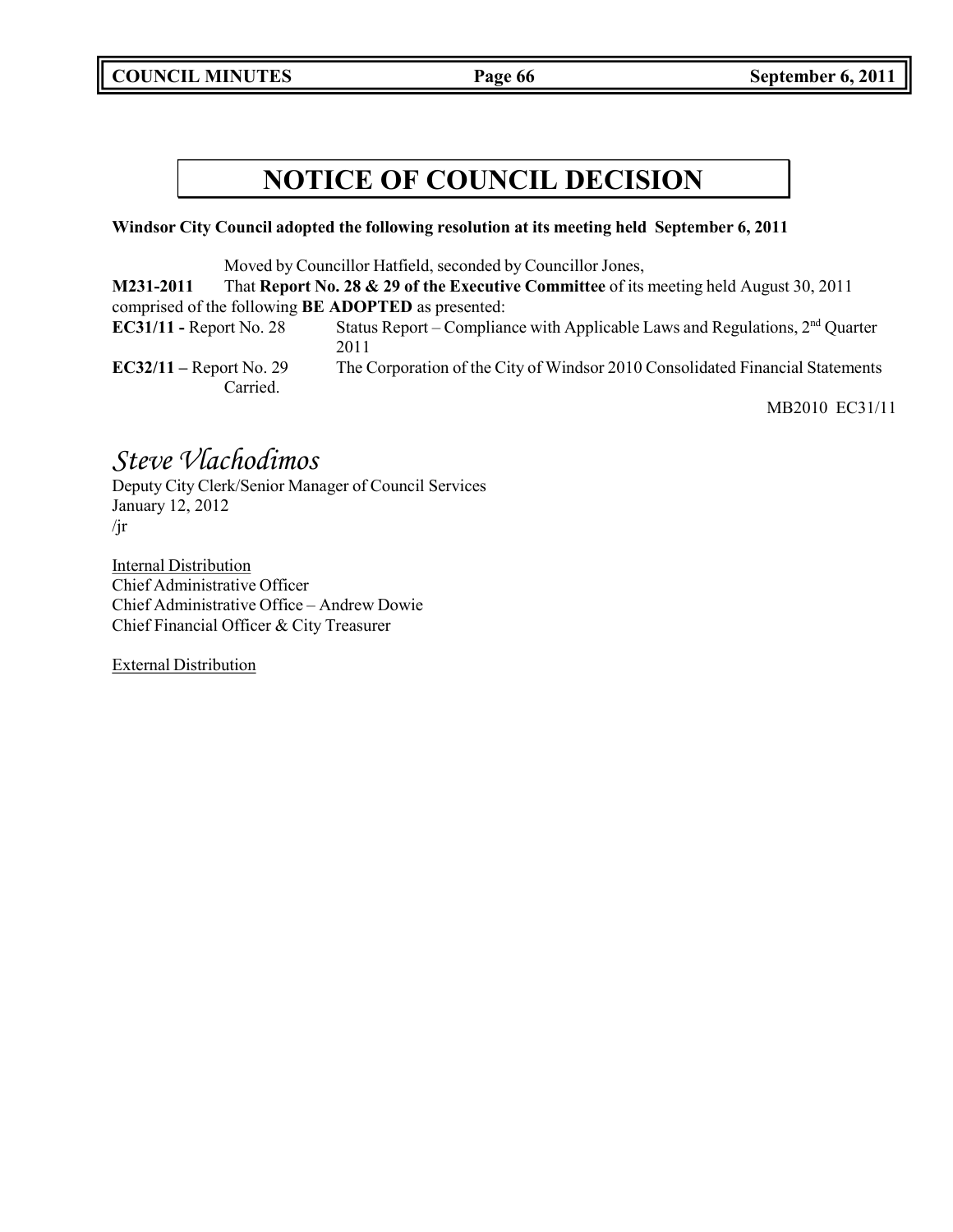**COUNCIL MINUTES Page 66 September 6, 2011**

## **NOTICE OF COUNCIL DECISION**

### **Windsor City Council adopted the following resolution at its meeting held September 6, 2011**

Moved by Councillor Hatfield, seconded by Councillor Jones,

**M231-2011** That **Report No. 28 & 29 of the Executive Committee** of its meeting held August 30, 2011 comprised of the following **BE ADOPTED** as presented: **EC31/11 -** Report No. 28 Status Report – Compliance with Applicable Laws and Regulations, 2<sup>nd</sup> Quarter 2011 **EC32/11 –** Report No. 29 The Corporation of the City of Windsor 2010 Consolidated Financial Statements Carried.

MB2010 EC31/11

## *Steve Vlachodimos*

Deputy City Clerk/Senior Manager of Council Services January 12, 2012 /jr

Internal Distribution Chief Administrative Officer Chief Administrative Office – Andrew Dowie Chief Financial Officer & City Treasurer

External Distribution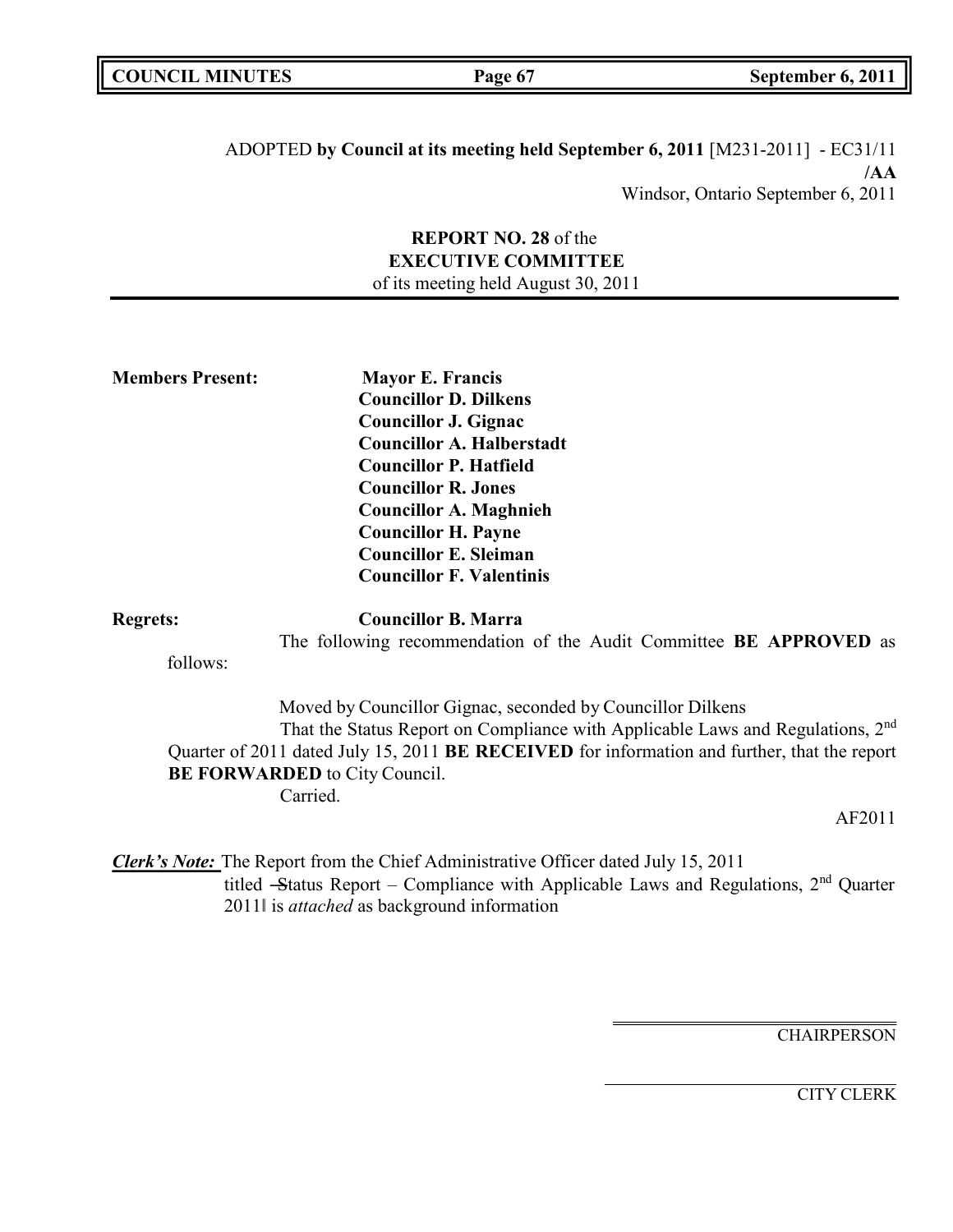ADOPTED **by Council at its meeting held September 6, 2011** [M231-2011] - EC31/11 **/AA** Windsor, Ontario September 6, 2011

> **REPORT NO. 28** of the **EXECUTIVE COMMITTEE** of its meeting held August 30, 2011

**Members Present: Mayor E. Francis Councillor D. Dilkens Councillor J. Gignac Councillor A. Halberstadt Councillor P. Hatfield Councillor R. Jones Councillor A. Maghnieh Councillor H. Payne Councillor E. Sleiman Councillor F. Valentinis**

**Regrets: Councillor B. Marra**

The following recommendation of the Audit Committee **BE APPROVED** as

follows:

Moved by Councillor Gignac, seconded by Councillor Dilkens That the Status Report on Compliance with Applicable Laws and Regulations, 2<sup>nd</sup> Quarter of 2011 dated July 15, 2011 **BE RECEIVED** for information and further, that the report **BE FORWARDED** to City Council. Carried.

AF2011

*Clerk's Note:* The Report from the Chief Administrative Officer dated July 15, 2011 titled -Status Report - Compliance with Applicable Laws and Regulations, 2<sup>nd</sup> Quarter 2011‖ is *attached* as background information

**CHAIRPERSON** 

CITY CLERK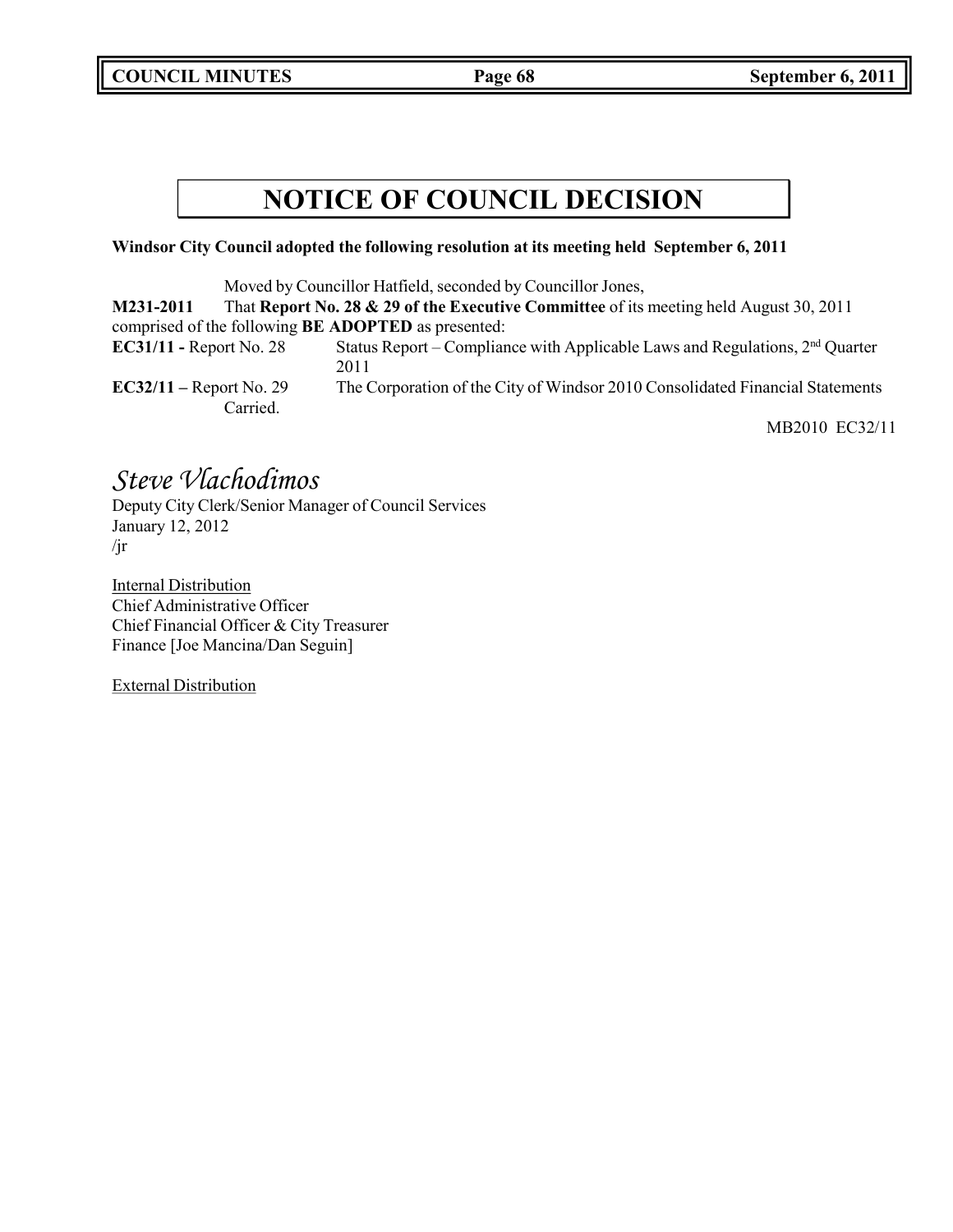**COUNCIL MINUTES Page 68 September 6, 2011**

## **NOTICE OF COUNCIL DECISION**

### **Windsor City Council adopted the following resolution at its meeting held September 6, 2011**

Moved by Councillor Hatfield, seconded by Councillor Jones,

| M231-2011                                                  | That Report No. 28 & 29 of the Executive Committee of its meeting held August 30, 2011 |
|------------------------------------------------------------|----------------------------------------------------------------------------------------|
| comprised of the following <b>BE ADOPTED</b> as presented: |                                                                                        |
| $EC31/11$ - Report No. 28                                  | Status Report – Compliance with Applicable Laws and Regulations, $2nd$ Quarter<br>2011 |
| $EC32/11 - Report No. 29$<br>Carried.                      | The Corporation of the City of Windsor 2010 Consolidated Financial Statements          |
|                                                            | $\mathbf{I}$                                                                           |

MB2010 EC32/11

## *Steve Vlachodimos*

Deputy City Clerk/Senior Manager of Council Services January 12, 2012 /jr

Internal Distribution Chief Administrative Officer Chief Financial Officer & City Treasurer Finance [Joe Mancina/Dan Seguin]

External Distribution